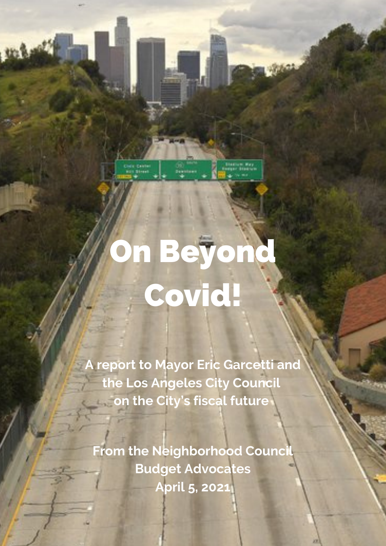

march

# n Beyond Covid!

**A report to Mayor Eric Garcetti and the Los Angeles City Council on the City's fiscal future**

**From the Neighborhood Council Budget Advocates April 5, 2021**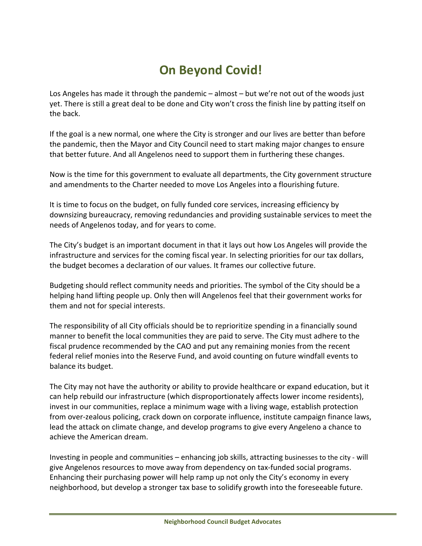## **On Beyond Covid!**

Los Angeles has made it through the pandemic – almost – but we're not out of the woods just yet. There is still a great deal to be done and City won't cross the finish line by patting itself on the back.

If the goal is a new normal, one where the City is stronger and our lives are better than before the pandemic, then the Mayor and City Council need to start making major changes to ensure that better future. And all Angelenos need to support them in furthering these changes.

Now is the time for this government to evaluate all departments, the City government structure and amendments to the Charter needed to move Los Angeles into a flourishing future.

It is time to focus on the budget, on fully funded core services, increasing efficiency by downsizing bureaucracy, removing redundancies and providing sustainable services to meet the needs of Angelenos today, and for years to come.

The City's budget is an important document in that it lays out how Los Angeles will provide the infrastructure and services for the coming fiscal year. In selecting priorities for our tax dollars, the budget becomes a declaration of our values. It frames our collective future.

Budgeting should reflect community needs and priorities. The symbol of the City should be a helping hand lifting people up. Only then will Angelenos feel that their government works for them and not for special interests.

The responsibility of all City officials should be to reprioritize spending in a financially sound manner to benefit the local communities they are paid to serve. The City must adhere to the fiscal prudence recommended by the CAO and put any remaining monies from the recent federal relief monies into the Reserve Fund, and avoid counting on future windfall events to balance its budget.

The City may not have the authority or ability to provide healthcare or expand education, but it can help rebuild our infrastructure (which disproportionately affects lower income residents), invest in our communities, replace a minimum wage with a living wage, establish protection from over‐zealous policing, crack down on corporate influence, institute campaign finance laws, lead the attack on climate change, and develop programs to give every Angeleno a chance to achieve the American dream.

Investing in people and communities – enhancing job skills, attracting businesses to the city ‐ will give Angelenos resources to move away from dependency on tax-funded social programs. Enhancing their purchasing power will help ramp up not only the City's economy in every neighborhood, but develop a stronger tax base to solidify growth into the foreseeable future.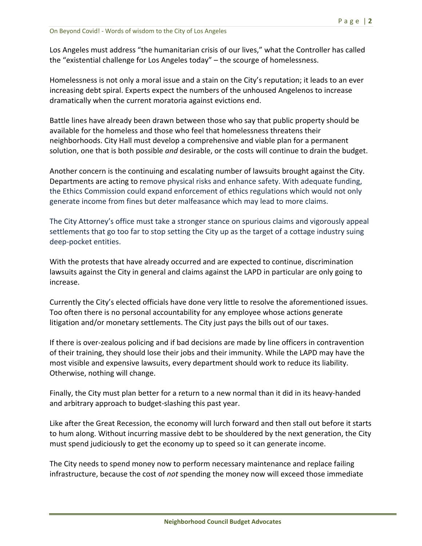Los Angeles must address "the humanitarian crisis of our lives," what the Controller has called the "existential challenge for Los Angeles today" – the scourge of homelessness.

Homelessness is not only a moral issue and a stain on the City's reputation; it leads to an ever increasing debt spiral. Experts expect the numbers of the unhoused Angelenos to increase dramatically when the current moratoria against evictions end.

Battle lines have already been drawn between those who say that public property should be available for the homeless and those who feel that homelessness threatens their neighborhoods. City Hall must develop a comprehensive and viable plan for a permanent solution, one that is both possible *and* desirable, or the costs will continue to drain the budget.

Another concern is the continuing and escalating number of lawsuits brought against the City. Departments are acting to remove physical risks and enhance safety. With adequate funding, the Ethics Commission could expand enforcement of ethics regulations which would not only generate income from fines but deter malfeasance which may lead to more claims.

The City Attorney's office must take a stronger stance on spurious claims and vigorously appeal settlements that go too far to stop setting the City up as the target of a cottage industry suing deep‐pocket entities.

With the protests that have already occurred and are expected to continue, discrimination lawsuits against the City in general and claims against the LAPD in particular are only going to increase.

Currently the City's elected officials have done very little to resolve the aforementioned issues. Too often there is no personal accountability for any employee whose actions generate litigation and/or monetary settlements. The City just pays the bills out of our taxes.

If there is over‐zealous policing and if bad decisions are made by line officers in contravention of their training, they should lose their jobs and their immunity. While the LAPD may have the most visible and expensive lawsuits, every department should work to reduce its liability. Otherwise, nothing will change.

Finally, the City must plan better for a return to a new normal than it did in its heavy‐handed and arbitrary approach to budget‐slashing this past year.

Like after the Great Recession, the economy will lurch forward and then stall out before it starts to hum along. Without incurring massive debt to be shouldered by the next generation, the City must spend judiciously to get the economy up to speed so it can generate income.

The City needs to spend money now to perform necessary maintenance and replace failing infrastructure, because the cost of *not* spending the money now will exceed those immediate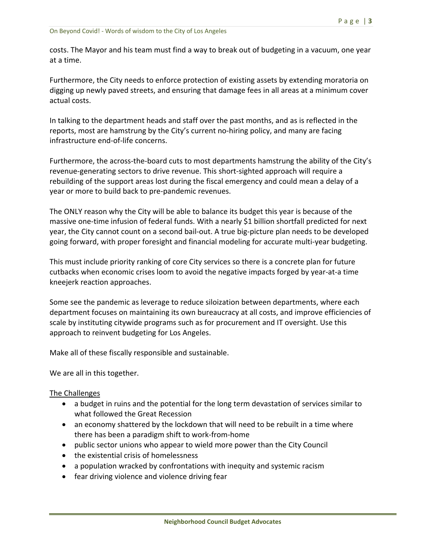costs. The Mayor and his team must find a way to break out of budgeting in a vacuum, one year at a time.

Furthermore, the City needs to enforce protection of existing assets by extending moratoria on digging up newly paved streets, and ensuring that damage fees in all areas at a minimum cover actual costs.

In talking to the department heads and staff over the past months, and as is reflected in the reports, most are hamstrung by the City's current no‐hiring policy, and many are facing infrastructure end‐of‐life concerns.

Furthermore, the across-the-board cuts to most departments hamstrung the ability of the City's revenue‐generating sectors to drive revenue. This short‐sighted approach will require a rebuilding of the support areas lost during the fiscal emergency and could mean a delay of a year or more to build back to pre‐pandemic revenues.

The ONLY reason why the City will be able to balance its budget this year is because of the massive one-time infusion of federal funds. With a nearly \$1 billion shortfall predicted for next year, the City cannot count on a second bail‐out. A true big‐picture plan needs to be developed going forward, with proper foresight and financial modeling for accurate multi‐year budgeting.

This must include priority ranking of core City services so there is a concrete plan for future cutbacks when economic crises loom to avoid the negative impacts forged by year‐at‐a time kneejerk reaction approaches.

Some see the pandemic as leverage to reduce siloization between departments, where each department focuses on maintaining its own bureaucracy at all costs, and improve efficiencies of scale by instituting citywide programs such as for procurement and IT oversight. Use this approach to reinvent budgeting for Los Angeles.

Make all of these fiscally responsible and sustainable.

We are all in this together.

#### The Challenges

- a budget in ruins and the potential for the long term devastation of services similar to what followed the Great Recession
- an economy shattered by the lockdown that will need to be rebuilt in a time where there has been a paradigm shift to work‐from‐home
- public sector unions who appear to wield more power than the City Council
- the existential crisis of homelessness
- a population wracked by confrontations with inequity and systemic racism
- fear driving violence and violence driving fear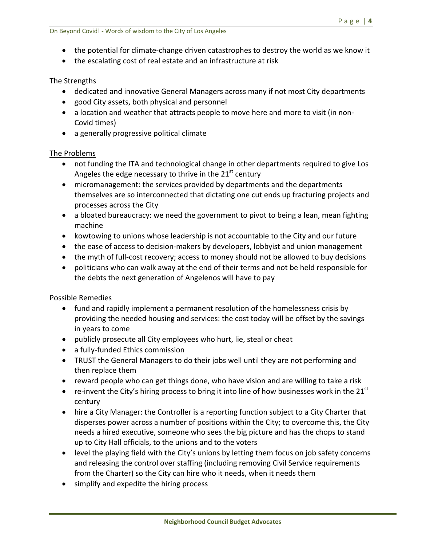- the potential for climate-change driven catastrophes to destroy the world as we know it
- the escalating cost of real estate and an infrastructure at risk

#### The Strengths

- dedicated and innovative General Managers across many if not most City departments
- good City assets, both physical and personnel
- a location and weather that attracts people to move here and more to visit (in non-Covid times)
- a generally progressive political climate

#### The Problems

- not funding the ITA and technological change in other departments required to give Los Angeles the edge necessary to thrive in the  $21^{st}$  century
- micromanagement: the services provided by departments and the departments themselves are so interconnected that dictating one cut ends up fracturing projects and processes across the City
- a bloated bureaucracy: we need the government to pivot to being a lean, mean fighting machine
- kowtowing to unions whose leadership is not accountable to the City and our future
- the ease of access to decision‐makers by developers, lobbyist and union management
- the myth of full-cost recovery; access to money should not be allowed to buy decisions
- politicians who can walk away at the end of their terms and not be held responsible for the debts the next generation of Angelenos will have to pay

#### Possible Remedies

- fund and rapidly implement a permanent resolution of the homelessness crisis by providing the needed housing and services: the cost today will be offset by the savings in years to come
- publicly prosecute all City employees who hurt, lie, steal or cheat
- a fully-funded Ethics commission
- TRUST the General Managers to do their jobs well until they are not performing and then replace them
- reward people who can get things done, who have vision and are willing to take a risk
- re-invent the City's hiring process to bring it into line of how businesses work in the 21<sup>st</sup> century
- hire a City Manager: the Controller is a reporting function subject to a City Charter that disperses power across a number of positions within the City; to overcome this, the City needs a hired executive, someone who sees the big picture and has the chops to stand up to City Hall officials, to the unions and to the voters
- level the playing field with the City's unions by letting them focus on job safety concerns and releasing the control over staffing (including removing Civil Service requirements from the Charter) so the City can hire who it needs, when it needs them
- simplify and expedite the hiring process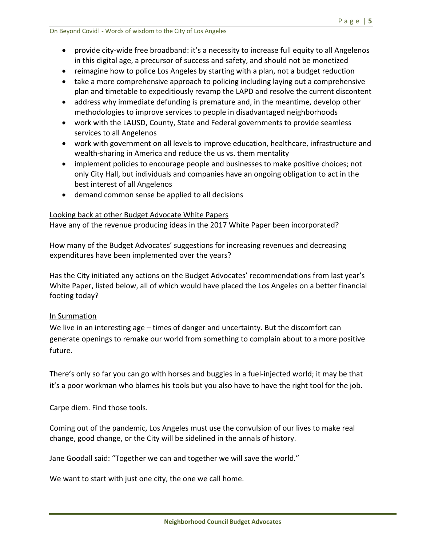- reimagine how to police Los Angeles by starting with a plan, not a budget reduction
- take a more comprehensive approach to policing including laying out a comprehensive plan and timetable to expeditiously revamp the LAPD and resolve the current discontent
- address why immediate defunding is premature and, in the meantime, develop other methodologies to improve services to people in disadvantaged neighborhoods
- work with the LAUSD, County, State and Federal governments to provide seamless services to all Angelenos
- work with government on all levels to improve education, healthcare, infrastructure and wealth-sharing in America and reduce the us vs. them mentality
- implement policies to encourage people and businesses to make positive choices; not only City Hall, but individuals and companies have an ongoing obligation to act in the best interest of all Angelenos
- demand common sense be applied to all decisions

#### Looking back at other Budget Advocate White Papers

Have any of the revenue producing ideas in the 2017 White Paper been incorporated?

How many of the Budget Advocates' suggestions for increasing revenues and decreasing expenditures have been implemented over the years?

Has the City initiated any actions on the Budget Advocates' recommendations from last year's White Paper, listed below, all of which would have placed the Los Angeles on a better financial footing today?

#### In Summation

We live in an interesting age – times of danger and uncertainty. But the discomfort can generate openings to remake our world from something to complain about to a more positive future.

There's only so far you can go with horses and buggies in a fuel‐injected world; it may be that it's a poor workman who blames his tools but you also have to have the right tool for the job.

Carpe diem. Find those tools.

Coming out of the pandemic, Los Angeles must use the convulsion of our lives to make real change, good change, or the City will be sidelined in the annals of history.

Jane Goodall said: "Together we can and together we will save the world."

We want to start with just one city, the one we call home.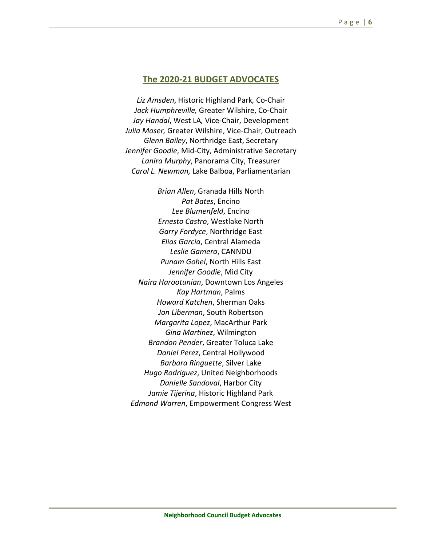#### **The 2020‐21 BUDGET ADVOCATES**

*Liz Amsden*, Historic Highland Park*,* Co‐Chair *Jack Humphreville,* Greater Wilshire, Co‐Chair *Jay Handal*, West LA*,* Vice‐Chair, Development *Julia Moser,* Greater Wilshire, Vice‐Chair, Outreach *Glenn Bailey*, Northridge East, Secretary *Jennifer Goodie*, Mid‐City, Administrative Secretary *Lanira Murphy*, Panorama City, Treasurer *Carol L. Newman,* Lake Balboa, Parliamentarian

*Brian Allen*, Granada Hills North *Pat Bates*, Encino *Lee Blumenfeld*, Encino *Ernesto Castro*, Westlake North *Garry Fordyce*, Northridge East *Elias Garcia*, Central Alameda *Leslie Gamero*, CANNDU *Punam Gohel*, North Hills East *Jennifer Goodie*, Mid City *Naira Harootunian*, Downtown Los Angeles *Kay Hartman*, Palms *Howard Katchen*, Sherman Oaks *Jon Liberman*, South Robertson *Margarita Lopez*, MacArthur Park *Gina Martinez*, Wilmington *Brandon Pender*, Greater Toluca Lake *Daniel Perez*, Central Hollywood *Barbara Ringuette*, Silver Lake *Hugo Rodriguez*, United Neighborhoods *Danielle Sandoval*, Harbor City *Jamie Tijerina*, Historic Highland Park *Edmond Warren*, Empowerment Congress West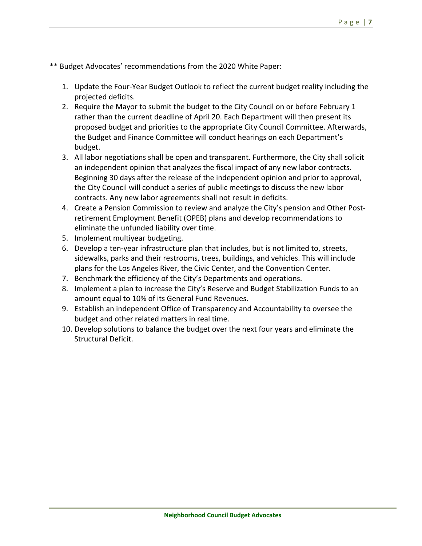\*\* Budget Advocates' recommendations from the 2020 White Paper:

- 1. Update the Four‐Year Budget Outlook to reflect the current budget reality including the projected deficits.
- 2. Require the Mayor to submit the budget to the City Council on or before February 1 rather than the current deadline of April 20. Each Department will then present its proposed budget and priorities to the appropriate City Council Committee. Afterwards, the Budget and Finance Committee will conduct hearings on each Department's budget.
- 3. All labor negotiations shall be open and transparent. Furthermore, the City shall solicit an independent opinion that analyzes the fiscal impact of any new labor contracts. Beginning 30 days after the release of the independent opinion and prior to approval, the City Council will conduct a series of public meetings to discuss the new labor contracts. Any new labor agreements shall not result in deficits.
- 4. Create a Pension Commission to review and analyze the City's pension and Other Post‐ retirement Employment Benefit (OPEB) plans and develop recommendations to eliminate the unfunded liability over time.
- 5. Implement multiyear budgeting.
- 6. Develop a ten‐year infrastructure plan that includes, but is not limited to, streets, sidewalks, parks and their restrooms, trees, buildings, and vehicles. This will include plans for the Los Angeles River, the Civic Center, and the Convention Center.
- 7. Benchmark the efficiency of the City's Departments and operations.
- 8. Implement a plan to increase the City's Reserve and Budget Stabilization Funds to an amount equal to 10% of its General Fund Revenues.
- 9. Establish an independent Office of Transparency and Accountability to oversee the budget and other related matters in real time.
- 10. Develop solutions to balance the budget over the next four years and eliminate the Structural Deficit.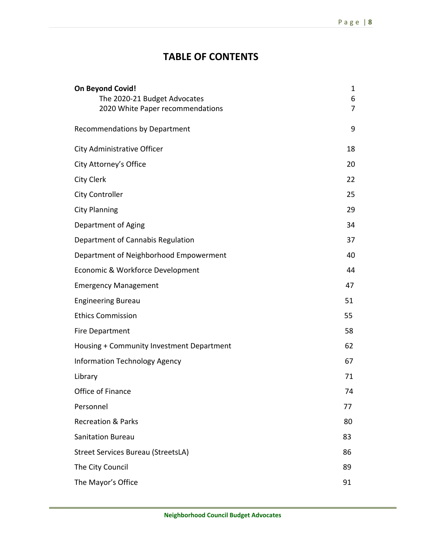## **TABLE OF CONTENTS**

| <b>On Beyond Covid!</b>                                          | 1                   |
|------------------------------------------------------------------|---------------------|
| The 2020-21 Budget Advocates<br>2020 White Paper recommendations | 6<br>$\overline{7}$ |
|                                                                  |                     |
| <b>Recommendations by Department</b>                             | 9                   |
| City Administrative Officer                                      | 18                  |
| City Attorney's Office                                           | 20                  |
| <b>City Clerk</b>                                                | 22                  |
| <b>City Controller</b>                                           | 25                  |
| <b>City Planning</b>                                             | 29                  |
| Department of Aging                                              | 34                  |
| Department of Cannabis Regulation                                | 37                  |
| Department of Neighborhood Empowerment                           | 40                  |
| Economic & Workforce Development                                 | 44                  |
| <b>Emergency Management</b>                                      | 47                  |
| <b>Engineering Bureau</b>                                        | 51                  |
| <b>Ethics Commission</b>                                         | 55                  |
| <b>Fire Department</b>                                           | 58                  |
| Housing + Community Investment Department                        | 62                  |
| <b>Information Technology Agency</b>                             | 67                  |
| Library                                                          | 71                  |
| Office of Finance                                                | 74                  |
| Personnel                                                        | 77                  |
| <b>Recreation &amp; Parks</b>                                    | 80                  |
| <b>Sanitation Bureau</b>                                         | 83                  |
| <b>Street Services Bureau (StreetsLA)</b>                        | 86                  |
| The City Council                                                 | 89                  |
| The Mayor's Office                                               | 91                  |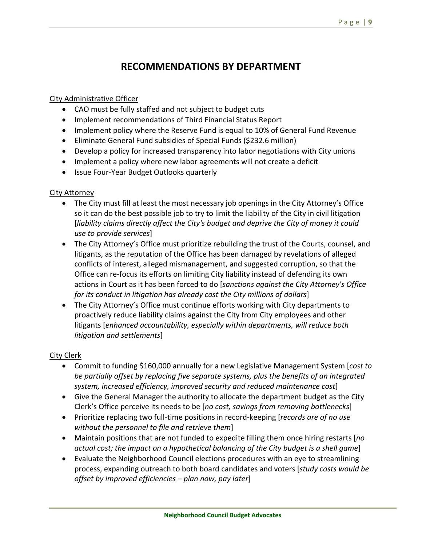## **RECOMMENDATIONS BY DEPARTMENT**

#### City Administrative Officer

- CAO must be fully staffed and not subject to budget cuts
- Implement recommendations of Third Financial Status Report
- Implement policy where the Reserve Fund is equal to 10% of General Fund Revenue
- Eliminate General Fund subsidies of Special Funds (\$232.6 million)
- Develop a policy for increased transparency into labor negotiations with City unions
- Implement a policy where new labor agreements will not create a deficit
- Issue Four-Year Budget Outlooks quarterly

#### City Attorney

- The City must fill at least the most necessary job openings in the City Attorney's Office so it can do the best possible job to try to limit the liability of the City in civil litigation [*liability claims directly affect the City's budget and deprive the City of money it could use to provide services*]
- The City Attorney's Office must prioritize rebuilding the trust of the Courts, counsel, and litigants, as the reputation of the Office has been damaged by revelations of alleged conflicts of interest, alleged mismanagement, and suggested corruption, so that the Office can re‐focus its efforts on limiting City liability instead of defending its own actions in Court as it has been forced to do [*sanctions against the City Attorney's Office for its conduct in litigation has already cost the City millions of dollars*]
- The City Attorney's Office must continue efforts working with City departments to proactively reduce liability claims against the City from City employees and other litigants [*enhanced accountability, especially within departments, will reduce both litigation and settlements*]

#### City Clerk

- Commit to funding \$160,000 annually for a new Legislative Management System [*cost to be partially offset by replacing five separate systems, plus the benefits of an integrated system, increased efficiency, improved security and reduced maintenance cost*]
- Give the General Manager the authority to allocate the department budget as the City Clerk's Office perceive its needs to be [*no cost, savings from removing bottlenecks*]
- Prioritize replacing two full‐time positions in record‐keeping [*records are of no use without the personnel to file and retrieve them*]
- Maintain positions that are not funded to expedite filling them once hiring restarts [*no actual cost; the impact on a hypothetical balancing of the City budget is a shell game*]
- Evaluate the Neighborhood Council elections procedures with an eye to streamlining process, expanding outreach to both board candidates and voters [*study costs would be offset by improved efficiencies – plan now, pay later*]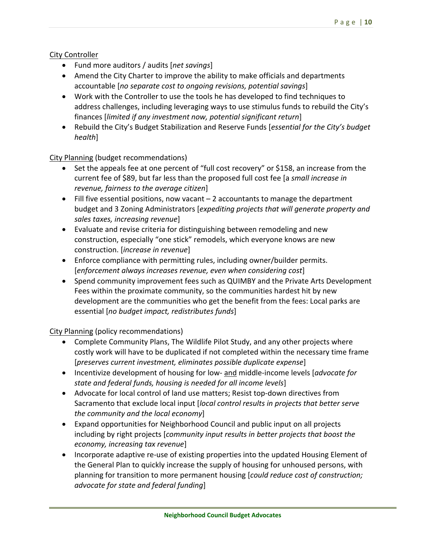#### City Controller

- Fund more auditors / audits [*net savings*]
- Amend the City Charter to improve the ability to make officials and departments accountable [*no separate cost to ongoing revisions, potential savings*]
- Work with the Controller to use the tools he has developed to find techniques to address challenges, including leveraging ways to use stimulus funds to rebuild the City's finances [*limited if any investment now, potential significant return*]
- Rebuild the City's Budget Stabilization and Reserve Funds [*essential for the City's budget health*]

City Planning (budget recommendations)

- Set the appeals fee at one percent of "full cost recovery" or \$158, an increase from the current fee of \$89, but far less than the proposed full cost fee [a *small increase in revenue, fairness to the average citizen*]
- $\bullet$  Fill five essential positions, now vacant  $-2$  accountants to manage the department budget and 3 Zoning Administrators [*expediting projects that will generate property and sales taxes, increasing revenue*]
- Evaluate and revise criteria for distinguishing between remodeling and new construction, especially "one stick" remodels, which everyone knows are new construction. [*increase in revenue*]
- Enforce compliance with permitting rules, including owner/builder permits. [*enforcement always increases revenue, even when considering cost*]
- Spend community improvement fees such as QUIMBY and the Private Arts Development Fees within the proximate community, so the communities hardest hit by new development are the communities who get the benefit from the fees: Local parks are essential [*no budget impact, redistributes funds*]

City Planning (policy recommendations)

- Complete Community Plans, The Wildlife Pilot Study, and any other projects where costly work will have to be duplicated if not completed within the necessary time frame [*preserves current investment, eliminates possible duplicate expense*]
- Incentivize development of housing for low- and middle-income levels *[advocate for state and federal funds, housing is needed for all income levels*]
- Advocate for local control of land use matters; Resist top-down directives from Sacramento that exclude local input [*local control results in projects that better serve the community and the local economy*]
- Expand opportunities for Neighborhood Council and public input on all projects including by right projects [*community input results in better projects that boost the economy, increasing tax revenue*]
- Incorporate adaptive re-use of existing properties into the updated Housing Element of the General Plan to quickly increase the supply of housing for unhoused persons, with planning for transition to more permanent housing [*could reduce cost of construction; advocate for state and federal funding*]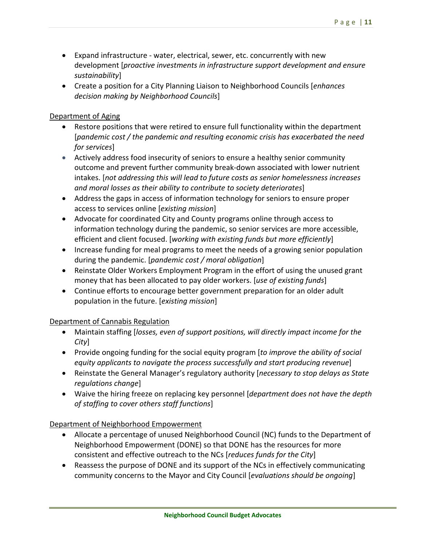- Expand infrastructure water, electrical, sewer, etc. concurrently with new development [*proactive investments in infrastructure support development and ensure sustainability*]
- Create a position for a City Planning Liaison to Neighborhood Councils [*enhances decision making by Neighborhood Councils*]

#### Department of Aging

- Restore positions that were retired to ensure full functionality within the department [*pandemic cost / the pandemic and resulting economic crisis has exacerbated the need for services*]
- Actively address food insecurity of seniors to ensure a healthy senior community outcome and prevent further community break‐down associated with lower nutrient intakes. [*not addressing this will lead to future costs as senior homelessness increases and moral losses as their ability to contribute to society deteriorates*]
- Address the gaps in access of information technology for seniors to ensure proper access to services online [*existing mission*]
- Advocate for coordinated City and County programs online through access to information technology during the pandemic, so senior services are more accessible, efficient and client focused. [*working with existing funds but more efficiently*]
- Increase funding for meal programs to meet the needs of a growing senior population during the pandemic. [*pandemic cost / moral obligation*]
- Reinstate Older Workers Employment Program in the effort of using the unused grant money that has been allocated to pay older workers. [*use of existing funds*]
- Continue efforts to encourage better government preparation for an older adult population in the future. [*existing mission*]

#### Department of Cannabis Regulation

- Maintain staffing [*losses, even of support positions, will directly impact income for the City*]
- Provide ongoing funding for the social equity program [*to improve the ability of social equity applicants to navigate the process successfully and start producing revenue*]
- Reinstate the General Manager's regulatory authority [*necessary to stop delays as State regulations change*]
- Waive the hiring freeze on replacing key personnel [*department does not have the depth of staffing to cover others staff functions*]

#### Department of Neighborhood Empowerment

- Allocate a percentage of unused Neighborhood Council (NC) funds to the Department of Neighborhood Empowerment (DONE) so that DONE has the resources for more consistent and effective outreach to the NCs [*reduces funds for the City*]
- Reassess the purpose of DONE and its support of the NCs in effectively communicating community concerns to the Mayor and City Council [*evaluations should be ongoing*]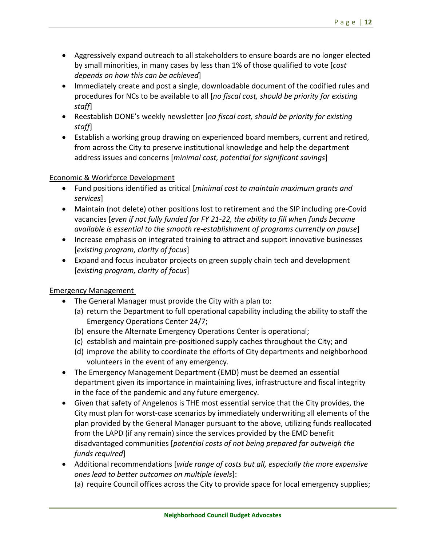- Aggressively expand outreach to all stakeholders to ensure boards are no longer elected by small minorities, in many cases by less than 1% of those qualified to vote [*cost depends on how this can be achieved*]
- Immediately create and post a single, downloadable document of the codified rules and procedures for NCs to be available to all [*no fiscal cost, should be priority for existing staff*]
- Reestablish DONE's weekly newsletter [*no fiscal cost, should be priority for existing staff*]
- Establish a working group drawing on experienced board members, current and retired, from across the City to preserve institutional knowledge and help the department address issues and concerns [*minimal cost, potential for significant savings*]

#### Economic & Workforce Development

- Fund positions identified as critical [*minimal cost to maintain maximum grants and services*]
- Maintain (not delete) other positions lost to retirement and the SIP including pre-Covid vacancies [*even if not fully funded for FY 21‐22, the ability to fill when funds become available is essential to the smooth re‐establishment of programs currently on pause*]
- Increase emphasis on integrated training to attract and support innovative businesses [*existing program, clarity of focus*]
- Expand and focus incubator projects on green supply chain tech and development [*existing program, clarity of focus*]

#### Emergency Management

- The General Manager must provide the City with a plan to:
	- (a) return the Department to full operational capability including the ability to staff the Emergency Operations Center 24/7;
	- (b) ensure the Alternate Emergency Operations Center is operational;
	- (c) establish and maintain pre‐positioned supply caches throughout the City; and
	- (d) improve the ability to coordinate the efforts of City departments and neighborhood volunteers in the event of any emergency.
- The Emergency Management Department (EMD) must be deemed an essential department given its importance in maintaining lives, infrastructure and fiscal integrity in the face of the pandemic and any future emergency.
- Given that safety of Angelenos is THE most essential service that the City provides, the City must plan for worst‐case scenarios by immediately underwriting all elements of the plan provided by the General Manager pursuant to the above, utilizing funds reallocated from the LAPD (if any remain) since the services provided by the EMD benefit disadvantaged communities [*potential costs of not being prepared far outweigh the funds required*]
- Additional recommendations [*wide range of costs but all, especially the more expensive ones lead to better outcomes on multiple levels*]:
	- (a) require Council offices across the City to provide space for local emergency supplies;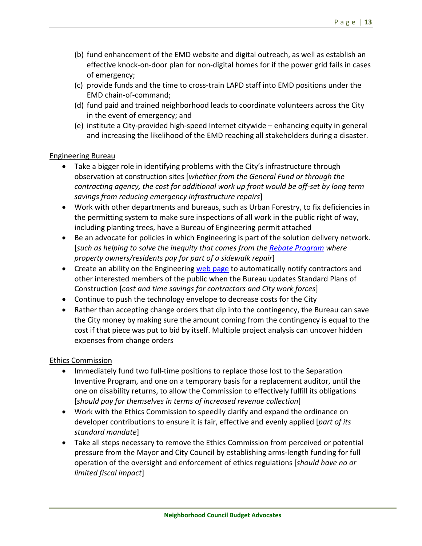- (b) fund enhancement of the EMD website and digital outreach, as well as establish an effective knock‐on‐door plan for non‐digital homes for if the power grid fails in cases of emergency;
- (c) provide funds and the time to cross‐train LAPD staff into EMD positions under the EMD chain‐of‐command;
- (d) fund paid and trained neighborhood leads to coordinate volunteers across the City in the event of emergency; and
- (e) institute a City‐provided high‐speed Internet citywide enhancing equity in general and increasing the likelihood of the EMD reaching all stakeholders during a disaster.

#### Engineering Bureau

- Take a bigger role in identifying problems with the City's infrastructure through observation at construction sites [*whether from the General Fund or through the contracting agency, the cost for additional work up front would be off‐set by long term savings from reducing emergency infrastructure repairs*]
- Work with other departments and bureaus, such as Urban Forestry, to fix deficiencies in the permitting system to make sure inspections of all work in the public right of way, including planting trees, have a Bureau of Engineering permit attached
- Be an advocate for policies in which Engineering is part of the solution delivery network. [*such as helping to solve the inequity that comes from the Rebate Program where property owners/residents pay for part of a sidewalk repair*]
- Create an ability on the Engineering web page to automatically notify contractors and other interested members of the public when the Bureau updates Standard Plans of Construction [*cost and time savings for contractors and City work forces*]
- Continue to push the technology envelope to decrease costs for the City
- Rather than accepting change orders that dip into the contingency, the Bureau can save the City money by making sure the amount coming from the contingency is equal to the cost if that piece was put to bid by itself. Multiple project analysis can uncover hidden expenses from change orders

#### Ethics Commission

- Immediately fund two full-time positions to replace those lost to the Separation Inventive Program, and one on a temporary basis for a replacement auditor, until the one on disability returns, to allow the Commission to effectively fulfill its obligations [*should pay for themselves in terms of increased revenue collection*]
- Work with the Ethics Commission to speedily clarify and expand the ordinance on developer contributions to ensure it is fair, effective and evenly applied [*part of its standard mandate*]
- Take all steps necessary to remove the Ethics Commission from perceived or potential pressure from the Mayor and City Council by establishing arms‐length funding for full operation of the oversight and enforcement of ethics regulations [*should have no or limited fiscal impact*]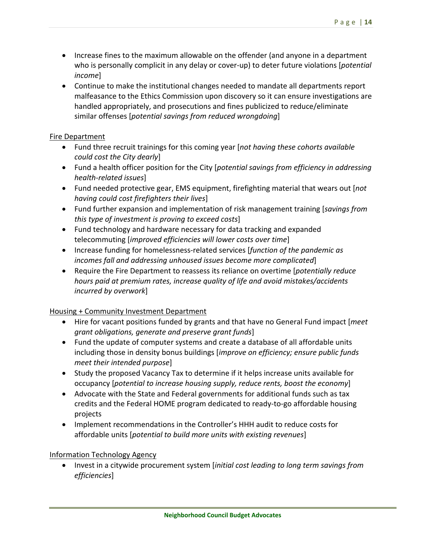- Increase fines to the maximum allowable on the offender (and anyone in a department who is personally complicit in any delay or cover‐up) to deter future violations [*potential income*]
- Continue to make the institutional changes needed to mandate all departments report malfeasance to the Ethics Commission upon discovery so it can ensure investigations are handled appropriately, and prosecutions and fines publicized to reduce/eliminate similar offenses [*potential savings from reduced wrongdoing*]

#### Fire Department

- Fund three recruit trainings for this coming year [*not having these cohorts available could cost the City dearly*]
- Fund a health officer position for the City [*potential savings from efficiency in addressing health‐related issues*]
- Fund needed protective gear, EMS equipment, firefighting material that wears out [*not having could cost firefighters their lives*]
- Fund further expansion and implementation of risk management training [*savings from this type of investment is proving to exceed costs*]
- Fund technology and hardware necessary for data tracking and expanded telecommuting [*improved efficiencies will lower costs over time*]
- Increase funding for homelessness‐related services [*function of the pandemic as incomes fall and addressing unhoused issues become more complicated*]
- Require the Fire Department to reassess its reliance on overtime [*potentially reduce hours paid at premium rates, increase quality of life and avoid mistakes/accidents incurred by overwork*]

#### Housing + Community Investment Department

- Hire for vacant positions funded by grants and that have no General Fund impact [*meet grant obligations, generate and preserve grant funds*]
- Fund the update of computer systems and create a database of all affordable units including those in density bonus buildings [*improve on efficiency; ensure public funds meet their intended purpose*]
- Study the proposed Vacancy Tax to determine if it helps increase units available for occupancy [*potential to increase housing supply, reduce rents, boost the economy*]
- Advocate with the State and Federal governments for additional funds such as tax credits and the Federal HOME program dedicated to ready‐to‐go affordable housing projects
- Implement recommendations in the Controller's HHH audit to reduce costs for affordable units [*potential to build more units with existing revenues*]

#### Information Technology Agency

 Invest in a citywide procurement system [*initial cost leading to long term savings from efficiencies*]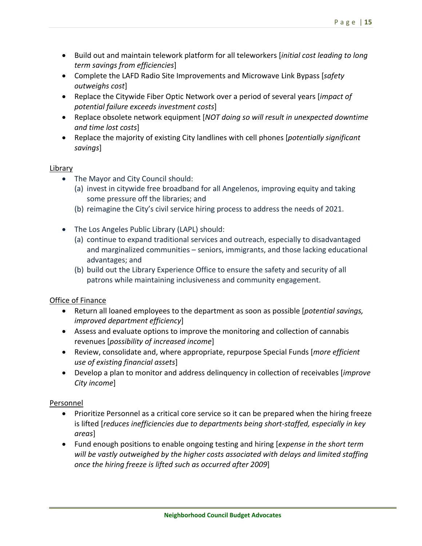- Build out and maintain telework platform for all teleworkers [*initial cost leading to long term savings from efficiencies*]
- Complete the LAFD Radio Site Improvements and Microwave Link Bypass [*safety outweighs cost*]
- Replace the Citywide Fiber Optic Network over a period of several years [*impact of potential failure exceeds investment costs*]
- Replace obsolete network equipment [*NOT doing so will result in unexpected downtime and time lost costs*]
- Replace the majority of existing City landlines with cell phones [*potentially significant savings*]

#### Library

- The Mayor and City Council should:
	- (a) invest in citywide free broadband for all Angelenos, improving equity and taking some pressure off the libraries; and
	- (b) reimagine the City's civil service hiring process to address the needs of 2021.
- The Los Angeles Public Library (LAPL) should:
	- (a) continue to expand traditional services and outreach, especially to disadvantaged and marginalized communities – seniors, immigrants, and those lacking educational advantages; and
	- (b) build out the Library Experience Office to ensure the safety and security of all patrons while maintaining inclusiveness and community engagement.

#### Office of Finance

- Return all loaned employees to the department as soon as possible [*potential savings, improved department efficiency*]
- Assess and evaluate options to improve the monitoring and collection of cannabis revenues [*possibility of increased income*]
- Review, consolidate and, where appropriate, repurpose Special Funds [*more efficient use of existing financial assets*]
- Develop a plan to monitor and address delinquency in collection of receivables [*improve City income*]

#### Personnel

- Prioritize Personnel as a critical core service so it can be prepared when the hiring freeze is lifted [*reduces inefficiencies due to departments being short‐staffed, especially in key areas*]
- Fund enough positions to enable ongoing testing and hiring [*expense in the short term will be vastly outweighed by the higher costs associated with delays and limited staffing once the hiring freeze is lifted such as occurred after 2009*]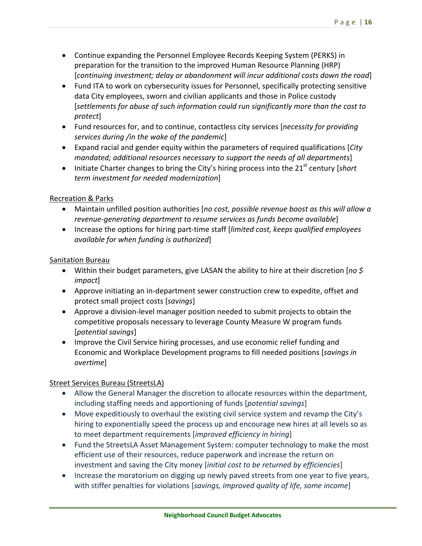- Continue expanding the Personnel Employee Records Keeping System (PERKS) in preparation for the transition to the improved Human Resource Planning (HRP) [*continuing investment; delay or abandonment will incur additional costs down the road*]
- Fund ITA to work on cybersecurity issues for Personnel, specifically protecting sensitive data City employees, sworn and civilian applicants and those in Police custody [*settlements for abuse of such information could run significantly more than the cost to protect*]
- Fund resources for, and to continue, contactless city services [*necessity for providing services during /in the wake of the pandemic*]
- Expand racial and gender equity within the parameters of required qualifications [*City mandated; additional resources necessary to support the needs of all departments*]
- Initiate Charter changes to bring the City's hiring process into the 21<sup>st</sup> century [*short*] *term investment for needed modernization*]

#### Recreation & Parks

- Maintain unfilled position authorities [*no cost, possible revenue boost as this will allow a revenue‐generating department to resume services as funds become available*]
- Increase the options for hiring part-time staff [*limited cost, keeps qualified employees available for when funding is authorized*]

#### Sanitation Bureau

- Within their budget parameters, give LASAN the ability to hire at their discretion [*no \$ impact*]
- Approve initiating an in-department sewer construction crew to expedite, offset and protect small project costs [*savings*]
- Approve a division-level manager position needed to submit projects to obtain the competitive proposals necessary to leverage County Measure W program funds [*potential savings*]
- Improve the Civil Service hiring processes, and use economic relief funding and Economic and Workplace Development programs to fill needed positions [*savings in overtime*]

#### Street Services Bureau (StreetsLA)

- Allow the General Manager the discretion to allocate resources within the department, including staffing needs and apportioning of funds [*potential savings*]
- Move expeditiously to overhaul the existing civil service system and revamp the City's hiring to exponentially speed the process up and encourage new hires at all levels so as to meet department requirements [*improved efficiency in hiring*]
- Fund the StreetsLA Asset Management System: computer technology to make the most efficient use of their resources, reduce paperwork and increase the return on investment and saving the City money [*initial cost to be returned by efficiencies*]
- Increase the moratorium on digging up newly paved streets from one year to five years, with stiffer penalties for violations [*savings, improved quality of life, some income*]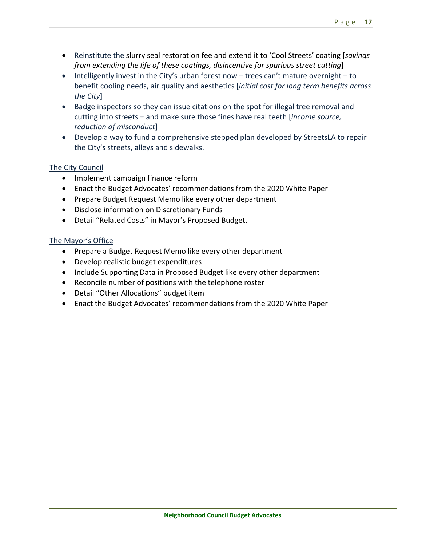- Reinstitute the slurry seal restoration fee and extend it to 'Cool Streets' coating [*savings from extending the life of these coatings, disincentive for spurious street cutting*]
- Intelligently invest in the City's urban forest now trees can't mature overnight to benefit cooling needs, air quality and aesthetics [*initial cost for long term benefits across the City*]
- Badge inspectors so they can issue citations on the spot for illegal tree removal and cutting into streets = and make sure those fines have real teeth [*income source, reduction of misconduct*]
- Develop a way to fund a comprehensive stepped plan developed by StreetsLA to repair the City's streets, alleys and sidewalks.

#### The City Council

- Implement campaign finance reform
- Enact the Budget Advocates' recommendations from the 2020 White Paper
- Prepare Budget Request Memo like every other department
- Disclose information on Discretionary Funds
- Detail "Related Costs" in Mayor's Proposed Budget.

#### The Mayor's Office

- Prepare a Budget Request Memo like every other department
- Develop realistic budget expenditures
- Include Supporting Data in Proposed Budget like every other department
- Reconcile number of positions with the telephone roster
- Detail "Other Allocations" budget item
- Enact the Budget Advocates' recommendations from the 2020 White Paper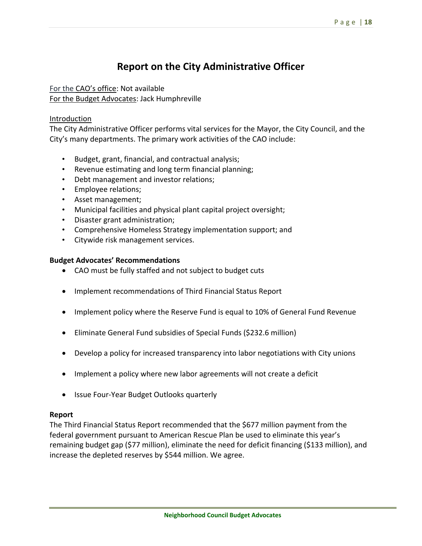## **Report on the City Administrative Officer**

For the CAO's office: Not available For the Budget Advocates: Jack Humphreville

#### Introduction

The City Administrative Officer performs vital services for the Mayor, the City Council, and the City's many departments. The primary work activities of the CAO include:

- Budget, grant, financial, and contractual analysis;
- Revenue estimating and long term financial planning;
- Debt management and investor relations;
- Employee relations;
- Asset management;
- Municipal facilities and physical plant capital project oversight;
- Disaster grant administration;
- Comprehensive Homeless Strategy implementation support; and
- Citywide risk management services.

#### **Budget Advocates' Recommendations**

- CAO must be fully staffed and not subject to budget cuts
- Implement recommendations of Third Financial Status Report
- Implement policy where the Reserve Fund is equal to 10% of General Fund Revenue
- Eliminate General Fund subsidies of Special Funds (\$232.6 million)
- Develop a policy for increased transparency into labor negotiations with City unions
- Implement a policy where new labor agreements will not create a deficit
- Issue Four-Year Budget Outlooks quarterly

#### **Report**

The Third Financial Status Report recommended that the \$677 million payment from the federal government pursuant to American Rescue Plan be used to eliminate this year's remaining budget gap (\$77 million), eliminate the need for deficit financing (\$133 million), and increase the depleted reserves by \$544 million. We agree.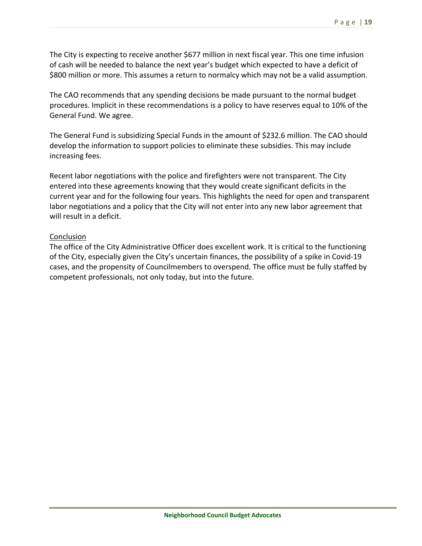The City is expecting to receive another \$677 million in next fiscal year. This one time infusion of cash will be needed to balance the next year's budget which expected to have a deficit of \$800 million or more. This assumes a return to normalcy which may not be a valid assumption.

The CAO recommends that any spending decisions be made pursuant to the normal budget procedures. Implicit in these recommendations is a policy to have reserves equal to 10% of the General Fund. We agree.

The General Fund is subsidizing Special Funds in the amount of \$232.6 million. The CAO should develop the information to support policies to eliminate these subsidies. This may include increasing fees.

Recent labor negotiations with the police and firefighters were not transparent. The City entered into these agreements knowing that they would create significant deficits in the current year and for the following four years. This highlights the need for open and transparent labor negotiations and a policy that the City will not enter into any new labor agreement that will result in a deficit.

#### Conclusion

The office of the City Administrative Officer does excellent work. It is critical to the functioning of the City, especially given the City's uncertain finances, the possibility of a spike in Covid‐19 cases, and the propensity of Councilmembers to overspend. The office must be fully staffed by competent professionals, not only today, but into the future.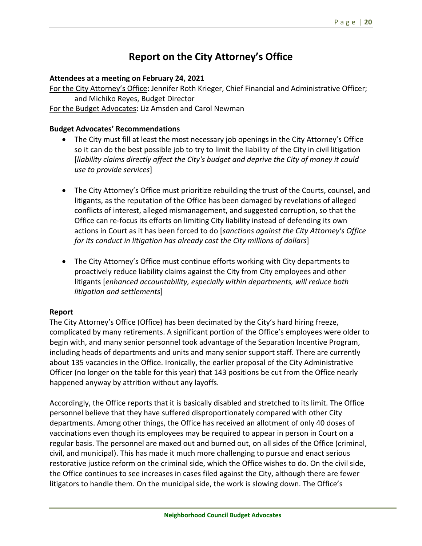## **Report on the City Attorney's Office**

#### **Attendees at a meeting on February 24, 2021**

For the City Attorney's Office: Jennifer Roth Krieger, Chief Financial and Administrative Officer; and Michiko Reyes, Budget Director For the Budget Advocates: Liz Amsden and Carol Newman

#### **Budget Advocates' Recommendations**

- The City must fill at least the most necessary job openings in the City Attorney's Office so it can do the best possible job to try to limit the liability of the City in civil litigation [*liability claims directly affect the City's budget and deprive the City of money it could use to provide services*]
- The City Attorney's Office must prioritize rebuilding the trust of the Courts, counsel, and litigants, as the reputation of the Office has been damaged by revelations of alleged conflicts of interest, alleged mismanagement, and suggested corruption, so that the Office can re‐focus its efforts on limiting City liability instead of defending its own actions in Court as it has been forced to do [*sanctions against the City Attorney's Office for its conduct in litigation has already cost the City millions of dollars*]
- The City Attorney's Office must continue efforts working with City departments to proactively reduce liability claims against the City from City employees and other litigants [*enhanced accountability, especially within departments, will reduce both litigation and settlements*]

#### **Report**

The City Attorney's Office (Office) has been decimated by the City's hard hiring freeze, complicated by many retirements. A significant portion of the Office's employees were older to begin with, and many senior personnel took advantage of the Separation Incentive Program, including heads of departments and units and many senior support staff. There are currently about 135 vacancies in the Office. Ironically, the earlier proposal of the City Administrative Officer (no longer on the table for this year) that 143 positions be cut from the Office nearly happened anyway by attrition without any layoffs.

Accordingly, the Office reports that it is basically disabled and stretched to its limit. The Office personnel believe that they have suffered disproportionately compared with other City departments. Among other things, the Office has received an allotment of only 40 doses of vaccinations even though its employees may be required to appear in person in Court on a regular basis. The personnel are maxed out and burned out, on all sides of the Office (criminal, civil, and municipal). This has made it much more challenging to pursue and enact serious restorative justice reform on the criminal side, which the Office wishes to do. On the civil side, the Office continues to see increases in cases filed against the City, although there are fewer litigators to handle them. On the municipal side, the work is slowing down. The Office's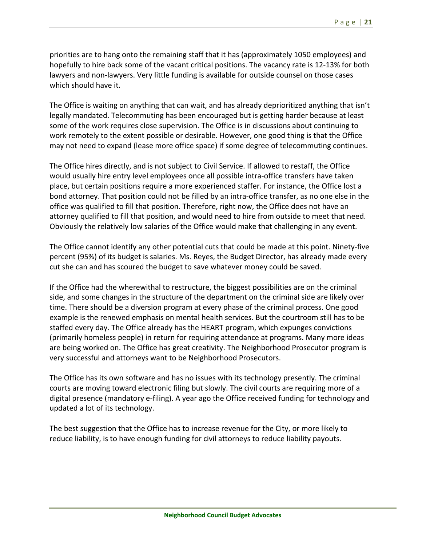priorities are to hang onto the remaining staff that it has (approximately 1050 employees) and hopefully to hire back some of the vacant critical positions. The vacancy rate is 12‐13% for both lawyers and non‐lawyers. Very little funding is available for outside counsel on those cases which should have it.

The Office is waiting on anything that can wait, and has already deprioritized anything that isn't legally mandated. Telecommuting has been encouraged but is getting harder because at least some of the work requires close supervision. The Office is in discussions about continuing to work remotely to the extent possible or desirable. However, one good thing is that the Office may not need to expand (lease more office space) if some degree of telecommuting continues.

The Office hires directly, and is not subject to Civil Service. If allowed to restaff, the Office would usually hire entry level employees once all possible intra-office transfers have taken place, but certain positions require a more experienced staffer. For instance, the Office lost a bond attorney. That position could not be filled by an intra‐office transfer, as no one else in the office was qualified to fill that position. Therefore, right now, the Office does not have an attorney qualified to fill that position, and would need to hire from outside to meet that need. Obviously the relatively low salaries of the Office would make that challenging in any event.

The Office cannot identify any other potential cuts that could be made at this point. Ninety‐five percent (95%) of its budget is salaries. Ms. Reyes, the Budget Director, has already made every cut she can and has scoured the budget to save whatever money could be saved.

If the Office had the wherewithal to restructure, the biggest possibilities are on the criminal side, and some changes in the structure of the department on the criminal side are likely over time. There should be a diversion program at every phase of the criminal process. One good example is the renewed emphasis on mental health services. But the courtroom still has to be staffed every day. The Office already has the HEART program, which expunges convictions (primarily homeless people) in return for requiring attendance at programs. Many more ideas are being worked on. The Office has great creativity. The Neighborhood Prosecutor program is very successful and attorneys want to be Neighborhood Prosecutors.

The Office has its own software and has no issues with its technology presently. The criminal courts are moving toward electronic filing but slowly. The civil courts are requiring more of a digital presence (mandatory e‐filing). A year ago the Office received funding for technology and updated a lot of its technology.

The best suggestion that the Office has to increase revenue for the City, or more likely to reduce liability, is to have enough funding for civil attorneys to reduce liability payouts.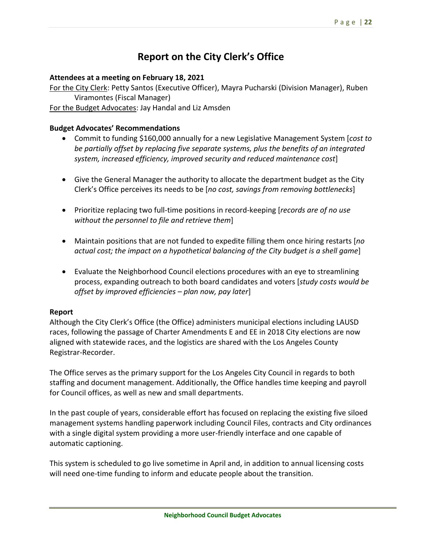## **Report on the City Clerk's Office**

#### **Attendees at a meeting on February 18, 2021**

For the City Clerk: Petty Santos (Executive Officer), Mayra Pucharski (Division Manager), Ruben Viramontes (Fiscal Manager)

For the Budget Advocates: Jay Handal and Liz Amsden

#### **Budget Advocates' Recommendations**

- Commit to funding \$160,000 annually for a new Legislative Management System [*cost to be partially offset by replacing five separate systems, plus the benefits of an integrated system, increased efficiency, improved security and reduced maintenance cost*]
- Give the General Manager the authority to allocate the department budget as the City Clerk's Office perceives its needs to be [*no cost, savings from removing bottlenecks*]
- Prioritize replacing two full‐time positions in record‐keeping [*records are of no use without the personnel to file and retrieve them*]
- Maintain positions that are not funded to expedite filling them once hiring restarts [*no actual cost; the impact on a hypothetical balancing of the City budget is a shell game*]
- Evaluate the Neighborhood Council elections procedures with an eye to streamlining process, expanding outreach to both board candidates and voters [*study costs would be offset by improved efficiencies – plan now, pay later*]

#### **Report**

Although the City Clerk's Office (the Office) administers municipal elections including LAUSD races, following the passage of Charter Amendments E and EE in 2018 City elections are now aligned with statewide races, and the logistics are shared with the Los Angeles County Registrar‐Recorder.

The Office serves as the primary support for the Los Angeles City Council in regards to both staffing and document management. Additionally, the Office handles time keeping and payroll for Council offices, as well as new and small departments.

In the past couple of years, considerable effort has focused on replacing the existing five siloed management systems handling paperwork including Council Files, contracts and City ordinances with a single digital system providing a more user-friendly interface and one capable of automatic captioning.

This system is scheduled to go live sometime in April and, in addition to annual licensing costs will need one-time funding to inform and educate people about the transition.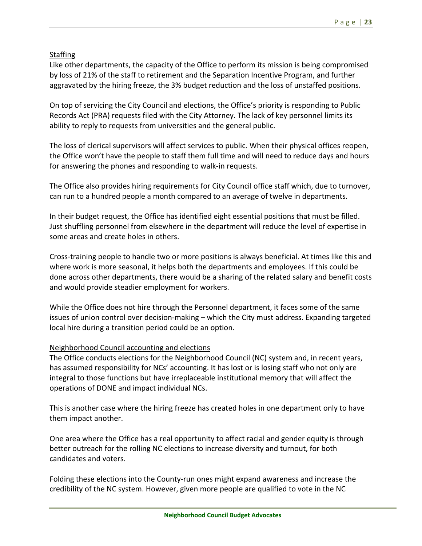#### **Staffing**

Like other departments, the capacity of the Office to perform its mission is being compromised by loss of 21% of the staff to retirement and the Separation Incentive Program, and further aggravated by the hiring freeze, the 3% budget reduction and the loss of unstaffed positions.

On top of servicing the City Council and elections, the Office's priority is responding to Public Records Act (PRA) requests filed with the City Attorney. The lack of key personnel limits its ability to reply to requests from universities and the general public.

The loss of clerical supervisors will affect services to public. When their physical offices reopen, the Office won't have the people to staff them full time and will need to reduce days and hours for answering the phones and responding to walk‐in requests.

The Office also provides hiring requirements for City Council office staff which, due to turnover, can run to a hundred people a month compared to an average of twelve in departments.

In their budget request, the Office has identified eight essential positions that must be filled. Just shuffling personnel from elsewhere in the department will reduce the level of expertise in some areas and create holes in others.

Cross‐training people to handle two or more positions is always beneficial. At times like this and where work is more seasonal, it helps both the departments and employees. If this could be done across other departments, there would be a sharing of the related salary and benefit costs and would provide steadier employment for workers.

While the Office does not hire through the Personnel department, it faces some of the same issues of union control over decision-making – which the City must address. Expanding targeted local hire during a transition period could be an option.

#### Neighborhood Council accounting and elections

The Office conducts elections for the Neighborhood Council (NC) system and, in recent years, has assumed responsibility for NCs' accounting. It has lost or is losing staff who not only are integral to those functions but have irreplaceable institutional memory that will affect the operations of DONE and impact individual NCs.

This is another case where the hiring freeze has created holes in one department only to have them impact another.

One area where the Office has a real opportunity to affect racial and gender equity is through better outreach for the rolling NC elections to increase diversity and turnout, for both candidates and voters.

Folding these elections into the County‐run ones might expand awareness and increase the credibility of the NC system. However, given more people are qualified to vote in the NC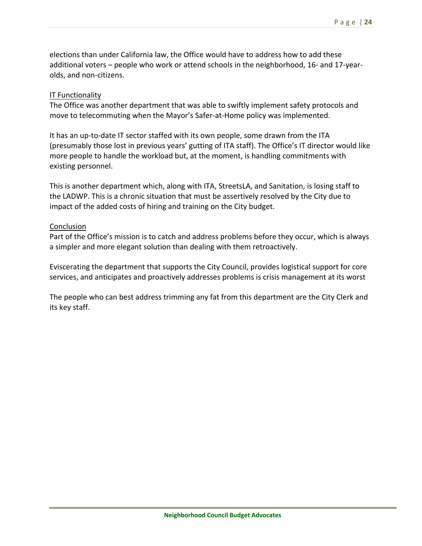elections than under California law, the Office would have to address how to add these additional voters – people who work or attend schools in the neighborhood, 16‐ and 17‐year‐ olds, and non‐citizens.

#### IT Functionality

The Office was another department that was able to swiftly implement safety protocols and move to telecommuting when the Mayor's Safer‐at‐Home policy was implemented.

It has an up-to-date IT sector staffed with its own people, some drawn from the ITA (presumably those lost in previous years' gutting of ITA staff). The Office's IT director would like more people to handle the workload but, at the moment, is handling commitments with existing personnel.

This is another department which, along with ITA, StreetsLA, and Sanitation, is losing staff to the LADWP. This is a chronic situation that must be assertively resolved by the City due to impact of the added costs of hiring and training on the City budget.

#### Conclusion

Part of the Office's mission is to catch and address problems before they occur, which is always a simpler and more elegant solution than dealing with them retroactively.

Eviscerating the department that supports the City Council, provides logistical support for core services, and anticipates and proactively addresses problems is crisis management at its worst

The people who can best address trimming any fat from this department are the City Clerk and its key staff.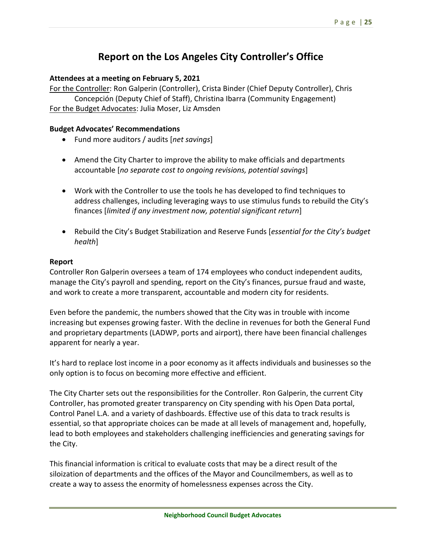## **Report on the Los Angeles City Controller's Office**

#### **Attendees at a meeting on February 5, 2021**

For the Controller: Ron Galperin (Controller), Crista Binder (Chief Deputy Controller), Chris Concepción (Deputy Chief of Staff), Christina Ibarra (Community Engagement) For the Budget Advocates: Julia Moser, Liz Amsden

#### **Budget Advocates' Recommendations**

- Fund more auditors / audits [*net savings*]
- Amend the City Charter to improve the ability to make officials and departments accountable [*no separate cost to ongoing revisions, potential savings*]
- Work with the Controller to use the tools he has developed to find techniques to address challenges, including leveraging ways to use stimulus funds to rebuild the City's finances [*limited if any investment now, potential significant return*]
- Rebuild the City's Budget Stabilization and Reserve Funds [*essential for the City's budget health*]

#### **Report**

Controller Ron Galperin oversees a team of 174 employees who conduct independent audits, manage the City's payroll and spending, report on the City's finances, pursue fraud and waste, and work to create a more transparent, accountable and modern city for residents.

Even before the pandemic, the numbers showed that the City was in trouble with income increasing but expenses growing faster. With the decline in revenues for both the General Fund and proprietary departments (LADWP, ports and airport), there have been financial challenges apparent for nearly a year.

It's hard to replace lost income in a poor economy as it affects individuals and businesses so the only option is to focus on becoming more effective and efficient.

The City Charter sets out the responsibilities for the Controller. Ron Galperin, the current City Controller, has promoted greater transparency on City spending with his Open Data portal, Control Panel L.A. and a variety of dashboards. Effective use of this data to track results is essential, so that appropriate choices can be made at all levels of management and, hopefully, lead to both employees and stakeholders challenging inefficiencies and generating savings for the City.

This financial information is critical to evaluate costs that may be a direct result of the siloization of departments and the offices of the Mayor and Councilmembers, as well as to create a way to assess the enormity of homelessness expenses across the City.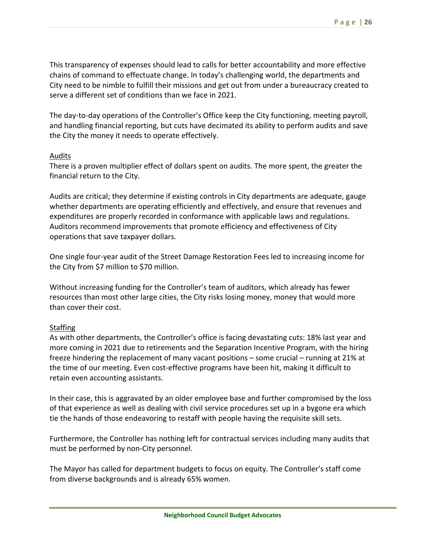This transparency of expenses should lead to calls for better accountability and more effective chains of command to effectuate change. In today's challenging world, the departments and City need to be nimble to fulfill their missions and get out from under a bureaucracy created to serve a different set of conditions than we face in 2021.

The dav-to-dav operations of the Controller's Office keep the City functioning, meeting payroll, and handling financial reporting, but cuts have decimated its ability to perform audits and save the City the money it needs to operate effectively.

#### Audits

There is a proven multiplier effect of dollars spent on audits. The more spent, the greater the financial return to the City.

Audits are critical; they determine if existing controls in City departments are adequate, gauge whether departments are operating efficiently and effectively, and ensure that revenues and expenditures are properly recorded in conformance with applicable laws and regulations. Auditors recommend improvements that promote efficiency and effectiveness of City operations that save taxpayer dollars.

One single four‐year audit of the Street Damage Restoration Fees led to increasing income for the City from \$7 million to \$70 million.

Without increasing funding for the Controller's team of auditors, which already has fewer resources than most other large cities, the City risks losing money, money that would more than cover their cost.

#### **Staffing**

As with other departments, the Controller's office is facing devastating cuts: 18% last year and more coming in 2021 due to retirements and the Separation Incentive Program, with the hiring freeze hindering the replacement of many vacant positions – some crucial – running at 21% at the time of our meeting. Even cost‐effective programs have been hit, making it difficult to retain even accounting assistants.

In their case, this is aggravated by an older employee base and further compromised by the loss of that experience as well as dealing with civil service procedures set up in a bygone era which tie the hands of those endeavoring to restaff with people having the requisite skill sets.

Furthermore, the Controller has nothing left for contractual services including many audits that must be performed by non‐City personnel.

The Mayor has called for department budgets to focus on equity. The Controller's staff come from diverse backgrounds and is already 65% women.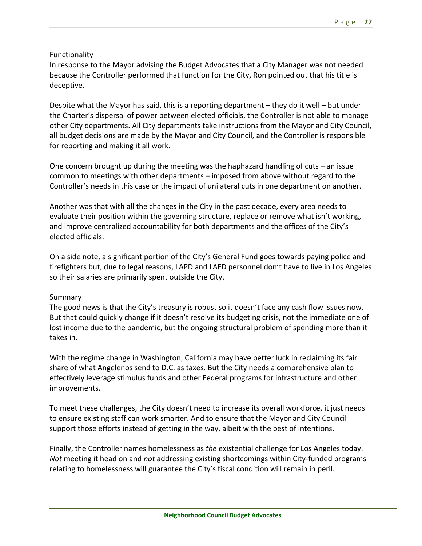#### Functionality

In response to the Mayor advising the Budget Advocates that a City Manager was not needed because the Controller performed that function for the City, Ron pointed out that his title is deceptive.

Despite what the Mayor has said, this is a reporting department – they do it well – but under the Charter's dispersal of power between elected officials, the Controller is not able to manage other City departments. All City departments take instructions from the Mayor and City Council, all budget decisions are made by the Mayor and City Council, and the Controller is responsible for reporting and making it all work.

One concern brought up during the meeting was the haphazard handling of cuts – an issue common to meetings with other departments – imposed from above without regard to the Controller's needs in this case or the impact of unilateral cuts in one department on another.

Another was that with all the changes in the City in the past decade, every area needs to evaluate their position within the governing structure, replace or remove what isn't working, and improve centralized accountability for both departments and the offices of the City's elected officials.

On a side note, a significant portion of the City's General Fund goes towards paying police and firefighters but, due to legal reasons, LAPD and LAFD personnel don't have to live in Los Angeles so their salaries are primarily spent outside the City.

#### Summary

The good news is that the City's treasury is robust so it doesn't face any cash flow issues now. But that could quickly change if it doesn't resolve its budgeting crisis, not the immediate one of lost income due to the pandemic, but the ongoing structural problem of spending more than it takes in.

With the regime change in Washington, California may have better luck in reclaiming its fair share of what Angelenos send to D.C. as taxes. But the City needs a comprehensive plan to effectively leverage stimulus funds and other Federal programs for infrastructure and other improvements.

To meet these challenges, the City doesn't need to increase its overall workforce, it just needs to ensure existing staff can work smarter. And to ensure that the Mayor and City Council support those efforts instead of getting in the way, albeit with the best of intentions.

Finally, the Controller names homelessness as *the* existential challenge for Los Angeles today. *Not* meeting it head on and *not* addressing existing shortcomings within City‐funded programs relating to homelessness will guarantee the City's fiscal condition will remain in peril.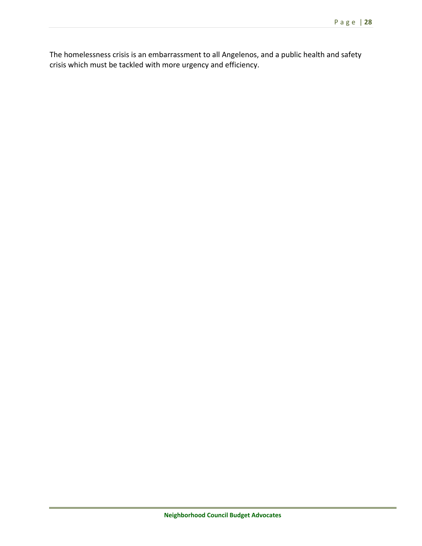The homelessness crisis is an embarrassment to all Angelenos, and a public health and safety crisis which must be tackled with more urgency and efficiency.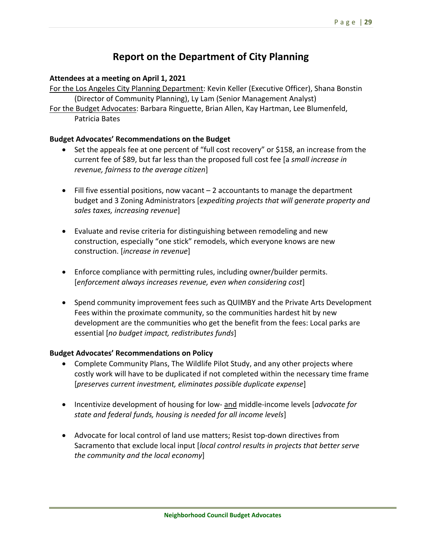### **Report on the Department of City Planning**

#### **Attendees at a meeting on April 1, 2021**

For the Los Angeles City Planning Department: Kevin Keller (Executive Officer), Shana Bonstin (Director of Community Planning), Ly Lam (Senior Management Analyst)

For the Budget Advocates: Barbara Ringuette, Brian Allen, Kay Hartman, Lee Blumenfeld, Patricia Bates

#### **Budget Advocates' Recommendations on the Budget**

- Set the appeals fee at one percent of "full cost recovery" or \$158, an increase from the current fee of \$89, but far less than the proposed full cost fee [a *small increase in revenue, fairness to the average citizen*]
- $\bullet$  Fill five essential positions, now vacant  $-2$  accountants to manage the department budget and 3 Zoning Administrators [*expediting projects that will generate property and sales taxes, increasing revenue*]
- Evaluate and revise criteria for distinguishing between remodeling and new construction, especially "one stick" remodels, which everyone knows are new construction. [*increase in revenue*]
- Enforce compliance with permitting rules, including owner/builder permits. [*enforcement always increases revenue, even when considering cost*]
- Spend community improvement fees such as QUIMBY and the Private Arts Development Fees within the proximate community, so the communities hardest hit by new development are the communities who get the benefit from the fees: Local parks are essential [*no budget impact, redistributes funds*]

#### **Budget Advocates' Recommendations on Policy**

- Complete Community Plans, The Wildlife Pilot Study, and any other projects where costly work will have to be duplicated if not completed within the necessary time frame [*preserves current investment, eliminates possible duplicate expense*]
- Incentivize development of housing for low- and middle-income levels [*advocate for state and federal funds, housing is needed for all income levels*]
- Advocate for local control of land use matters; Resist top-down directives from Sacramento that exclude local input [*local control results in projects that better serve the community and the local economy*]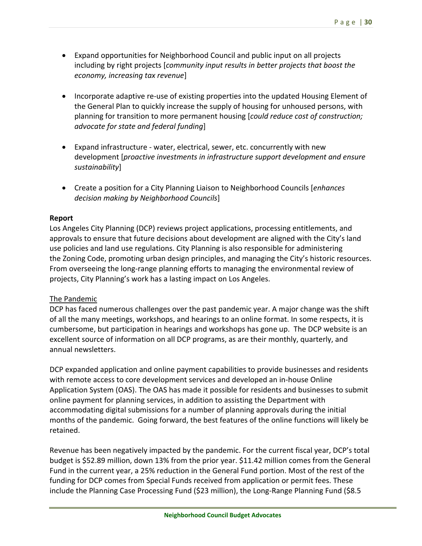- Expand opportunities for Neighborhood Council and public input on all projects including by right projects [*community input results in better projects that boost the economy, increasing tax revenue*]
- Incorporate adaptive re-use of existing properties into the updated Housing Element of the General Plan to quickly increase the supply of housing for unhoused persons, with planning for transition to more permanent housing [*could reduce cost of construction; advocate for state and federal funding*]
- Expand infrastructure ‐ water, electrical, sewer, etc. concurrently with new development [*proactive investments in infrastructure support development and ensure sustainability*]
- Create a position for a City Planning Liaison to Neighborhood Councils [*enhances decision making by Neighborhood Councils*]

#### **Report**

Los Angeles City Planning (DCP) reviews project applications, processing entitlements, and approvals to ensure that future decisions about development are aligned with the City's land use policies and land use regulations. City Planning is also responsible for administering the Zoning Code, promoting urban design principles, and managing the City's historic resources. From overseeing the long-range planning efforts to managing the environmental review of projects, City Planning's work has a lasting impact on Los Angeles.

#### The Pandemic

DCP has faced numerous challenges over the past pandemic year. A major change was the shift of all the many meetings, workshops, and hearings to an online format. In some respects, it is cumbersome, but participation in hearings and workshops has gone up. The DCP website is an excellent source of information on all DCP programs, as are their monthly, quarterly, and annual newsletters.

DCP expanded application and online payment capabilities to provide businesses and residents with remote access to core development services and developed an in‐house Online Application System (OAS). The OAS has made it possible for residents and businesses to submit online payment for planning services, in addition to assisting the Department with accommodating digital submissions for a number of planning approvals during the initial months of the pandemic. Going forward, the best features of the online functions will likely be retained.

Revenue has been negatively impacted by the pandemic. For the current fiscal year, DCP's total budget is \$52.89 million, down 13% from the prior year. \$11.42 million comes from the General Fund in the current year, a 25% reduction in the General Fund portion. Most of the rest of the funding for DCP comes from Special Funds received from application or permit fees. These include the Planning Case Processing Fund (\$23 million), the Long‐Range Planning Fund (\$8.5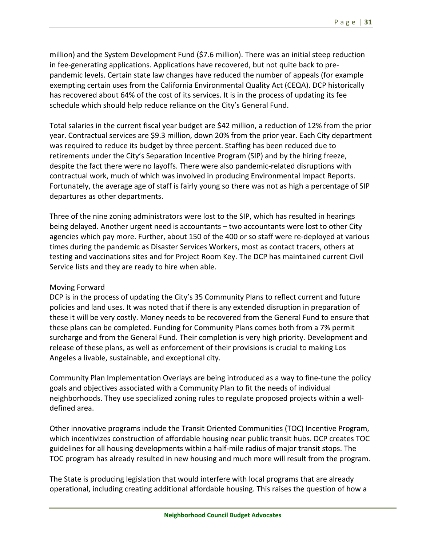million) and the System Development Fund (\$7.6 million). There was an initial steep reduction in fee‐generating applications. Applications have recovered, but not quite back to pre‐ pandemic levels. Certain state law changes have reduced the number of appeals (for example exempting certain uses from the California Environmental Quality Act (CEQA). DCP historically has recovered about 64% of the cost of its services. It is in the process of updating its fee schedule which should help reduce reliance on the City's General Fund.

Total salaries in the current fiscal year budget are \$42 million, a reduction of 12% from the prior year. Contractual services are \$9.3 million, down 20% from the prior year. Each City department was required to reduce its budget by three percent. Staffing has been reduced due to retirements under the City's Separation Incentive Program (SIP) and by the hiring freeze, despite the fact there were no layoffs. There were also pandemic‐related disruptions with contractual work, much of which was involved in producing Environmental Impact Reports. Fortunately, the average age of staff is fairly young so there was not as high a percentage of SIP departures as other departments.

Three of the nine zoning administrators were lost to the SIP, which has resulted in hearings being delayed. Another urgent need is accountants – two accountants were lost to other City agencies which pay more. Further, about 150 of the 400 or so staff were re‐deployed at various times during the pandemic as Disaster Services Workers, most as contact tracers, others at testing and vaccinations sites and for Project Room Key. The DCP has maintained current Civil Service lists and they are ready to hire when able.

#### Moving Forward

DCP is in the process of updating the City's 35 Community Plans to reflect current and future policies and land uses. It was noted that if there is any extended disruption in preparation of these it will be very costly. Money needs to be recovered from the General Fund to ensure that these plans can be completed. Funding for Community Plans comes both from a 7% permit surcharge and from the General Fund. Their completion is very high priority. Development and release of these plans, as well as enforcement of their provisions is crucial to making Los Angeles a livable, sustainable, and exceptional city.

Community Plan Implementation Overlays are being introduced as a way to fine‐tune the policy goals and objectives associated with a Community Plan to fit the needs of individual neighborhoods. They use specialized zoning rules to regulate proposed projects within a well‐ defined area.

Other innovative programs include the Transit Oriented Communities (TOC) Incentive Program, which incentivizes construction of affordable housing near public transit hubs. DCP creates TOC guidelines for all housing developments within a half‐mile radius of major transit stops. The TOC program has already resulted in new housing and much more will result from the program.

The State is producing legislation that would interfere with local programs that are already operational, including creating additional affordable housing. This raises the question of how a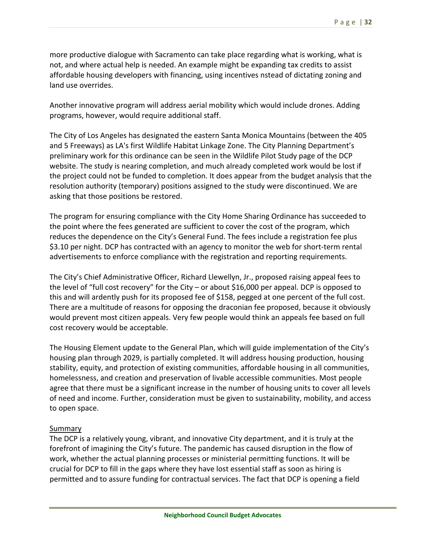more productive dialogue with Sacramento can take place regarding what is working, what is not, and where actual help is needed. An example might be expanding tax credits to assist affordable housing developers with financing, using incentives nstead of dictating zoning and land use overrides.

Another innovative program will address aerial mobility which would include drones. Adding programs, however, would require additional staff.

The City of Los Angeles has designated the eastern Santa Monica Mountains (between the 405 and 5 Freeways) as LA's first Wildlife Habitat Linkage Zone. The City Planning Department's preliminary work for this ordinance can be seen in the Wildlife Pilot Study page of the DCP website. The study is nearing completion, and much already completed work would be lost if the project could not be funded to completion. It does appear from the budget analysis that the resolution authority (temporary) positions assigned to the study were discontinued. We are asking that those positions be restored.

The program for ensuring compliance with the City Home Sharing Ordinance has succeeded to the point where the fees generated are sufficient to cover the cost of the program, which reduces the dependence on the City's General Fund. The fees include a registration fee plus \$3.10 per night. DCP has contracted with an agency to monitor the web for short-term rental advertisements to enforce compliance with the registration and reporting requirements.

The City's Chief Administrative Officer, Richard Llewellyn, Jr., proposed raising appeal fees to the level of "full cost recovery" for the City – or about \$16,000 per appeal. DCP is opposed to this and will ardently push for its proposed fee of \$158, pegged at one percent of the full cost. There are a multitude of reasons for opposing the draconian fee proposed, because it obviously would prevent most citizen appeals. Very few people would think an appeals fee based on full cost recovery would be acceptable.

The Housing Element update to the General Plan, which will guide implementation of the City's housing plan through 2029, is partially completed. It will address housing production, housing stability, equity, and protection of existing communities, affordable housing in all communities, homelessness, and creation and preservation of livable accessible communities. Most people agree that there must be a significant increase in the number of housing units to cover all levels of need and income. Further, consideration must be given to sustainability, mobility, and access to open space.

#### **Summary**

The DCP is a relatively young, vibrant, and innovative City department, and it is truly at the forefront of imagining the City's future. The pandemic has caused disruption in the flow of work, whether the actual planning processes or ministerial permitting functions. It will be crucial for DCP to fill in the gaps where they have lost essential staff as soon as hiring is permitted and to assure funding for contractual services. The fact that DCP is opening a field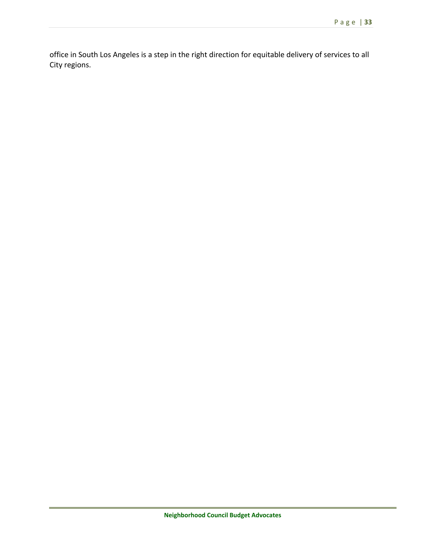office in South Los Angeles is a step in the right direction for equitable delivery of services to all City regions.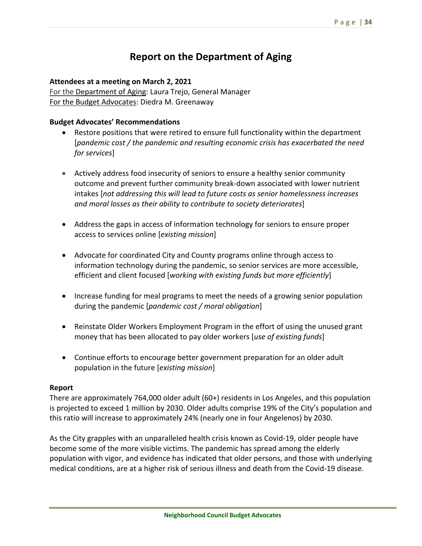## **Report on the Department of Aging**

#### **Attendees at a meeting on March 2, 2021**

For the Department of Aging: Laura Trejo, General Manager For the Budget Advocates: Diedra M. Greenaway

#### **Budget Advocates' Recommendations**

- Restore positions that were retired to ensure full functionality within the department [*pandemic cost / the pandemic and resulting economic crisis has exacerbated the need for services*]
- Actively address food insecurity of seniors to ensure a healthy senior community outcome and prevent further community break‐down associated with lower nutrient intakes [*not addressing this will lead to future costs as senior homelessness increases and moral losses as their ability to contribute to society deteriorates*]
- Address the gaps in access of information technology for seniors to ensure proper access to services online [*existing mission*]
- Advocate for coordinated City and County programs online through access to information technology during the pandemic, so senior services are more accessible, efficient and client focused [*working with existing funds but more efficiently*]
- Increase funding for meal programs to meet the needs of a growing senior population during the pandemic [*pandemic cost / moral obligation*]
- Reinstate Older Workers Employment Program in the effort of using the unused grant money that has been allocated to pay older workers [*use of existing funds*]
- Continue efforts to encourage better government preparation for an older adult population in the future [*existing mission*]

#### **Report**

There are approximately 764,000 older adult (60+) residents in Los Angeles, and this population is projected to exceed 1 million by 2030. Older adults comprise 19% of the City's population and this ratio will increase to approximately 24% (nearly one in four Angelenos) by 2030.

As the City grapples with an unparalleled health crisis known as Covid‐19, older people have become some of the more visible victims. The pandemic has spread among the elderly population with vigor, and evidence has indicated that older persons, and those with underlying medical conditions, are at a higher risk of serious illness and death from the Covid‐19 disease.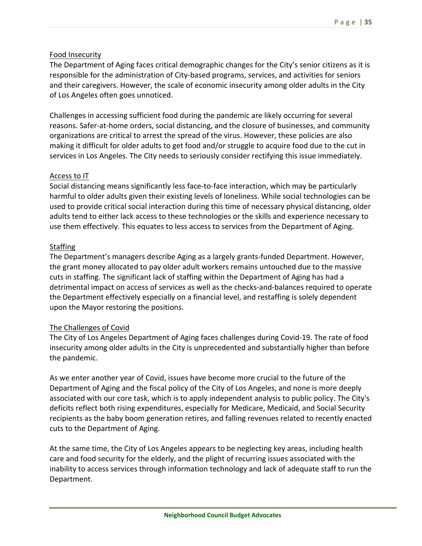#### Food Insecurity

The Department of Aging faces critical demographic changes for the City's senior citizens as it is responsible for the administration of City‐based programs, services, and activities for seniors and their caregivers. However, the scale of economic insecurity among older adults in the City of Los Angeles often goes unnoticed.

Challenges in accessing sufficient food during the pandemic are likely occurring for several reasons. Safer-at-home orders, social distancing, and the closure of businesses, and community organizations are critical to arrest the spread of the virus. However, these policies are also making it difficult for older adults to get food and/or struggle to acquire food due to the cut in services in Los Angeles. The City needs to seriously consider rectifying this issue immediately.

#### Access to IT

Social distancing means significantly less face‐to‐face interaction, which may be particularly harmful to older adults given their existing levels of loneliness. While social technologies can be used to provide critical social interaction during this time of necessary physical distancing, older adults tend to either lack access to these technologies or the skills and experience necessary to use them effectively. This equates to less access to services from the Department of Aging.

#### **Staffing**

The Department's managers describe Aging as a largely grants‐funded Department. However, the grant money allocated to pay older adult workers remains untouched due to the massive cuts in staffing. The significant lack of staffing within the Department of Aging has had a detrimental impact on access of services as well as the checks‐and‐balances required to operate the Department effectively especially on a financial level, and restaffing is solely dependent upon the Mayor restoring the positions.

#### The Challenges of Covid

The City of Los Angeles Department of Aging faces challenges during Covid‐19. The rate of food insecurity among older adults in the City is unprecedented and substantially higher than before the pandemic.

As we enter another year of Covid, issues have become more crucial to the future of the Department of Aging and the fiscal policy of the City of Los Angeles, and none is more deeply associated with our core task, which is to apply independent analysis to public policy. The City's deficits reflect both rising expenditures, especially for Medicare, Medicaid, and Social Security recipients as the baby boom generation retires, and falling revenues related to recently enacted cuts to the Department of Aging.

At the same time, the City of Los Angeles appears to be neglecting key areas, including health care and food security for the elderly, and the plight of recurring issues associated with the inability to access services through information technology and lack of adequate staff to run the Department.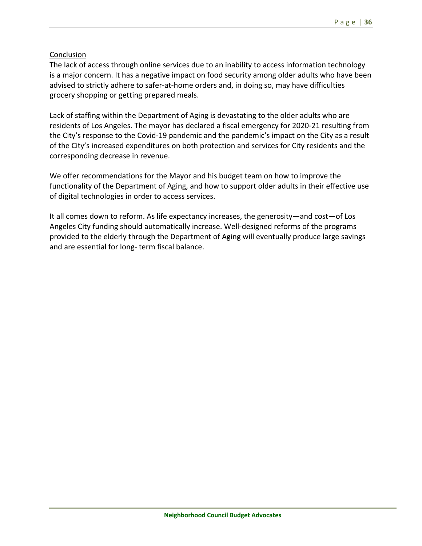# Conclusion

The lack of access through online services due to an inability to access information technology is a major concern. It has a negative impact on food security among older adults who have been advised to strictly adhere to safer‐at‐home orders and, in doing so, may have difficulties grocery shopping or getting prepared meals.

Lack of staffing within the Department of Aging is devastating to the older adults who are residents of Los Angeles. The mayor has declared a fiscal emergency for 2020‐21 resulting from the City's response to the Covid‐19 pandemic and the pandemic's impact on the City as a result of the City's increased expenditures on both protection and services for City residents and the corresponding decrease in revenue.

We offer recommendations for the Mayor and his budget team on how to improve the functionality of the Department of Aging, and how to support older adults in their effective use of digital technologies in order to access services.

It all comes down to reform. As life expectancy increases, the generosity—and cost—of Los Angeles City funding should automatically increase. Well‐designed reforms of the programs provided to the elderly through the Department of Aging will eventually produce large savings and are essential for long‐ term fiscal balance.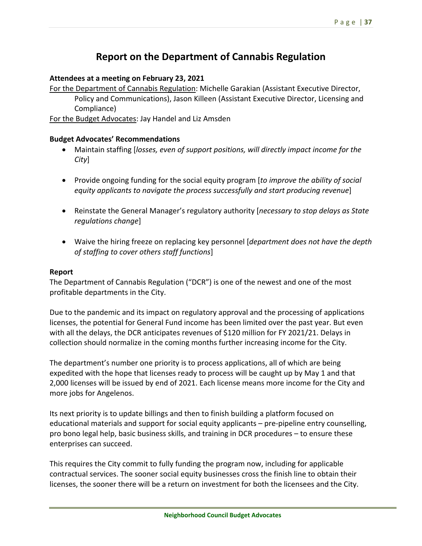# **Report on the Department of Cannabis Regulation**

## **Attendees at a meeting on February 23, 2021**

For the Department of Cannabis Regulation: Michelle Garakian (Assistant Executive Director, Policy and Communications), Jason Killeen (Assistant Executive Director, Licensing and Compliance)

For the Budget Advocates: Jay Handel and Liz Amsden

## **Budget Advocates' Recommendations**

- Maintain staffing [*losses, even of support positions, will directly impact income for the City*]
- Provide ongoing funding for the social equity program [*to improve the ability of social equity applicants to navigate the process successfully and start producing revenue*]
- Reinstate the General Manager's regulatory authority [*necessary to stop delays as State regulations change*]
- Waive the hiring freeze on replacing key personnel [*department does not have the depth of staffing to cover others staff functions*]

## **Report**

The Department of Cannabis Regulation ("DCR") is one of the newest and one of the most profitable departments in the City.

Due to the pandemic and its impact on regulatory approval and the processing of applications licenses, the potential for General Fund income has been limited over the past year. But even with all the delays, the DCR anticipates revenues of \$120 million for FY 2021/21. Delays in collection should normalize in the coming months further increasing income for the City.

The department's number one priority is to process applications, all of which are being expedited with the hope that licenses ready to process will be caught up by May 1 and that 2,000 licenses will be issued by end of 2021. Each license means more income for the City and more jobs for Angelenos.

Its next priority is to update billings and then to finish building a platform focused on educational materials and support for social equity applicants – pre-pipeline entry counselling, pro bono legal help, basic business skills, and training in DCR procedures – to ensure these enterprises can succeed.

This requires the City commit to fully funding the program now, including for applicable contractual services. The sooner social equity businesses cross the finish line to obtain their licenses, the sooner there will be a return on investment for both the licensees and the City.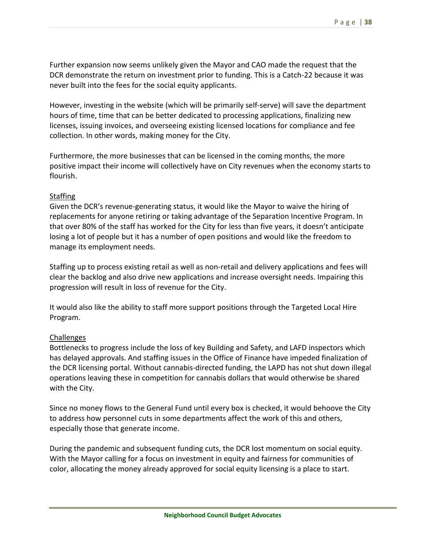Further expansion now seems unlikely given the Mayor and CAO made the request that the DCR demonstrate the return on investment prior to funding. This is a Catch-22 because it was never built into the fees for the social equity applicants.

However, investing in the website (which will be primarily self‐serve) will save the department hours of time, time that can be better dedicated to processing applications, finalizing new licenses, issuing invoices, and overseeing existing licensed locations for compliance and fee collection. In other words, making money for the City.

Furthermore, the more businesses that can be licensed in the coming months, the more positive impact their income will collectively have on City revenues when the economy starts to flourish.

### Staffing

Given the DCR's revenue‐generating status, it would like the Mayor to waive the hiring of replacements for anyone retiring or taking advantage of the Separation Incentive Program. In that over 80% of the staff has worked for the City for less than five years, it doesn't anticipate losing a lot of people but it has a number of open positions and would like the freedom to manage its employment needs.

Staffing up to process existing retail as well as non‐retail and delivery applications and fees will clear the backlog and also drive new applications and increase oversight needs. Impairing this progression will result in loss of revenue for the City.

It would also like the ability to staff more support positions through the Targeted Local Hire Program.

#### Challenges

Bottlenecks to progress include the loss of key Building and Safety, and LAFD inspectors which has delayed approvals. And staffing issues in the Office of Finance have impeded finalization of the DCR licensing portal. Without cannabis-directed funding, the LAPD has not shut down illegal operations leaving these in competition for cannabis dollars that would otherwise be shared with the City.

Since no money flows to the General Fund until every box is checked, it would behoove the City to address how personnel cuts in some departments affect the work of this and others, especially those that generate income.

During the pandemic and subsequent funding cuts, the DCR lost momentum on social equity. With the Mayor calling for a focus on investment in equity and fairness for communities of color, allocating the money already approved for social equity licensing is a place to start.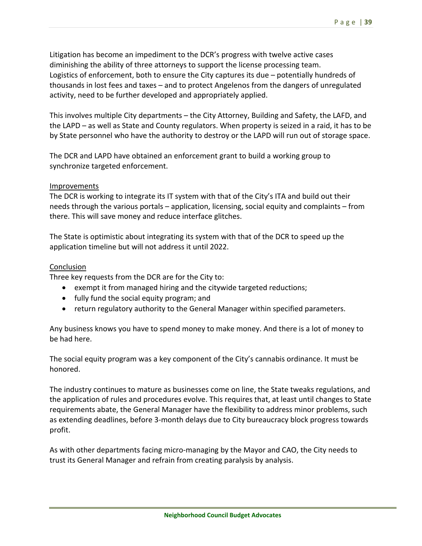Litigation has become an impediment to the DCR's progress with twelve active cases diminishing the ability of three attorneys to support the license processing team. Logistics of enforcement, both to ensure the City captures its due – potentially hundreds of thousands in lost fees and taxes – and to protect Angelenos from the dangers of unregulated activity, need to be further developed and appropriately applied.

This involves multiple City departments – the City Attorney, Building and Safety, the LAFD, and the LAPD – as well as State and County regulators. When property is seized in a raid, it has to be by State personnel who have the authority to destroy or the LAPD will run out of storage space.

The DCR and LAPD have obtained an enforcement grant to build a working group to synchronize targeted enforcement.

### Improvements

The DCR is working to integrate its IT system with that of the City's ITA and build out their needs through the various portals – application, licensing, social equity and complaints – from there. This will save money and reduce interface glitches.

The State is optimistic about integrating its system with that of the DCR to speed up the application timeline but will not address it until 2022.

### Conclusion

Three key requests from the DCR are for the City to:

- exempt it from managed hiring and the citywide targeted reductions;
- fully fund the social equity program; and
- return regulatory authority to the General Manager within specified parameters.

Any business knows you have to spend money to make money. And there is a lot of money to be had here.

The social equity program was a key component of the City's cannabis ordinance. It must be honored.

The industry continues to mature as businesses come on line, the State tweaks regulations, and the application of rules and procedures evolve. This requires that, at least until changes to State requirements abate, the General Manager have the flexibility to address minor problems, such as extending deadlines, before 3‐month delays due to City bureaucracy block progress towards profit.

As with other departments facing micro‐managing by the Mayor and CAO, the City needs to trust its General Manager and refrain from creating paralysis by analysis.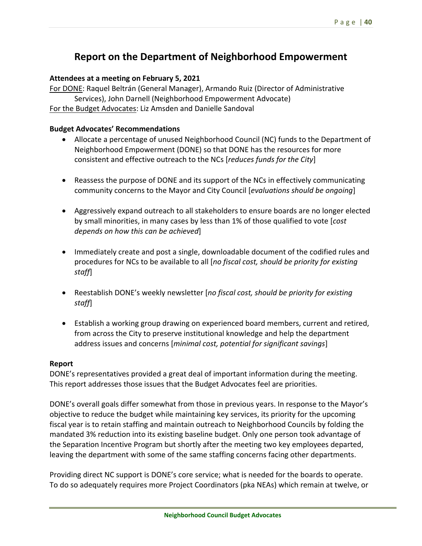# **Report on the Department of Neighborhood Empowerment**

## **Attendees at a meeting on February 5, 2021**

For DONE: Raquel Beltrán (General Manager), Armando Ruiz (Director of Administrative Services), John Darnell (Neighborhood Empowerment Advocate) For the Budget Advocates: Liz Amsden and Danielle Sandoval

## **Budget Advocates' Recommendations**

- Allocate a percentage of unused Neighborhood Council (NC) funds to the Department of Neighborhood Empowerment (DONE) so that DONE has the resources for more consistent and effective outreach to the NCs [*reduces funds for the City*]
- Reassess the purpose of DONE and its support of the NCs in effectively communicating community concerns to the Mayor and City Council [*evaluations should be ongoing*]
- Aggressively expand outreach to all stakeholders to ensure boards are no longer elected by small minorities, in many cases by less than 1% of those qualified to vote [*cost depends on how this can be achieved*]
- Immediately create and post a single, downloadable document of the codified rules and procedures for NCs to be available to all [*no fiscal cost, should be priority for existing staff*]
- Reestablish DONE's weekly newsletter [*no fiscal cost, should be priority for existing staff*]
- Establish a working group drawing on experienced board members, current and retired, from across the City to preserve institutional knowledge and help the department address issues and concerns [*minimal cost, potential for significant savings*]

## **Report**

DONE's representatives provided a great deal of important information during the meeting. This report addresses those issues that the Budget Advocates feel are priorities.

DONE's overall goals differ somewhat from those in previous years. In response to the Mayor's objective to reduce the budget while maintaining key services, its priority for the upcoming fiscal year is to retain staffing and maintain outreach to Neighborhood Councils by folding the mandated 3% reduction into its existing baseline budget. Only one person took advantage of the Separation Incentive Program but shortly after the meeting two key employees departed, leaving the department with some of the same staffing concerns facing other departments.

Providing direct NC support is DONE's core service; what is needed for the boards to operate. To do so adequately requires more Project Coordinators (pka NEAs) which remain at twelve, or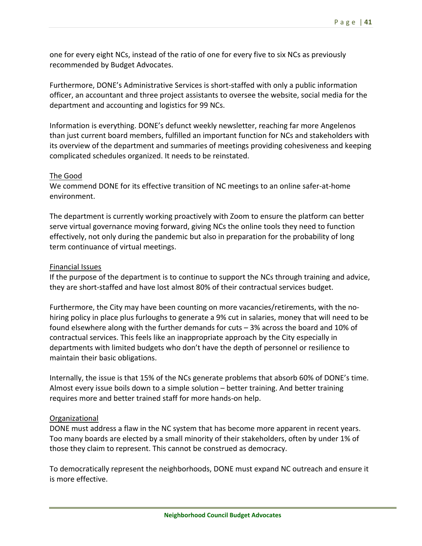one for every eight NCs, instead of the ratio of one for every five to six NCs as previously recommended by Budget Advocates.

Furthermore, DONE's Administrative Services is short‐staffed with only a public information officer, an accountant and three project assistants to oversee the website, social media for the department and accounting and logistics for 99 NCs.

Information is everything. DONE's defunct weekly newsletter, reaching far more Angelenos than just current board members, fulfilled an important function for NCs and stakeholders with its overview of the department and summaries of meetings providing cohesiveness and keeping complicated schedules organized. It needs to be reinstated.

## The Good

We commend DONE for its effective transition of NC meetings to an online safer-at-home environment.

The department is currently working proactively with Zoom to ensure the platform can better serve virtual governance moving forward, giving NCs the online tools they need to function effectively, not only during the pandemic but also in preparation for the probability of long term continuance of virtual meetings.

### Financial Issues

If the purpose of the department is to continue to support the NCs through training and advice, they are short‐staffed and have lost almost 80% of their contractual services budget.

Furthermore, the City may have been counting on more vacancies/retirements, with the no‐ hiring policy in place plus furloughs to generate a 9% cut in salaries, money that will need to be found elsewhere along with the further demands for cuts – 3% across the board and 10% of contractual services. This feels like an inappropriate approach by the City especially in departments with limited budgets who don't have the depth of personnel or resilience to maintain their basic obligations.

Internally, the issue is that 15% of the NCs generate problems that absorb 60% of DONE's time. Almost every issue boils down to a simple solution – better training. And better training requires more and better trained staff for more hands‐on help.

## Organizational

DONE must address a flaw in the NC system that has become more apparent in recent years. Too many boards are elected by a small minority of their stakeholders, often by under 1% of those they claim to represent. This cannot be construed as democracy.

To democratically represent the neighborhoods, DONE must expand NC outreach and ensure it is more effective.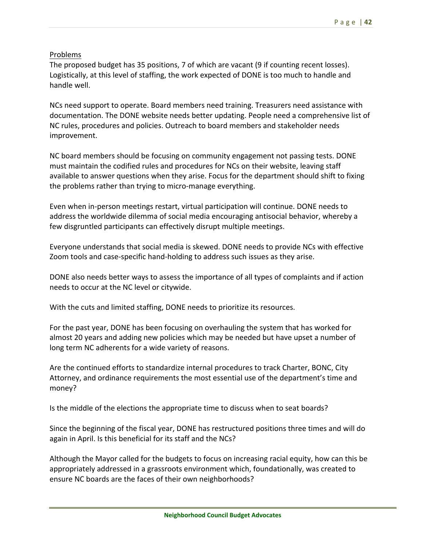## Problems

The proposed budget has 35 positions, 7 of which are vacant (9 if counting recent losses). Logistically, at this level of staffing, the work expected of DONE is too much to handle and handle well.

NCs need support to operate. Board members need training. Treasurers need assistance with documentation. The DONE website needs better updating. People need a comprehensive list of NC rules, procedures and policies. Outreach to board members and stakeholder needs improvement.

NC board members should be focusing on community engagement not passing tests. DONE must maintain the codified rules and procedures for NCs on their website, leaving staff available to answer questions when they arise. Focus for the department should shift to fixing the problems rather than trying to micro‐manage everything.

Even when in‐person meetings restart, virtual participation will continue. DONE needs to address the worldwide dilemma of social media encouraging antisocial behavior, whereby a few disgruntled participants can effectively disrupt multiple meetings.

Everyone understands that social media is skewed. DONE needs to provide NCs with effective Zoom tools and case‐specific hand‐holding to address such issues as they arise.

DONE also needs better ways to assess the importance of all types of complaints and if action needs to occur at the NC level or citywide.

With the cuts and limited staffing, DONE needs to prioritize its resources.

For the past year, DONE has been focusing on overhauling the system that has worked for almost 20 years and adding new policies which may be needed but have upset a number of long term NC adherents for a wide variety of reasons.

Are the continued efforts to standardize internal procedures to track Charter, BONC, City Attorney, and ordinance requirements the most essential use of the department's time and money?

Is the middle of the elections the appropriate time to discuss when to seat boards?

Since the beginning of the fiscal year, DONE has restructured positions three times and will do again in April. Is this beneficial for its staff and the NCs?

Although the Mayor called for the budgets to focus on increasing racial equity, how can this be appropriately addressed in a grassroots environment which, foundationally, was created to ensure NC boards are the faces of their own neighborhoods?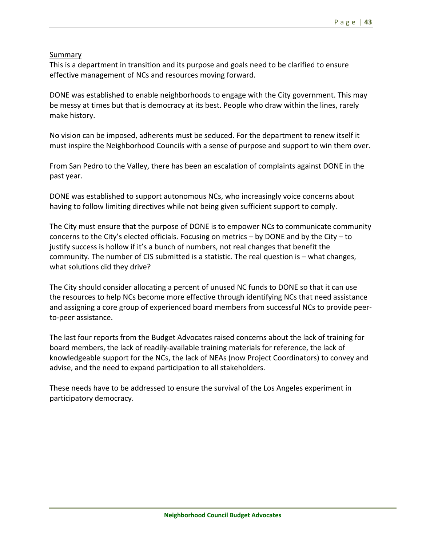## Summary

This is a department in transition and its purpose and goals need to be clarified to ensure effective management of NCs and resources moving forward.

DONE was established to enable neighborhoods to engage with the City government. This may be messy at times but that is democracy at its best. People who draw within the lines, rarely make history.

No vision can be imposed, adherents must be seduced. For the department to renew itself it must inspire the Neighborhood Councils with a sense of purpose and support to win them over.

From San Pedro to the Valley, there has been an escalation of complaints against DONE in the past year.

DONE was established to support autonomous NCs, who increasingly voice concerns about having to follow limiting directives while not being given sufficient support to comply.

The City must ensure that the purpose of DONE is to empower NCs to communicate community concerns to the City's elected officials. Focusing on metrics – by DONE and by the City – to justify success is hollow if it's a bunch of numbers, not real changes that benefit the community. The number of CIS submitted is a statistic. The real question is – what changes, what solutions did they drive?

The City should consider allocating a percent of unused NC funds to DONE so that it can use the resources to help NCs become more effective through identifying NCs that need assistance and assigning a core group of experienced board members from successful NCs to provide peer‐ to‐peer assistance.

The last four reports from the Budget Advocates raised concerns about the lack of training for board members, the lack of readily‐available training materials for reference, the lack of knowledgeable support for the NCs, the lack of NEAs (now Project Coordinators) to convey and advise, and the need to expand participation to all stakeholders.

These needs have to be addressed to ensure the survival of the Los Angeles experiment in participatory democracy.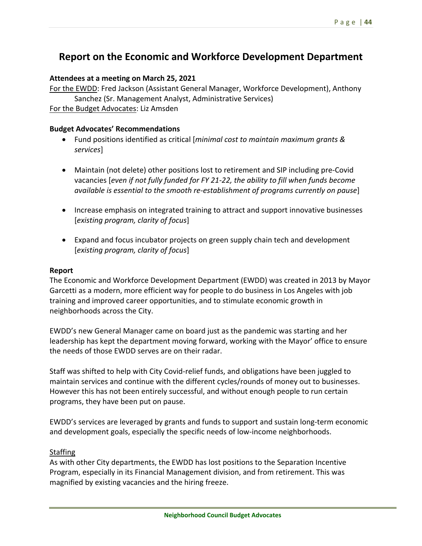# **Report on the Economic and Workforce Development Department**

## **Attendees at a meeting on March 25, 2021**

For the EWDD: Fred Jackson (Assistant General Manager, Workforce Development), Anthony Sanchez (Sr. Management Analyst, Administrative Services)

For the Budget Advocates: Liz Amsden

## **Budget Advocates' Recommendations**

- Fund positions identified as critical [*minimal cost to maintain maximum grants & services*]
- Maintain (not delete) other positions lost to retirement and SIP including pre-Covid vacancies [*even if not fully funded for FY 21‐22, the ability to fill when funds become available is essential to the smooth re‐establishment of programs currently on pause*]
- Increase emphasis on integrated training to attract and support innovative businesses [*existing program, clarity of focus*]
- Expand and focus incubator projects on green supply chain tech and development [*existing program, clarity of focus*]

## **Report**

The Economic and Workforce Development Department (EWDD) was created in 2013 by Mayor Garcetti as a modern, more efficient way for people to do business in Los Angeles with job training and improved career opportunities, and to stimulate economic growth in neighborhoods across the City.

EWDD's new General Manager came on board just as the pandemic was starting and her leadership has kept the department moving forward, working with the Mayor' office to ensure the needs of those EWDD serves are on their radar.

Staff was shifted to help with City Covid‐relief funds, and obligations have been juggled to maintain services and continue with the different cycles/rounds of money out to businesses. However this has not been entirely successful, and without enough people to run certain programs, they have been put on pause.

EWDD's services are leveraged by grants and funds to support and sustain long‐term economic and development goals, especially the specific needs of low-income neighborhoods.

## **Staffing**

As with other City departments, the EWDD has lost positions to the Separation Incentive Program, especially in its Financial Management division, and from retirement. This was magnified by existing vacancies and the hiring freeze.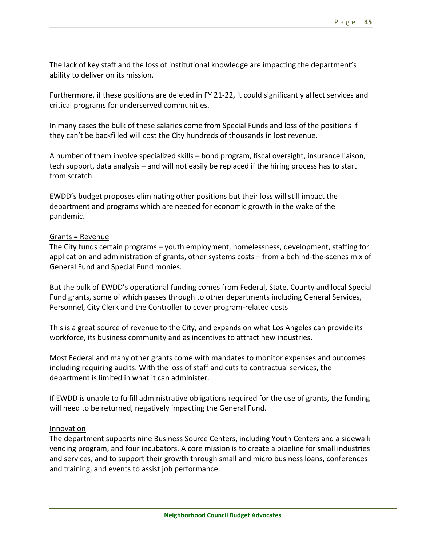The lack of key staff and the loss of institutional knowledge are impacting the department's ability to deliver on its mission.

Furthermore, if these positions are deleted in FY 21‐22, it could significantly affect services and critical programs for underserved communities.

In many cases the bulk of these salaries come from Special Funds and loss of the positions if they can't be backfilled will cost the City hundreds of thousands in lost revenue.

A number of them involve specialized skills – bond program, fiscal oversight, insurance liaison, tech support, data analysis – and will not easily be replaced if the hiring process has to start from scratch.

EWDD's budget proposes eliminating other positions but their loss will still impact the department and programs which are needed for economic growth in the wake of the pandemic.

### Grants = Revenue

The City funds certain programs – youth employment, homelessness, development, staffing for application and administration of grants, other systems costs – from a behind-the-scenes mix of General Fund and Special Fund monies.

But the bulk of EWDD's operational funding comes from Federal, State, County and local Special Fund grants, some of which passes through to other departments including General Services, Personnel, City Clerk and the Controller to cover program‐related costs

This is a great source of revenue to the City, and expands on what Los Angeles can provide its workforce, its business community and as incentives to attract new industries.

Most Federal and many other grants come with mandates to monitor expenses and outcomes including requiring audits. With the loss of staff and cuts to contractual services, the department is limited in what it can administer.

If EWDD is unable to fulfill administrative obligations required for the use of grants, the funding will need to be returned, negatively impacting the General Fund.

#### Innovation

The department supports nine Business Source Centers, including Youth Centers and a sidewalk vending program, and four incubators. A core mission is to create a pipeline for small industries and services, and to support their growth through small and micro business loans, conferences and training, and events to assist job performance.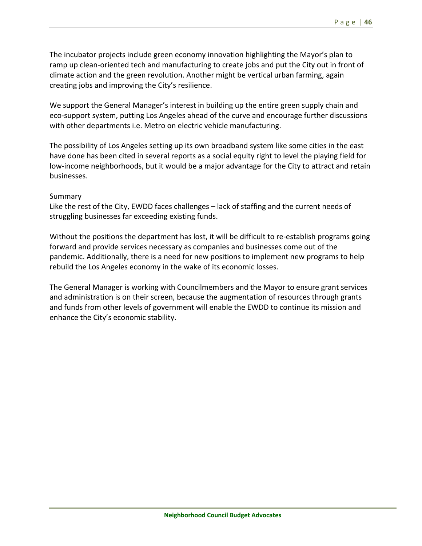The incubator projects include green economy innovation highlighting the Mayor's plan to ramp up clean-oriented tech and manufacturing to create jobs and put the City out in front of climate action and the green revolution. Another might be vertical urban farming, again creating jobs and improving the City's resilience.

We support the General Manager's interest in building up the entire green supply chain and eco-support system, putting Los Angeles ahead of the curve and encourage further discussions with other departments i.e. Metro on electric vehicle manufacturing.

The possibility of Los Angeles setting up its own broadband system like some cities in the east have done has been cited in several reports as a social equity right to level the playing field for low‐income neighborhoods, but it would be a major advantage for the City to attract and retain businesses.

### **Summary**

Like the rest of the City, EWDD faces challenges – lack of staffing and the current needs of struggling businesses far exceeding existing funds.

Without the positions the department has lost, it will be difficult to re-establish programs going forward and provide services necessary as companies and businesses come out of the pandemic. Additionally, there is a need for new positions to implement new programs to help rebuild the Los Angeles economy in the wake of its economic losses.

The General Manager is working with Councilmembers and the Mayor to ensure grant services and administration is on their screen, because the augmentation of resources through grants and funds from other levels of government will enable the EWDD to continue its mission and enhance the City's economic stability.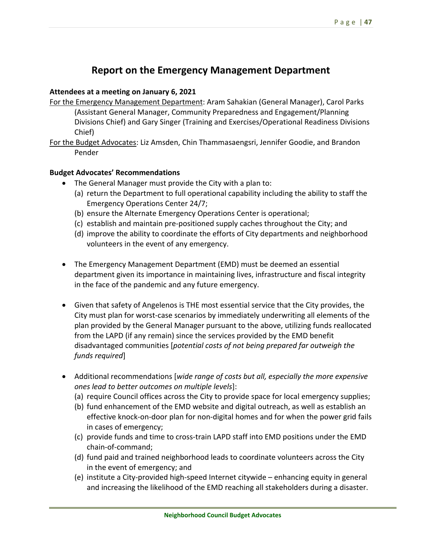# **Report on the Emergency Management Department**

## **Attendees at a meeting on January 6, 2021**

- For the Emergency Management Department: Aram Sahakian (General Manager), Carol Parks (Assistant General Manager, Community Preparedness and Engagement/Planning Divisions Chief) and Gary Singer (Training and Exercises/Operational Readiness Divisions Chief)
- For the Budget Advocates: Liz Amsden, Chin Thammasaengsri, Jennifer Goodie, and Brandon Pender

# **Budget Advocates' Recommendations**

- The General Manager must provide the City with a plan to:
	- (a) return the Department to full operational capability including the ability to staff the Emergency Operations Center 24/7;
	- (b) ensure the Alternate Emergency Operations Center is operational;
	- (c) establish and maintain pre‐positioned supply caches throughout the City; and
	- (d) improve the ability to coordinate the efforts of City departments and neighborhood volunteers in the event of any emergency.
- The Emergency Management Department (EMD) must be deemed an essential department given its importance in maintaining lives, infrastructure and fiscal integrity in the face of the pandemic and any future emergency.
- Given that safety of Angelenos is THE most essential service that the City provides, the City must plan for worst‐case scenarios by immediately underwriting all elements of the plan provided by the General Manager pursuant to the above, utilizing funds reallocated from the LAPD (if any remain) since the services provided by the EMD benefit disadvantaged communities [*potential costs of not being prepared far outweigh the funds required*]
- Additional recommendations [*wide range of costs but all, especially the more expensive ones lead to better outcomes on multiple levels*]:
	- (a) require Council offices across the City to provide space for local emergency supplies;
	- (b) fund enhancement of the EMD website and digital outreach, as well as establish an effective knock‐on‐door plan for non‐digital homes and for when the power grid fails in cases of emergency;
	- (c) provide funds and time to cross‐train LAPD staff into EMD positions under the EMD chain‐of‐command;
	- (d) fund paid and trained neighborhood leads to coordinate volunteers across the City in the event of emergency; and
	- (e) institute a City‐provided high‐speed Internet citywide enhancing equity in general and increasing the likelihood of the EMD reaching all stakeholders during a disaster.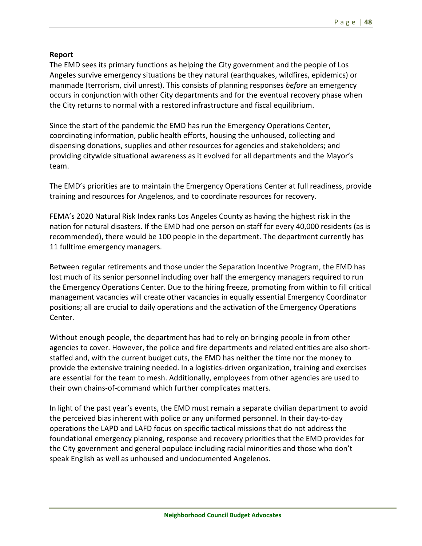## **Report**

The EMD sees its primary functions as helping the City government and the people of Los Angeles survive emergency situations be they natural (earthquakes, wildfires, epidemics) or manmade (terrorism, civil unrest). This consists of planning responses *before* an emergency occurs in conjunction with other City departments and for the eventual recovery phase when the City returns to normal with a restored infrastructure and fiscal equilibrium.

Since the start of the pandemic the EMD has run the Emergency Operations Center, coordinating information, public health efforts, housing the unhoused, collecting and dispensing donations, supplies and other resources for agencies and stakeholders; and providing citywide situational awareness as it evolved for all departments and the Mayor's team.

The EMD's priorities are to maintain the Emergency Operations Center at full readiness, provide training and resources for Angelenos, and to coordinate resources for recovery.

FEMA's 2020 Natural Risk Index ranks Los Angeles County as having the highest risk in the nation for natural disasters. If the EMD had one person on staff for every 40,000 residents (as is recommended), there would be 100 people in the department. The department currently has 11 fulltime emergency managers.

Between regular retirements and those under the Separation Incentive Program, the EMD has lost much of its senior personnel including over half the emergency managers required to run the Emergency Operations Center. Due to the hiring freeze, promoting from within to fill critical management vacancies will create other vacancies in equally essential Emergency Coordinator positions; all are crucial to daily operations and the activation of the Emergency Operations Center.

Without enough people, the department has had to rely on bringing people in from other agencies to cover. However, the police and fire departments and related entities are also short‐ staffed and, with the current budget cuts, the EMD has neither the time nor the money to provide the extensive training needed. In a logistics‐driven organization, training and exercises are essential for the team to mesh. Additionally, employees from other agencies are used to their own chains‐of‐command which further complicates matters.

In light of the past year's events, the EMD must remain a separate civilian department to avoid the perceived bias inherent with police or any uniformed personnel. In their day‐to‐day operations the LAPD and LAFD focus on specific tactical missions that do not address the foundational emergency planning, response and recovery priorities that the EMD provides for the City government and general populace including racial minorities and those who don't speak English as well as unhoused and undocumented Angelenos.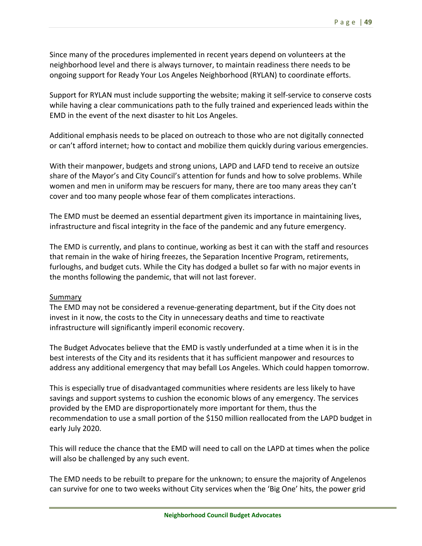Since many of the procedures implemented in recent years depend on volunteers at the neighborhood level and there is always turnover, to maintain readiness there needs to be ongoing support for Ready Your Los Angeles Neighborhood (RYLAN) to coordinate efforts.

Support for RYLAN must include supporting the website; making it self‐service to conserve costs while having a clear communications path to the fully trained and experienced leads within the EMD in the event of the next disaster to hit Los Angeles.

Additional emphasis needs to be placed on outreach to those who are not digitally connected or can't afford internet; how to contact and mobilize them quickly during various emergencies.

With their manpower, budgets and strong unions, LAPD and LAFD tend to receive an outsize share of the Mayor's and City Council's attention for funds and how to solve problems. While women and men in uniform may be rescuers for many, there are too many areas they can't cover and too many people whose fear of them complicates interactions.

The EMD must be deemed an essential department given its importance in maintaining lives, infrastructure and fiscal integrity in the face of the pandemic and any future emergency.

The EMD is currently, and plans to continue, working as best it can with the staff and resources that remain in the wake of hiring freezes, the Separation Incentive Program, retirements, furloughs, and budget cuts. While the City has dodged a bullet so far with no major events in the months following the pandemic, that will not last forever.

## Summary

The EMD may not be considered a revenue‐generating department, but if the City does not invest in it now, the costs to the City in unnecessary deaths and time to reactivate infrastructure will significantly imperil economic recovery.

The Budget Advocates believe that the EMD is vastly underfunded at a time when it is in the best interests of the City and its residents that it has sufficient manpower and resources to address any additional emergency that may befall Los Angeles. Which could happen tomorrow.

This is especially true of disadvantaged communities where residents are less likely to have savings and support systems to cushion the economic blows of any emergency. The services provided by the EMD are disproportionately more important for them, thus the recommendation to use a small portion of the \$150 million reallocated from the LAPD budget in early July 2020.

This will reduce the chance that the EMD will need to call on the LAPD at times when the police will also be challenged by any such event.

The EMD needs to be rebuilt to prepare for the unknown; to ensure the majority of Angelenos can survive for one to two weeks without City services when the 'Big One' hits, the power grid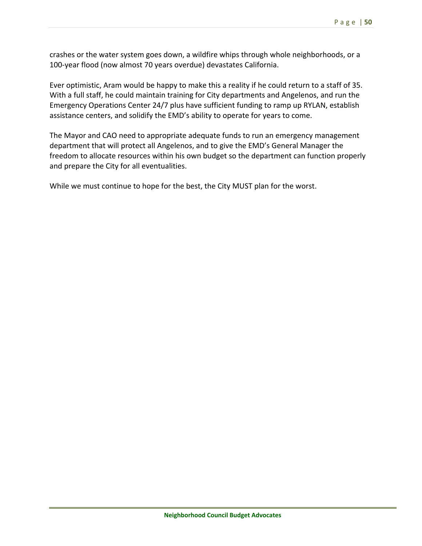crashes or the water system goes down, a wildfire whips through whole neighborhoods, or a 100‐year flood (now almost 70 years overdue) devastates California.

Ever optimistic, Aram would be happy to make this a reality if he could return to a staff of 35. With a full staff, he could maintain training for City departments and Angelenos, and run the Emergency Operations Center 24/7 plus have sufficient funding to ramp up RYLAN, establish assistance centers, and solidify the EMD's ability to operate for years to come.

The Mayor and CAO need to appropriate adequate funds to run an emergency management department that will protect all Angelenos, and to give the EMD's General Manager the freedom to allocate resources within his own budget so the department can function properly and prepare the City for all eventualities.

While we must continue to hope for the best, the City MUST plan for the worst.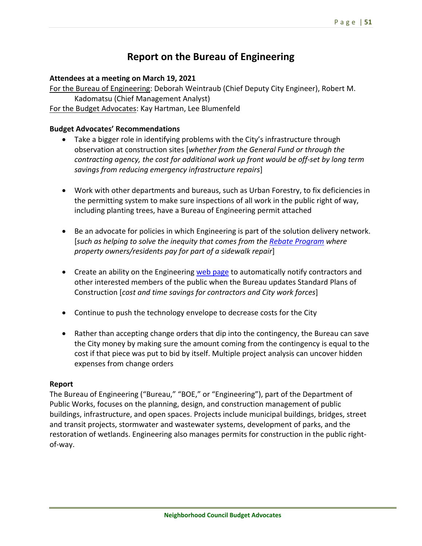# **Report on the Bureau of Engineering**

### **Attendees at a meeting on March 19, 2021**

For the Bureau of Engineering: Deborah Weintraub (Chief Deputy City Engineer), Robert M. Kadomatsu (Chief Management Analyst) For the Budget Advocates: Kay Hartman, Lee Blumenfeld

### **Budget Advocates' Recommendations**

- Take a bigger role in identifying problems with the City's infrastructure through observation at construction sites [*whether from the General Fund or through the contracting agency, the cost for additional work up front would be off‐set by long term savings from reducing emergency infrastructure repairs*]
- Work with other departments and bureaus, such as Urban Forestry, to fix deficiencies in the permitting system to make sure inspections of all work in the public right of way, including planting trees, have a Bureau of Engineering permit attached
- Be an advocate for policies in which Engineering is part of the solution delivery network. [*such as helping to solve the inequity that comes from the Rebate Program where property owners/residents pay for part of a sidewalk repair*]
- Create an ability on the Engineering web page to automatically notify contractors and other interested members of the public when the Bureau updates Standard Plans of Construction [*cost and time savings for contractors and City work forces*]
- Continue to push the technology envelope to decrease costs for the City
- Rather than accepting change orders that dip into the contingency, the Bureau can save the City money by making sure the amount coming from the contingency is equal to the cost if that piece was put to bid by itself. Multiple project analysis can uncover hidden expenses from change orders

#### **Report**

The Bureau of Engineering ("Bureau," "BOE," or "Engineering"), part of the Department of Public Works, focuses on the planning, design, and construction management of public buildings, infrastructure, and open spaces. Projects include municipal buildings, bridges, street and transit projects, stormwater and wastewater systems, development of parks, and the restoration of wetlands. Engineering also manages permits for construction in the public right‐ of‐way.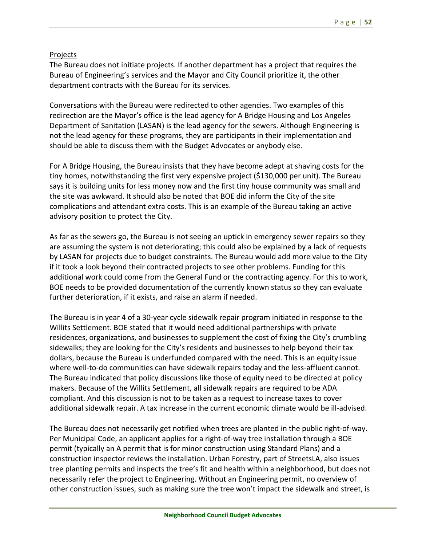# Projects

The Bureau does not initiate projects. If another department has a project that requires the Bureau of Engineering's services and the Mayor and City Council prioritize it, the other department contracts with the Bureau for its services.

Conversations with the Bureau were redirected to other agencies. Two examples of this redirection are the Mayor's office is the lead agency for A Bridge Housing and Los Angeles Department of Sanitation (LASAN) is the lead agency for the sewers. Although Engineering is not the lead agency for these programs, they are participants in their implementation and should be able to discuss them with the Budget Advocates or anybody else.

For A Bridge Housing, the Bureau insists that they have become adept at shaving costs for the tiny homes, notwithstanding the first very expensive project (\$130,000 per unit). The Bureau says it is building units for less money now and the first tiny house community was small and the site was awkward. It should also be noted that BOE did inform the City of the site complications and attendant extra costs. This is an example of the Bureau taking an active advisory position to protect the City.

As far as the sewers go, the Bureau is not seeing an uptick in emergency sewer repairs so they are assuming the system is not deteriorating; this could also be explained by a lack of requests by LASAN for projects due to budget constraints. The Bureau would add more value to the City if it took a look beyond their contracted projects to see other problems. Funding for this additional work could come from the General Fund or the contracting agency. For this to work, BOE needs to be provided documentation of the currently known status so they can evaluate further deterioration, if it exists, and raise an alarm if needed.

The Bureau is in year 4 of a 30‐year cycle sidewalk repair program initiated in response to the Willits Settlement. BOE stated that it would need additional partnerships with private residences, organizations, and businesses to supplement the cost of fixing the City's crumbling sidewalks; they are looking for the City's residents and businesses to help beyond their tax dollars, because the Bureau is underfunded compared with the need. This is an equity issue where well-to-do communities can have sidewalk repairs today and the less-affluent cannot. The Bureau indicated that policy discussions like those of equity need to be directed at policy makers. Because of the Willits Settlement, all sidewalk repairs are required to be ADA compliant. And this discussion is not to be taken as a request to increase taxes to cover additional sidewalk repair. A tax increase in the current economic climate would be ill‐advised.

The Bureau does not necessarily get notified when trees are planted in the public right‐of‐way. Per Municipal Code, an applicant applies for a right‐of‐way tree installation through a BOE permit (typically an A permit that is for minor construction using Standard Plans) and a construction inspector reviews the installation. Urban Forestry, part of StreetsLA, also issues tree planting permits and inspects the tree's fit and health within a neighborhood, but does not necessarily refer the project to Engineering. Without an Engineering permit, no overview of other construction issues, such as making sure the tree won't impact the sidewalk and street, is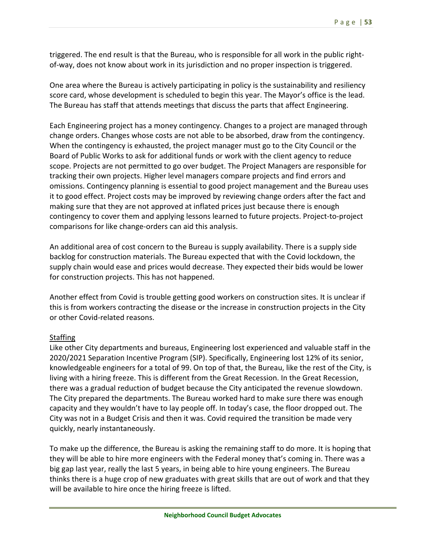triggered. The end result is that the Bureau, who is responsible for all work in the public right‐ of-way, does not know about work in its jurisdiction and no proper inspection is triggered.

One area where the Bureau is actively participating in policy is the sustainability and resiliency score card, whose development is scheduled to begin this year. The Mayor's office is the lead. The Bureau has staff that attends meetings that discuss the parts that affect Engineering.

Each Engineering project has a money contingency. Changes to a project are managed through change orders. Changes whose costs are not able to be absorbed, draw from the contingency. When the contingency is exhausted, the project manager must go to the City Council or the Board of Public Works to ask for additional funds or work with the client agency to reduce scope. Projects are not permitted to go over budget. The Project Managers are responsible for tracking their own projects. Higher level managers compare projects and find errors and omissions. Contingency planning is essential to good project management and the Bureau uses it to good effect. Project costs may be improved by reviewing change orders after the fact and making sure that they are not approved at inflated prices just because there is enough contingency to cover them and applying lessons learned to future projects. Project‐to‐project comparisons for like change‐orders can aid this analysis.

An additional area of cost concern to the Bureau is supply availability. There is a supply side backlog for construction materials. The Bureau expected that with the Covid lockdown, the supply chain would ease and prices would decrease. They expected their bids would be lower for construction projects. This has not happened.

Another effect from Covid is trouble getting good workers on construction sites. It is unclear if this is from workers contracting the disease or the increase in construction projects in the City or other Covid‐related reasons.

## **Staffing**

Like other City departments and bureaus, Engineering lost experienced and valuable staff in the 2020/2021 Separation Incentive Program (SIP). Specifically, Engineering lost 12% of its senior, knowledgeable engineers for a total of 99. On top of that, the Bureau, like the rest of the City, is living with a hiring freeze. This is different from the Great Recession. In the Great Recession, there was a gradual reduction of budget because the City anticipated the revenue slowdown. The City prepared the departments. The Bureau worked hard to make sure there was enough capacity and they wouldn't have to lay people off. In today's case, the floor dropped out. The City was not in a Budget Crisis and then it was. Covid required the transition be made very quickly, nearly instantaneously.

To make up the difference, the Bureau is asking the remaining staff to do more. It is hoping that they will be able to hire more engineers with the Federal money that's coming in. There was a big gap last year, really the last 5 years, in being able to hire young engineers. The Bureau thinks there is a huge crop of new graduates with great skills that are out of work and that they will be available to hire once the hiring freeze is lifted.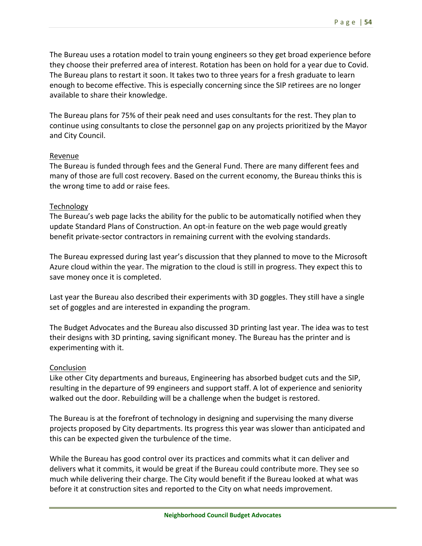The Bureau uses a rotation model to train young engineers so they get broad experience before they choose their preferred area of interest. Rotation has been on hold for a year due to Covid. The Bureau plans to restart it soon. It takes two to three years for a fresh graduate to learn enough to become effective. This is especially concerning since the SIP retirees are no longer available to share their knowledge.

The Bureau plans for 75% of their peak need and uses consultants for the rest. They plan to continue using consultants to close the personnel gap on any projects prioritized by the Mayor and City Council.

## Revenue

The Bureau is funded through fees and the General Fund. There are many different fees and many of those are full cost recovery. Based on the current economy, the Bureau thinks this is the wrong time to add or raise fees.

## Technology

The Bureau's web page lacks the ability for the public to be automatically notified when they update Standard Plans of Construction. An opt‐in feature on the web page would greatly benefit private‐sector contractors in remaining current with the evolving standards.

The Bureau expressed during last year's discussion that they planned to move to the Microsoft Azure cloud within the year. The migration to the cloud is still in progress. They expect this to save money once it is completed.

Last year the Bureau also described their experiments with 3D goggles. They still have a single set of goggles and are interested in expanding the program.

The Budget Advocates and the Bureau also discussed 3D printing last year. The idea was to test their designs with 3D printing, saving significant money. The Bureau has the printer and is experimenting with it.

## **Conclusion**

Like other City departments and bureaus, Engineering has absorbed budget cuts and the SIP, resulting in the departure of 99 engineers and support staff. A lot of experience and seniority walked out the door. Rebuilding will be a challenge when the budget is restored.

The Bureau is at the forefront of technology in designing and supervising the many diverse projects proposed by City departments. Its progress this year was slower than anticipated and this can be expected given the turbulence of the time.

While the Bureau has good control over its practices and commits what it can deliver and delivers what it commits, it would be great if the Bureau could contribute more. They see so much while delivering their charge. The City would benefit if the Bureau looked at what was before it at construction sites and reported to the City on what needs improvement.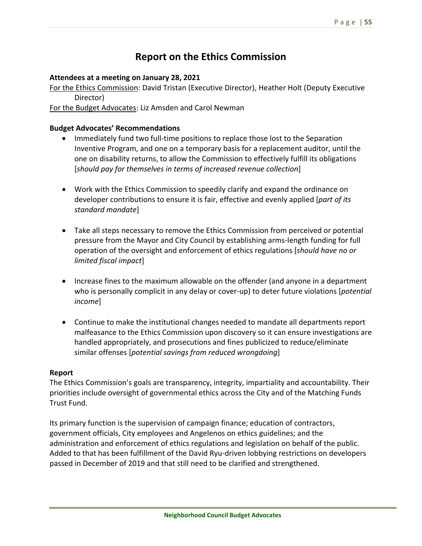# **Report on the Ethics Commission**

## **Attendees at a meeting on January 28, 2021**

For the Ethics Commission: David Tristan (Executive Director), Heather Holt (Deputy Executive Director)

For the Budget Advocates: Liz Amsden and Carol Newman

### **Budget Advocates' Recommendations**

- Immediately fund two full-time positions to replace those lost to the Separation Inventive Program, and one on a temporary basis for a replacement auditor, until the one on disability returns, to allow the Commission to effectively fulfill its obligations [*should pay for themselves in terms of increased revenue collection*]
- Work with the Ethics Commission to speedily clarify and expand the ordinance on developer contributions to ensure it is fair, effective and evenly applied [*part of its standard mandate*]
- Take all steps necessary to remove the Ethics Commission from perceived or potential pressure from the Mayor and City Council by establishing arms‐length funding for full operation of the oversight and enforcement of ethics regulations [*should have no or limited fiscal impact*]
- Increase fines to the maximum allowable on the offender (and anyone in a department who is personally complicit in any delay or cover‐up) to deter future violations [*potential income*]
- Continue to make the institutional changes needed to mandate all departments report malfeasance to the Ethics Commission upon discovery so it can ensure investigations are handled appropriately, and prosecutions and fines publicized to reduce/eliminate similar offenses [*potential savings from reduced wrongdoing*]

#### **Report**

The Ethics Commission's goals are transparency, integrity, impartiality and accountability. Their priorities include oversight of governmental ethics across the City and of the Matching Funds Trust Fund.

Its primary function is the supervision of campaign finance; education of contractors, government officials, City employees and Angelenos on ethics guidelines; and the administration and enforcement of ethics regulations and legislation on behalf of the public. Added to that has been fulfillment of the David Ryu‐driven lobbying restrictions on developers passed in December of 2019 and that still need to be clarified and strengthened.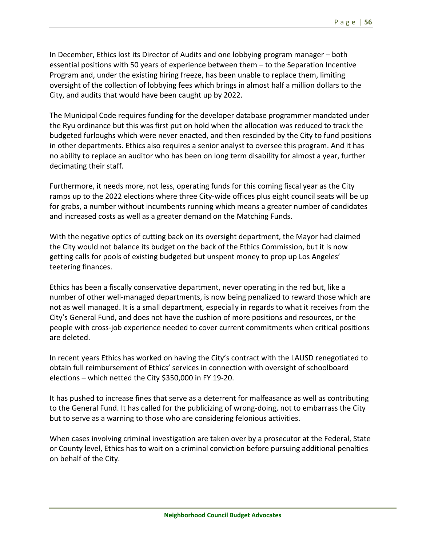In December, Ethics lost its Director of Audits and one lobbying program manager – both essential positions with 50 years of experience between them – to the Separation Incentive Program and, under the existing hiring freeze, has been unable to replace them, limiting oversight of the collection of lobbying fees which brings in almost half a million dollars to the City, and audits that would have been caught up by 2022.

The Municipal Code requires funding for the developer database programmer mandated under the Ryu ordinance but this was first put on hold when the allocation was reduced to track the budgeted furloughs which were never enacted, and then rescinded by the City to fund positions in other departments. Ethics also requires a senior analyst to oversee this program. And it has no ability to replace an auditor who has been on long term disability for almost a year, further decimating their staff.

Furthermore, it needs more, not less, operating funds for this coming fiscal year as the City ramps up to the 2022 elections where three City-wide offices plus eight council seats will be up for grabs, a number without incumbents running which means a greater number of candidates and increased costs as well as a greater demand on the Matching Funds.

With the negative optics of cutting back on its oversight department, the Mayor had claimed the City would not balance its budget on the back of the Ethics Commission, but it is now getting calls for pools of existing budgeted but unspent money to prop up Los Angeles' teetering finances.

Ethics has been a fiscally conservative department, never operating in the red but, like a number of other well-managed departments, is now being penalized to reward those which are not as well managed. It is a small department, especially in regards to what it receives from the City's General Fund, and does not have the cushion of more positions and resources, or the people with cross‐job experience needed to cover current commitments when critical positions are deleted.

In recent years Ethics has worked on having the City's contract with the LAUSD renegotiated to obtain full reimbursement of Ethics' services in connection with oversight of schoolboard elections – which netted the City \$350,000 in FY 19‐20.

It has pushed to increase fines that serve as a deterrent for malfeasance as well as contributing to the General Fund. It has called for the publicizing of wrong-doing, not to embarrass the City but to serve as a warning to those who are considering felonious activities.

When cases involving criminal investigation are taken over by a prosecutor at the Federal, State or County level, Ethics has to wait on a criminal conviction before pursuing additional penalties on behalf of the City.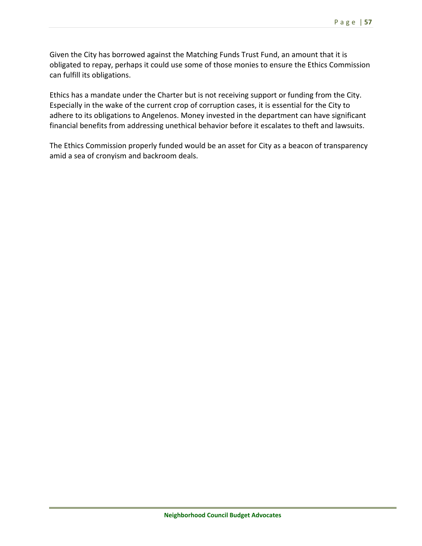Given the City has borrowed against the Matching Funds Trust Fund, an amount that it is obligated to repay, perhaps it could use some of those monies to ensure the Ethics Commission can fulfill its obligations.

Ethics has a mandate under the Charter but is not receiving support or funding from the City. Especially in the wake of the current crop of corruption cases, it is essential for the City to adhere to its obligations to Angelenos. Money invested in the department can have significant financial benefits from addressing unethical behavior before it escalates to theft and lawsuits.

The Ethics Commission properly funded would be an asset for City as a beacon of transparency amid a sea of cronyism and backroom deals.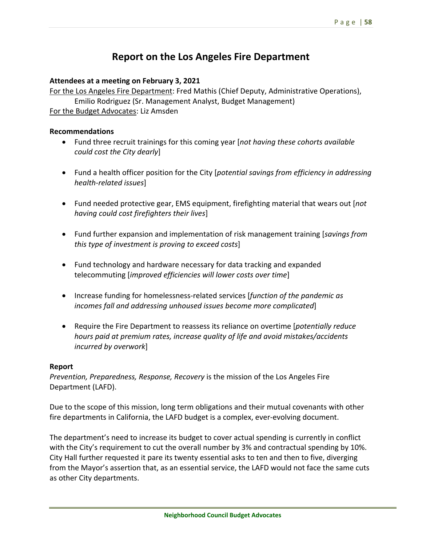# **Report on the Los Angeles Fire Department**

### **Attendees at a meeting on February 3, 2021**

For the Los Angeles Fire Department: Fred Mathis (Chief Deputy, Administrative Operations), Emilio Rodriguez (Sr. Management Analyst, Budget Management) For the Budget Advocates: Liz Amsden

#### **Recommendations**

- Fund three recruit trainings for this coming year [*not having these cohorts available could cost the City dearly*]
- Fund a health officer position for the City [*potential savings from efficiency in addressing health‐related issues*]
- Fund needed protective gear, EMS equipment, firefighting material that wears out [*not having could cost firefighters their lives*]
- Fund further expansion and implementation of risk management training [*savings from this type of investment is proving to exceed costs*]
- Fund technology and hardware necessary for data tracking and expanded telecommuting [*improved efficiencies will lower costs over time*]
- Increase funding for homelessness‐related services [*function of the pandemic as incomes fall and addressing unhoused issues become more complicated*]
- Require the Fire Department to reassess its reliance on overtime [*potentially reduce hours paid at premium rates, increase quality of life and avoid mistakes/accidents incurred by overwork*]

#### **Report**

*Prevention, Preparedness, Response, Recovery* is the mission of the Los Angeles Fire Department (LAFD).

Due to the scope of this mission, long term obligations and their mutual covenants with other fire departments in California, the LAFD budget is a complex, ever-evolving document.

The department's need to increase its budget to cover actual spending is currently in conflict with the City's requirement to cut the overall number by 3% and contractual spending by 10%. City Hall further requested it pare its twenty essential asks to ten and then to five, diverging from the Mayor's assertion that, as an essential service, the LAFD would not face the same cuts as other City departments.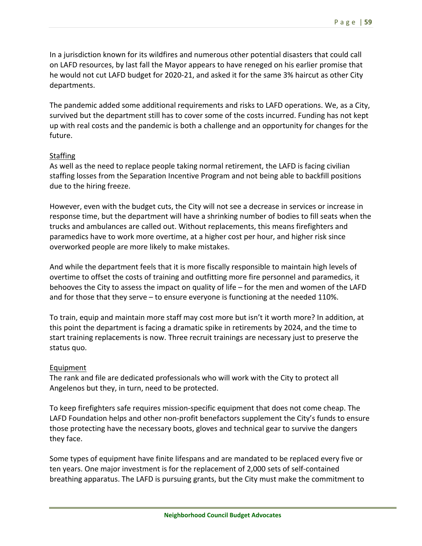In a jurisdiction known for its wildfires and numerous other potential disasters that could call on LAFD resources, by last fall the Mayor appears to have reneged on his earlier promise that he would not cut LAFD budget for 2020-21, and asked it for the same 3% haircut as other City departments.

The pandemic added some additional requirements and risks to LAFD operations. We, as a City, survived but the department still has to cover some of the costs incurred. Funding has not kept up with real costs and the pandemic is both a challenge and an opportunity for changes for the future.

## **Staffing**

As well as the need to replace people taking normal retirement, the LAFD is facing civilian staffing losses from the Separation Incentive Program and not being able to backfill positions due to the hiring freeze.

However, even with the budget cuts, the City will not see a decrease in services or increase in response time, but the department will have a shrinking number of bodies to fill seats when the trucks and ambulances are called out. Without replacements, this means firefighters and paramedics have to work more overtime, at a higher cost per hour, and higher risk since overworked people are more likely to make mistakes.

And while the department feels that it is more fiscally responsible to maintain high levels of overtime to offset the costs of training and outfitting more fire personnel and paramedics, it behooves the City to assess the impact on quality of life – for the men and women of the LAFD and for those that they serve – to ensure everyone is functioning at the needed 110%.

To train, equip and maintain more staff may cost more but isn't it worth more? In addition, at this point the department is facing a dramatic spike in retirements by 2024, and the time to start training replacements is now. Three recruit trainings are necessary just to preserve the status quo.

# Equipment

The rank and file are dedicated professionals who will work with the City to protect all Angelenos but they, in turn, need to be protected.

To keep firefighters safe requires mission‐specific equipment that does not come cheap. The LAFD Foundation helps and other non-profit benefactors supplement the City's funds to ensure those protecting have the necessary boots, gloves and technical gear to survive the dangers they face.

Some types of equipment have finite lifespans and are mandated to be replaced every five or ten years. One major investment is for the replacement of 2,000 sets of self‐contained breathing apparatus. The LAFD is pursuing grants, but the City must make the commitment to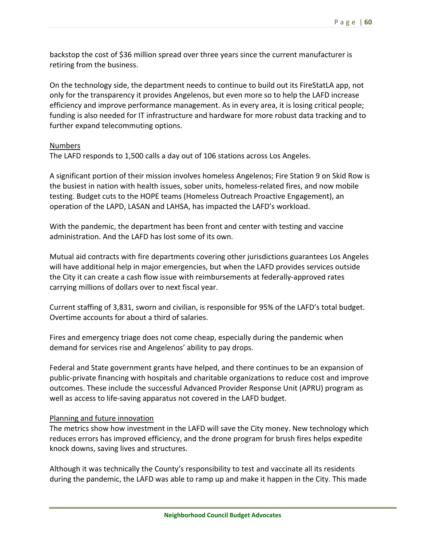backstop the cost of \$36 million spread over three years since the current manufacturer is retiring from the business.

On the technology side, the department needs to continue to build out its FireStatLA app, not only for the transparency it provides Angelenos, but even more so to help the LAFD increase efficiency and improve performance management. As in every area, it is losing critical people; funding is also needed for IT infrastructure and hardware for more robust data tracking and to further expand telecommuting options.

## Numbers

The LAFD responds to 1,500 calls a day out of 106 stations across Los Angeles.

A significant portion of their mission involves homeless Angelenos; Fire Station 9 on Skid Row is the busiest in nation with health issues, sober units, homeless-related fires, and now mobile testing. Budget cuts to the HOPE teams (Homeless Outreach Proactive Engagement), an operation of the LAPD, LASAN and LAHSA, has impacted the LAFD's workload.

With the pandemic, the department has been front and center with testing and vaccine administration. And the LAFD has lost some of its own.

Mutual aid contracts with fire departments covering other jurisdictions guarantees Los Angeles will have additional help in major emergencies, but when the LAFD provides services outside the City it can create a cash flow issue with reimbursements at federally‐approved rates carrying millions of dollars over to next fiscal year.

Current staffing of 3,831, sworn and civilian, is responsible for 95% of the LAFD's total budget. Overtime accounts for about a third of salaries.

Fires and emergency triage does not come cheap, especially during the pandemic when demand for services rise and Angelenos' ability to pay drops.

Federal and State government grants have helped, and there continues to be an expansion of public‐private financing with hospitals and charitable organizations to reduce cost and improve outcomes. These include the successful Advanced Provider Response Unit (APRU) program as well as access to life-saving apparatus not covered in the LAFD budget.

## Planning and future innovation

The metrics show how investment in the LAFD will save the City money. New technology which reduces errors has improved efficiency, and the drone program for brush fires helps expedite knock downs, saving lives and structures.

Although it was technically the County's responsibility to test and vaccinate all its residents during the pandemic, the LAFD was able to ramp up and make it happen in the City. This made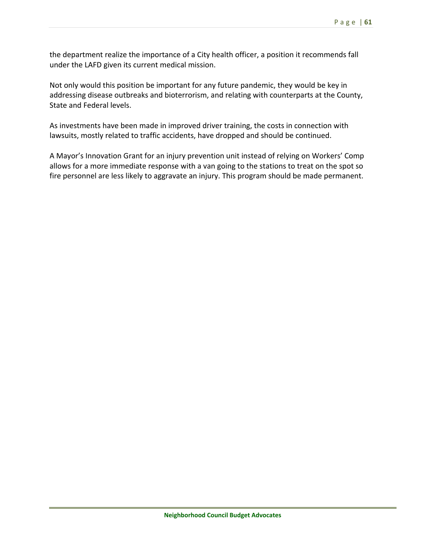the department realize the importance of a City health officer, a position it recommends fall under the LAFD given its current medical mission.

Not only would this position be important for any future pandemic, they would be key in addressing disease outbreaks and bioterrorism, and relating with counterparts at the County, State and Federal levels.

As investments have been made in improved driver training, the costs in connection with lawsuits, mostly related to traffic accidents, have dropped and should be continued.

A Mayor's Innovation Grant for an injury prevention unit instead of relying on Workers' Comp allows for a more immediate response with a van going to the stations to treat on the spot so fire personnel are less likely to aggravate an injury. This program should be made permanent.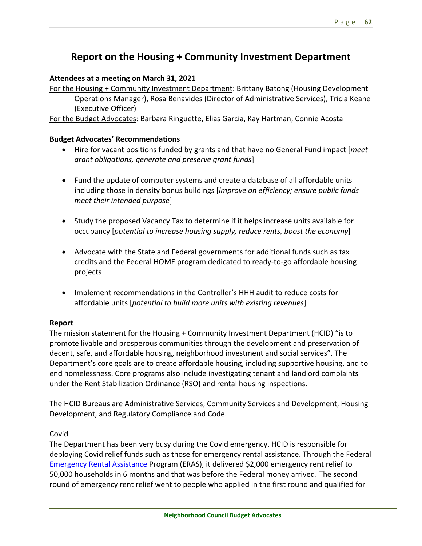# **Report on the Housing + Community Investment Department**

## **Attendees at a meeting on March 31, 2021**

For the Housing + Community Investment Department: Brittany Batong (Housing Development Operations Manager), Rosa Benavides (Director of Administrative Services), Tricia Keane (Executive Officer)

For the Budget Advocates: Barbara Ringuette, Elias Garcia, Kay Hartman, Connie Acosta

## **Budget Advocates' Recommendations**

- Hire for vacant positions funded by grants and that have no General Fund impact [*meet grant obligations, generate and preserve grant funds*]
- Fund the update of computer systems and create a database of all affordable units including those in density bonus buildings [*improve on efficiency; ensure public funds meet their intended purpose*]
- Study the proposed Vacancy Tax to determine if it helps increase units available for occupancy [*potential to increase housing supply, reduce rents, boost the economy*]
- Advocate with the State and Federal governments for additional funds such as tax credits and the Federal HOME program dedicated to ready‐to‐go affordable housing projects
- Implement recommendations in the Controller's HHH audit to reduce costs for affordable units [*potential to build more units with existing revenues*]

## **Report**

The mission statement for the Housing + Community Investment Department (HCID) "is to promote livable and prosperous communities through the development and preservation of decent, safe, and affordable housing, neighborhood investment and social services". The Department's core goals are to create affordable housing, including supportive housing, and to end homelessness. Core programs also include investigating tenant and landlord complaints under the Rent Stabilization Ordinance (RSO) and rental housing inspections.

The HCID Bureaus are Administrative Services, Community Services and Development, Housing Development, and Regulatory Compliance and Code.

# Covid

The Department has been very busy during the Covid emergency. HCID is responsible for deploying Covid relief funds such as those for emergency rental assistance. Through the Federal Emergency Rental Assistance Program (ERAS), it delivered \$2,000 emergency rent relief to 50,000 households in 6 months and that was before the Federal money arrived. The second round of emergency rent relief went to people who applied in the first round and qualified for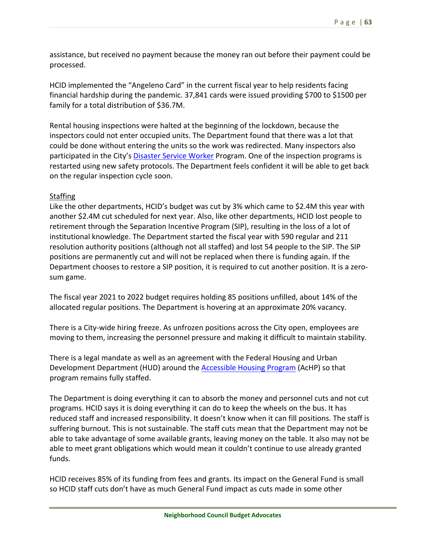assistance, but received no payment because the money ran out before their payment could be processed.

HCID implemented the "Angeleno Card" in the current fiscal year to help residents facing financial hardship during the pandemic. 37,841 cards were issued providing \$700 to \$1500 per family for a total distribution of \$36.7M.

Rental housing inspections were halted at the beginning of the lockdown, because the inspectors could not enter occupied units. The Department found that there was a lot that could be done without entering the units so the work was redirected. Many inspectors also participated in the City's Disaster Service Worker Program. One of the inspection programs is restarted using new safety protocols. The Department feels confident it will be able to get back on the regular inspection cycle soon.

## Staffing

Like the other departments, HCID's budget was cut by 3% which came to \$2.4M this year with another \$2.4M cut scheduled for next year. Also, like other departments, HCID lost people to retirement through the Separation Incentive Program (SIP), resulting in the loss of a lot of institutional knowledge. The Department started the fiscal year with 590 regular and 211 resolution authority positions (although not all staffed) and lost 54 people to the SIP. The SIP positions are permanently cut and will not be replaced when there is funding again. If the Department chooses to restore a SIP position, it is required to cut another position. It is a zerosum game.

The fiscal year 2021 to 2022 budget requires holding 85 positions unfilled, about 14% of the allocated regular positions. The Department is hovering at an approximate 20% vacancy.

There is a City‐wide hiring freeze. As unfrozen positions across the City open, employees are moving to them, increasing the personnel pressure and making it difficult to maintain stability.

There is a legal mandate as well as an agreement with the Federal Housing and Urban Development Department (HUD) around the Accessible Housing Program (AcHP) so that program remains fully staffed.

The Department is doing everything it can to absorb the money and personnel cuts and not cut programs. HCID says it is doing everything it can do to keep the wheels on the bus. It has reduced staff and increased responsibility. It doesn't know when it can fill positions. The staff is suffering burnout. This is not sustainable. The staff cuts mean that the Department may not be able to take advantage of some available grants, leaving money on the table. It also may not be able to meet grant obligations which would mean it couldn't continue to use already granted funds.

HCID receives 85% of its funding from fees and grants. Its impact on the General Fund is small so HCID staff cuts don't have as much General Fund impact as cuts made in some other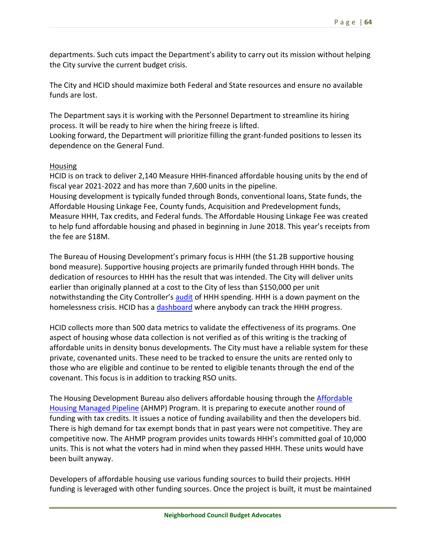departments. Such cuts impact the Department's ability to carry out its mission without helping the City survive the current budget crisis.

The City and HCID should maximize both Federal and State resources and ensure no available funds are lost.

The Department says it is working with the Personnel Department to streamline its hiring process. It will be ready to hire when the hiring freeze is lifted.

Looking forward, the Department will prioritize filling the grant-funded positions to lessen its dependence on the General Fund.

## Housing

HCID is on track to deliver 2,140 Measure HHH-financed affordable housing units by the end of fiscal year 2021‐2022 and has more than 7,600 units in the pipeline. Housing development is typically funded through Bonds, conventional loans, State funds, the Affordable Housing Linkage Fee, County funds, Acquisition and Predevelopment funds, Measure HHH, Tax credits, and Federal funds. The Affordable Housing Linkage Fee was created to help fund affordable housing and phased in beginning in June 2018. This year's receipts from the fee are \$18M.

The Bureau of Housing Development's primary focus is HHH (the \$1.2B supportive housing bond measure). Supportive housing projects are primarily funded through HHH bonds. The dedication of resources to HHH has the result that was intended. The City will deliver units earlier than originally planned at a cost to the City of less than \$150,000 per unit notwithstanding the City Controller's audit of HHH spending. HHH is a down payment on the homelessness crisis. HCID has a dashboard where anybody can track the HHH progress.

HCID collects more than 500 data metrics to validate the effectiveness of its programs. One aspect of housing whose data collection is not verified as of this writing is the tracking of affordable units in density bonus developments. The City must have a reliable system for these private, covenanted units. These need to be tracked to ensure the units are rented only to those who are eligible and continue to be rented to eligible tenants through the end of the covenant. This focus is in addition to tracking RSO units.

The Housing Development Bureau also delivers affordable housing through the Affordable Housing Managed Pipeline (AHMP) Program. It is preparing to execute another round of funding with tax credits. It issues a notice of funding availability and then the developers bid. There is high demand for tax exempt bonds that in past years were not competitive. They are competitive now. The AHMP program provides units towards HHH's committed goal of 10,000 units. This is not what the voters had in mind when they passed HHH. These units would have been built anyway.

Developers of affordable housing use various funding sources to build their projects. HHH funding is leveraged with other funding sources. Once the project is built, it must be maintained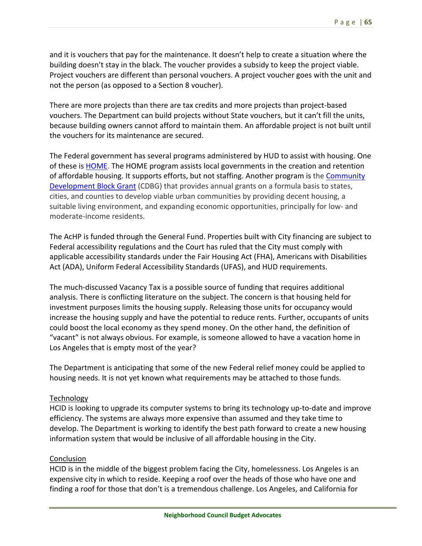and it is vouchers that pay for the maintenance. It doesn't help to create a situation where the building doesn't stay in the black. The voucher provides a subsidy to keep the project viable. Project vouchers are different than personal vouchers. A project voucher goes with the unit and not the person (as opposed to a Section 8 voucher).

There are more projects than there are tax credits and more projects than project‐based vouchers. The Department can build projects without State vouchers, but it can't fill the units, because building owners cannot afford to maintain them. An affordable project is not built until the vouchers for its maintenance are secured.

The Federal government has several programs administered by HUD to assist with housing. One of these is **HOME**. The HOME program assists local governments in the creation and retention of affordable housing. It supports efforts, but not staffing. Another program is the Community Development Block Grant (CDBG) that provides annual grants on a formula basis to states, cities, and counties to develop viable urban communities by providing decent housing, a suitable living environment, and expanding economic opportunities, principally for low‐ and moderate‐income residents.

The AcHP is funded through the General Fund. Properties built with City financing are subject to Federal accessibility regulations and the Court has ruled that the City must comply with applicable accessibility standards under the Fair Housing Act (FHA), Americans with Disabilities Act (ADA), Uniform Federal Accessibility Standards (UFAS), and HUD requirements.

The much‐discussed Vacancy Tax is a possible source of funding that requires additional analysis. There is conflicting literature on the subject. The concern is that housing held for investment purposes limits the housing supply. Releasing those units for occupancy would increase the housing supply and have the potential to reduce rents. Further, occupants of units could boost the local economy as they spend money. On the other hand, the definition of "vacant" is not always obvious. For example, is someone allowed to have a vacation home in Los Angeles that is empty most of the year?

The Department is anticipating that some of the new Federal relief money could be applied to housing needs. It is not yet known what requirements may be attached to those funds.

## **Technology**

HCID is looking to upgrade its computer systems to bring its technology up‐to‐date and improve efficiency. The systems are always more expensive than assumed and they take time to develop. The Department is working to identify the best path forward to create a new housing information system that would be inclusive of all affordable housing in the City.

## Conclusion

HCID is in the middle of the biggest problem facing the City, homelessness. Los Angeles is an expensive city in which to reside. Keeping a roof over the heads of those who have one and finding a roof for those that don't is a tremendous challenge. Los Angeles, and California for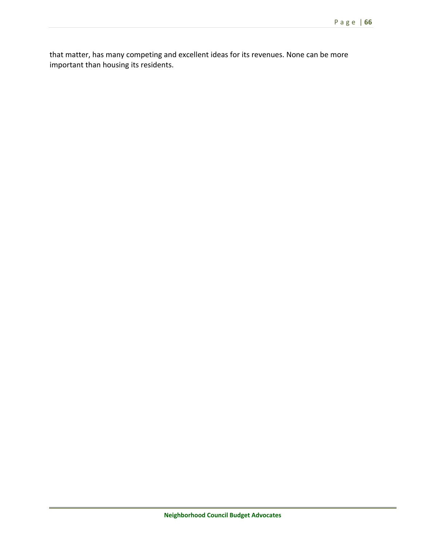that matter, has many competing and excellent ideas for its revenues. None can be more important than housing its residents.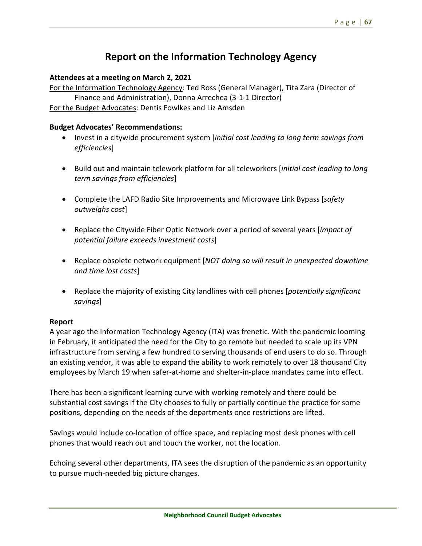# **Report on the Information Technology Agency**

## **Attendees at a meeting on March 2, 2021**

For the Information Technology Agency: Ted Ross (General Manager), Tita Zara (Director of Finance and Administration), Donna Arrechea (3‐1‐1 Director)

For the Budget Advocates: Dentis Fowlkes and Liz Amsden

## **Budget Advocates' Recommendations:**

- Invest in a citywide procurement system [*initial cost leading to long term savings from efficiencies*]
- Build out and maintain telework platform for all teleworkers [*initial cost leading to long term savings from efficiencies*]
- Complete the LAFD Radio Site Improvements and Microwave Link Bypass [*safety outweighs cost*]
- Replace the Citywide Fiber Optic Network over a period of several years [*impact of potential failure exceeds investment costs*]
- Replace obsolete network equipment [*NOT doing so will result in unexpected downtime and time lost costs*]
- Replace the majority of existing City landlines with cell phones [*potentially significant savings*]

## **Report**

A year ago the Information Technology Agency (ITA) was frenetic. With the pandemic looming in February, it anticipated the need for the City to go remote but needed to scale up its VPN infrastructure from serving a few hundred to serving thousands of end users to do so. Through an existing vendor, it was able to expand the ability to work remotely to over 18 thousand City employees by March 19 when safer‐at‐home and shelter‐in‐place mandates came into effect.

There has been a significant learning curve with working remotely and there could be substantial cost savings if the City chooses to fully or partially continue the practice for some positions, depending on the needs of the departments once restrictions are lifted.

Savings would include co‐location of office space, and replacing most desk phones with cell phones that would reach out and touch the worker, not the location.

Echoing several other departments, ITA sees the disruption of the pandemic as an opportunity to pursue much‐needed big picture changes.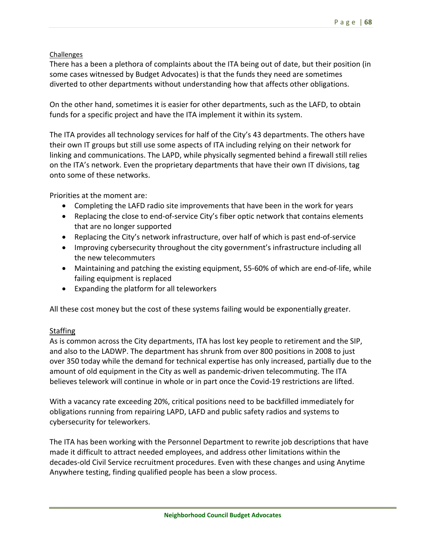## Challenges

There has a been a plethora of complaints about the ITA being out of date, but their position (in some cases witnessed by Budget Advocates) is that the funds they need are sometimes diverted to other departments without understanding how that affects other obligations.

On the other hand, sometimes it is easier for other departments, such as the LAFD, to obtain funds for a specific project and have the ITA implement it within its system.

The ITA provides all technology services for half of the City's 43 departments. The others have their own IT groups but still use some aspects of ITA including relying on their network for linking and communications. The LAPD, while physically segmented behind a firewall still relies on the ITA's network. Even the proprietary departments that have their own IT divisions, tag onto some of these networks.

Priorities at the moment are:

- Completing the LAFD radio site improvements that have been in the work for years
- Replacing the close to end-of-service City's fiber optic network that contains elements that are no longer supported
- Replacing the City's network infrastructure, over half of which is past end-of-service
- Improving cybersecurity throughout the city government's infrastructure including all the new telecommuters
- Maintaining and patching the existing equipment, 55-60% of which are end-of-life, while failing equipment is replaced
- Expanding the platform for all teleworkers

All these cost money but the cost of these systems failing would be exponentially greater.

# **Staffing**

As is common across the City departments, ITA has lost key people to retirement and the SIP, and also to the LADWP. The department has shrunk from over 800 positions in 2008 to just over 350 today while the demand for technical expertise has only increased, partially due to the amount of old equipment in the City as well as pandemic-driven telecommuting. The ITA believes telework will continue in whole or in part once the Covid‐19 restrictions are lifted.

With a vacancy rate exceeding 20%, critical positions need to be backfilled immediately for obligations running from repairing LAPD, LAFD and public safety radios and systems to cybersecurity for teleworkers.

The ITA has been working with the Personnel Department to rewrite job descriptions that have made it difficult to attract needed employees, and address other limitations within the decades‐old Civil Service recruitment procedures. Even with these changes and using Anytime Anywhere testing, finding qualified people has been a slow process.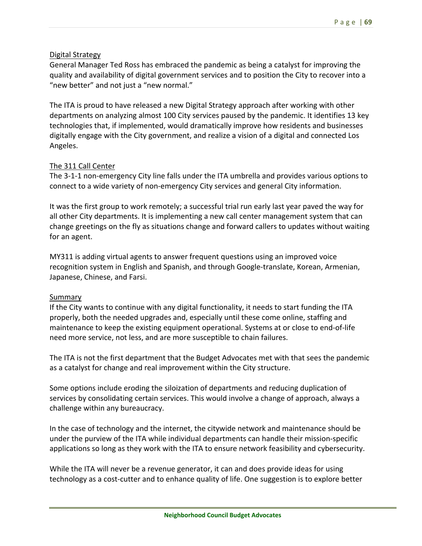# Digital Strategy

General Manager Ted Ross has embraced the pandemic as being a catalyst for improving the quality and availability of digital government services and to position the City to recover into a "new better" and not just a "new normal."

The ITA is proud to have released a new Digital Strategy approach after working with other departments on analyzing almost 100 City services paused by the pandemic. It identifies 13 key technologies that, if implemented, would dramatically improve how residents and businesses digitally engage with the City government, and realize a vision of a digital and connected Los Angeles.

# The 311 Call Center

The 3‐1‐1 non‐emergency City line falls under the ITA umbrella and provides various options to connect to a wide variety of non‐emergency City services and general City information.

It was the first group to work remotely; a successful trial run early last year paved the way for all other City departments. It is implementing a new call center management system that can change greetings on the fly as situations change and forward callers to updates without waiting for an agent.

MY311 is adding virtual agents to answer frequent questions using an improved voice recognition system in English and Spanish, and through Google-translate, Korean, Armenian, Japanese, Chinese, and Farsi.

# Summary

If the City wants to continue with any digital functionality, it needs to start funding the ITA properly, both the needed upgrades and, especially until these come online, staffing and maintenance to keep the existing equipment operational. Systems at or close to end‐of‐life need more service, not less, and are more susceptible to chain failures.

The ITA is not the first department that the Budget Advocates met with that sees the pandemic as a catalyst for change and real improvement within the City structure.

Some options include eroding the siloization of departments and reducing duplication of services by consolidating certain services. This would involve a change of approach, always a challenge within any bureaucracy.

In the case of technology and the internet, the citywide network and maintenance should be under the purview of the ITA while individual departments can handle their mission‐specific applications so long as they work with the ITA to ensure network feasibility and cybersecurity.

While the ITA will never be a revenue generator, it can and does provide ideas for using technology as a cost‐cutter and to enhance quality of life. One suggestion is to explore better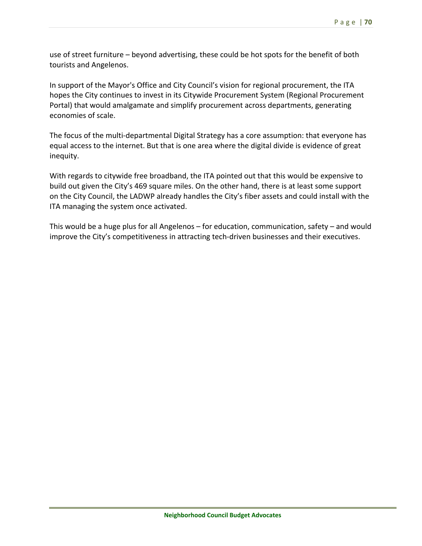use of street furniture – beyond advertising, these could be hot spots for the benefit of both tourists and Angelenos.

In support of the Mayor's Office and City Council's vision for regional procurement, the ITA hopes the City continues to invest in its Citywide Procurement System (Regional Procurement Portal) that would amalgamate and simplify procurement across departments, generating economies of scale.

The focus of the multi-departmental Digital Strategy has a core assumption: that everyone has equal access to the internet. But that is one area where the digital divide is evidence of great inequity.

With regards to citywide free broadband, the ITA pointed out that this would be expensive to build out given the City's 469 square miles. On the other hand, there is at least some support on the City Council, the LADWP already handles the City's fiber assets and could install with the ITA managing the system once activated.

This would be a huge plus for all Angelenos – for education, communication, safety – and would improve the City's competitiveness in attracting tech-driven businesses and their executives.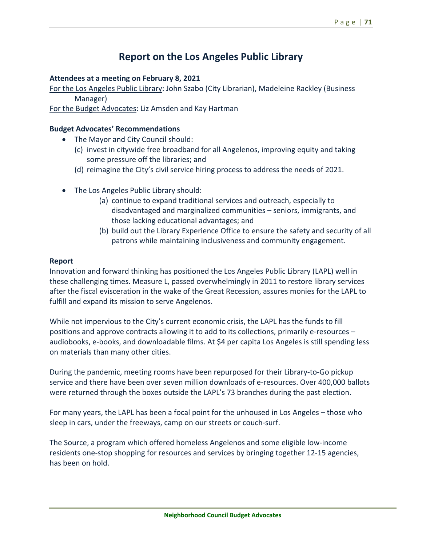# **Report on the Los Angeles Public Library**

### **Attendees at a meeting on February 8, 2021**

For the Los Angeles Public Library: John Szabo (City Librarian), Madeleine Rackley (Business Manager)

For the Budget Advocates: Liz Amsden and Kay Hartman

### **Budget Advocates' Recommendations**

- The Mayor and City Council should:
	- (c) invest in citywide free broadband for all Angelenos, improving equity and taking some pressure off the libraries; and
	- (d) reimagine the City's civil service hiring process to address the needs of 2021.
- The Los Angeles Public Library should:
	- (a) continue to expand traditional services and outreach, especially to disadvantaged and marginalized communities – seniors, immigrants, and those lacking educational advantages; and
	- (b) build out the Library Experience Office to ensure the safety and security of all patrons while maintaining inclusiveness and community engagement.

#### **Report**

Innovation and forward thinking has positioned the Los Angeles Public Library (LAPL) well in these challenging times. Measure L, passed overwhelmingly in 2011 to restore library services after the fiscal evisceration in the wake of the Great Recession, assures monies for the LAPL to fulfill and expand its mission to serve Angelenos.

While not impervious to the City's current economic crisis, the LAPL has the funds to fill positions and approve contracts allowing it to add to its collections, primarily e‐resources – audiobooks, e‐books, and downloadable films. At \$4 per capita Los Angeles is still spending less on materials than many other cities.

During the pandemic, meeting rooms have been repurposed for their Library‐to‐Go pickup service and there have been over seven million downloads of e‐resources. Over 400,000 ballots were returned through the boxes outside the LAPL's 73 branches during the past election.

For many years, the LAPL has been a focal point for the unhoused in Los Angeles – those who sleep in cars, under the freeways, camp on our streets or couch‐surf.

The Source, a program which offered homeless Angelenos and some eligible low‐income residents one‐stop shopping for resources and services by bringing together 12‐15 agencies, has been on hold.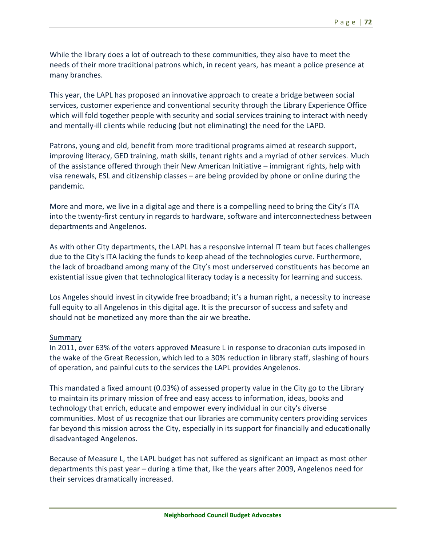While the library does a lot of outreach to these communities, they also have to meet the needs of their more traditional patrons which, in recent years, has meant a police presence at many branches.

This year, the LAPL has proposed an innovative approach to create a bridge between social services, customer experience and conventional security through the Library Experience Office which will fold together people with security and social services training to interact with needy and mentally‐ill clients while reducing (but not eliminating) the need for the LAPD.

Patrons, young and old, benefit from more traditional programs aimed at research support, improving literacy, GED training, math skills, tenant rights and a myriad of other services. Much of the assistance offered through their New American Initiative – immigrant rights, help with visa renewals, ESL and citizenship classes – are being provided by phone or online during the pandemic.

More and more, we live in a digital age and there is a compelling need to bring the City's ITA into the twenty‐first century in regards to hardware, software and interconnectedness between departments and Angelenos.

As with other City departments, the LAPL has a responsive internal IT team but faces challenges due to the City's ITA lacking the funds to keep ahead of the technologies curve. Furthermore, the lack of broadband among many of the City's most underserved constituents has become an existential issue given that technological literacy today is a necessity for learning and success.

Los Angeles should invest in citywide free broadband; it's a human right, a necessity to increase full equity to all Angelenos in this digital age. It is the precursor of success and safety and should not be monetized any more than the air we breathe.

## **Summary**

In 2011, over 63% of the voters approved Measure L in response to draconian cuts imposed in the wake of the Great Recession, which led to a 30% reduction in library staff, slashing of hours of operation, and painful cuts to the services the LAPL provides Angelenos.

This mandated a fixed amount (0.03%) of assessed property value in the City go to the Library to maintain its primary mission of free and easy access to information, ideas, books and technology that enrich, educate and empower every individual in our city's diverse communities. Most of us recognize that our libraries are community centers providing services far beyond this mission across the City, especially in its support for financially and educationally disadvantaged Angelenos.

Because of Measure L, the LAPL budget has not suffered as significant an impact as most other departments this past year – during a time that, like the years after 2009, Angelenos need for their services dramatically increased.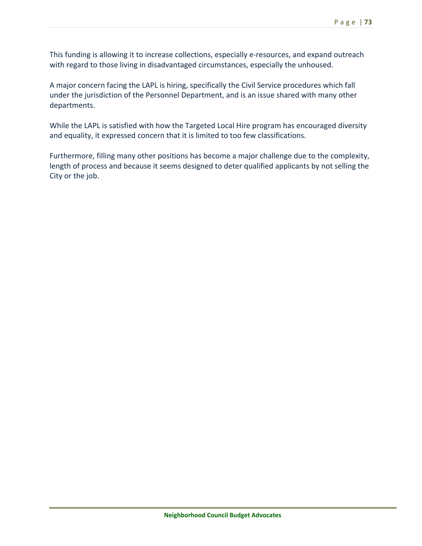This funding is allowing it to increase collections, especially e‐resources, and expand outreach with regard to those living in disadvantaged circumstances, especially the unhoused.

A major concern facing the LAPL is hiring, specifically the Civil Service procedures which fall under the jurisdiction of the Personnel Department, and is an issue shared with many other departments.

While the LAPL is satisfied with how the Targeted Local Hire program has encouraged diversity and equality, it expressed concern that it is limited to too few classifications.

Furthermore, filling many other positions has become a major challenge due to the complexity, length of process and because it seems designed to deter qualified applicants by not selling the City or the job.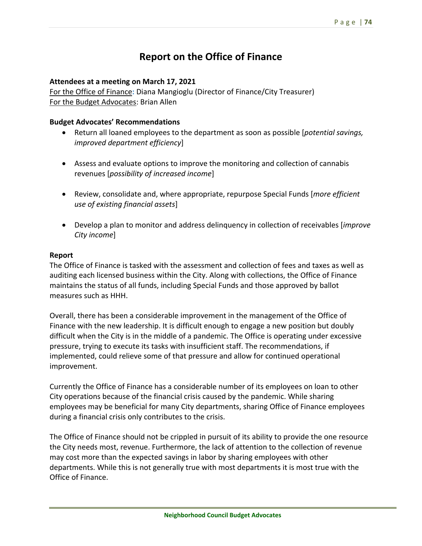# **Report on the Office of Finance**

#### **Attendees at a meeting on March 17, 2021**

For the Office of Finance**:** Diana Mangioglu (Director of Finance/City Treasurer) For the Budget Advocates: Brian Allen

#### **Budget Advocates' Recommendations**

- Return all loaned employees to the department as soon as possible [*potential savings, improved department efficiency*]
- Assess and evaluate options to improve the monitoring and collection of cannabis revenues [*possibility of increased income*]
- Review, consolidate and, where appropriate, repurpose Special Funds [*more efficient use of existing financial assets*]
- Develop a plan to monitor and address delinquency in collection of receivables [*improve City income*]

#### **Report**

The Office of Finance is tasked with the assessment and collection of fees and taxes as well as auditing each licensed business within the City. Along with collections, the Office of Finance maintains the status of all funds, including Special Funds and those approved by ballot measures such as HHH.

Overall, there has been a considerable improvement in the management of the Office of Finance with the new leadership. It is difficult enough to engage a new position but doubly difficult when the City is in the middle of a pandemic. The Office is operating under excessive pressure, trying to execute its tasks with insufficient staff. The recommendations, if implemented, could relieve some of that pressure and allow for continued operational improvement.

Currently the Office of Finance has a considerable number of its employees on loan to other City operations because of the financial crisis caused by the pandemic. While sharing employees may be beneficial for many City departments, sharing Office of Finance employees during a financial crisis only contributes to the crisis.

The Office of Finance should not be crippled in pursuit of its ability to provide the one resource the City needs most, revenue. Furthermore, the lack of attention to the collection of revenue may cost more than the expected savings in labor by sharing employees with other departments. While this is not generally true with most departments it is most true with the Office of Finance.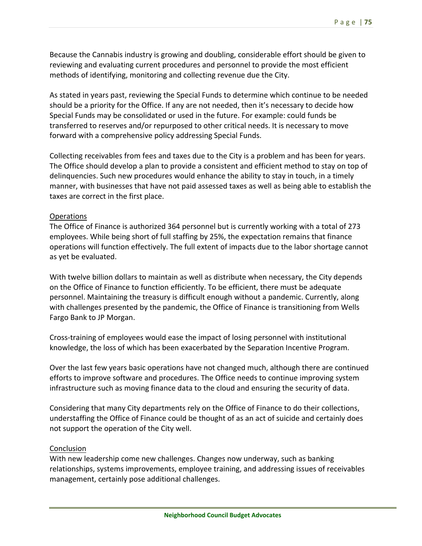Because the Cannabis industry is growing and doubling, considerable effort should be given to reviewing and evaluating current procedures and personnel to provide the most efficient methods of identifying, monitoring and collecting revenue due the City.

As stated in years past, reviewing the Special Funds to determine which continue to be needed should be a priority for the Office. If any are not needed, then it's necessary to decide how Special Funds may be consolidated or used in the future. For example: could funds be transferred to reserves and/or repurposed to other critical needs. It is necessary to move forward with a comprehensive policy addressing Special Funds.

Collecting receivables from fees and taxes due to the City is a problem and has been for years. The Office should develop a plan to provide a consistent and efficient method to stay on top of delinquencies. Such new procedures would enhance the ability to stay in touch, in a timely manner, with businesses that have not paid assessed taxes as well as being able to establish the taxes are correct in the first place.

## Operations

The Office of Finance is authorized 364 personnel but is currently working with a total of 273 employees. While being short of full staffing by 25%, the expectation remains that finance operations will function effectively. The full extent of impacts due to the labor shortage cannot as yet be evaluated.

With twelve billion dollars to maintain as well as distribute when necessary, the City depends on the Office of Finance to function efficiently. To be efficient, there must be adequate personnel. Maintaining the treasury is difficult enough without a pandemic. Currently, along with challenges presented by the pandemic, the Office of Finance is transitioning from Wells Fargo Bank to JP Morgan.

Cross‐training of employees would ease the impact of losing personnel with institutional knowledge, the loss of which has been exacerbated by the Separation Incentive Program.

Over the last few years basic operations have not changed much, although there are continued efforts to improve software and procedures. The Office needs to continue improving system infrastructure such as moving finance data to the cloud and ensuring the security of data.

Considering that many City departments rely on the Office of Finance to do their collections, understaffing the Office of Finance could be thought of as an act of suicide and certainly does not support the operation of the City well.

## Conclusion

With new leadership come new challenges. Changes now underway, such as banking relationships, systems improvements, employee training, and addressing issues of receivables management, certainly pose additional challenges.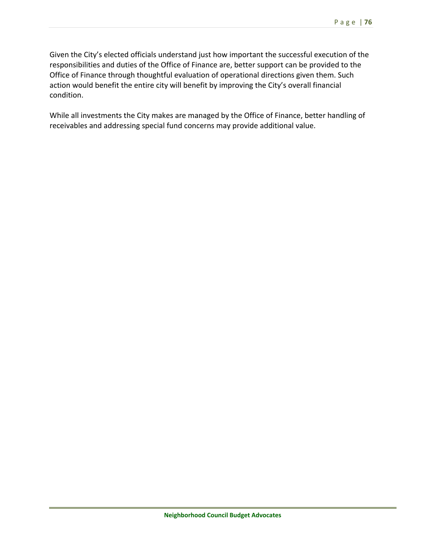Given the City's elected officials understand just how important the successful execution of the responsibilities and duties of the Office of Finance are, better support can be provided to the Office of Finance through thoughtful evaluation of operational directions given them. Such action would benefit the entire city will benefit by improving the City's overall financial condition.

While all investments the City makes are managed by the Office of Finance, better handling of receivables and addressing special fund concerns may provide additional value.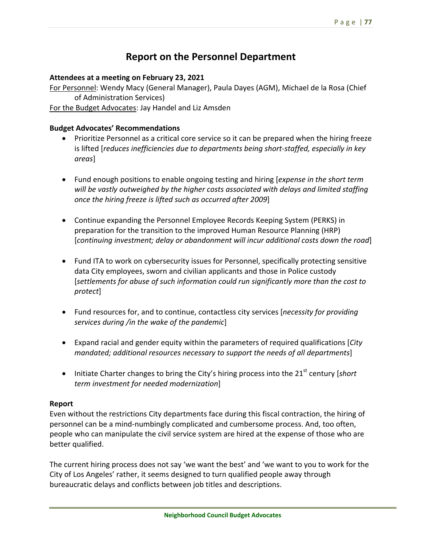## **Report on the Personnel Department**

## **Attendees at a meeting on February 23, 2021**

For Personnel: Wendy Macy (General Manager), Paula Dayes (AGM), Michael de la Rosa (Chief of Administration Services)

For the Budget Advocates: Jay Handel and Liz Amsden

## **Budget Advocates' Recommendations**

- Prioritize Personnel as a critical core service so it can be prepared when the hiring freeze is lifted [*reduces inefficiencies due to departments being short‐staffed, especially in key areas*]
- Fund enough positions to enable ongoing testing and hiring [*expense in the short term will be vastly outweighed by the higher costs associated with delays and limited staffing once the hiring freeze is lifted such as occurred after 2009*]
- Continue expanding the Personnel Employee Records Keeping System (PERKS) in preparation for the transition to the improved Human Resource Planning (HRP) [*continuing investment; delay or abandonment will incur additional costs down the road*]
- Fund ITA to work on cybersecurity issues for Personnel, specifically protecting sensitive data City employees, sworn and civilian applicants and those in Police custody [*settlements for abuse of such information could run significantly more than the cost to protect*]
- Fund resources for, and to continue, contactless city services [*necessity for providing services during /in the wake of the pandemic*]
- Expand racial and gender equity within the parameters of required qualifications [*City mandated; additional resources necessary to support the needs of all departments*]
- Initiate Charter changes to bring the City's hiring process into the 21<sup>st</sup> century [*short term investment for needed modernization*]

## **Report**

Even without the restrictions City departments face during this fiscal contraction, the hiring of personnel can be a mind‐numbingly complicated and cumbersome process. And, too often, people who can manipulate the civil service system are hired at the expense of those who are better qualified.

The current hiring process does not say 'we want the best' and 'we want to you to work for the City of Los Angeles' rather, it seems designed to turn qualified people away through bureaucratic delays and conflicts between job titles and descriptions.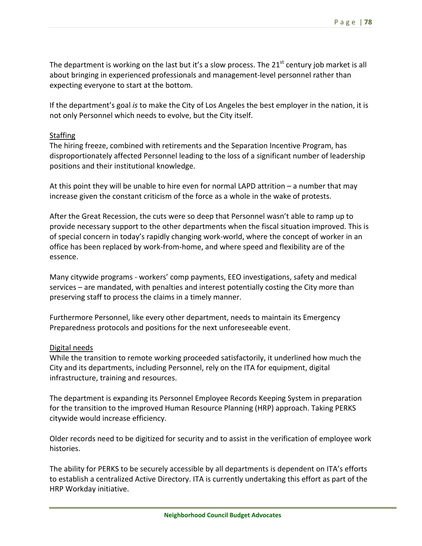The department is working on the last but it's a slow process. The  $21<sup>st</sup>$  century job market is all about bringing in experienced professionals and management‐level personnel rather than expecting everyone to start at the bottom.

If the department's goal *is* to make the City of Los Angeles the best employer in the nation, it is not only Personnel which needs to evolve, but the City itself.

## **Staffing**

The hiring freeze, combined with retirements and the Separation Incentive Program, has disproportionately affected Personnel leading to the loss of a significant number of leadership positions and their institutional knowledge.

At this point they will be unable to hire even for normal LAPD attrition – a number that may increase given the constant criticism of the force as a whole in the wake of protests.

After the Great Recession, the cuts were so deep that Personnel wasn't able to ramp up to provide necessary support to the other departments when the fiscal situation improved. This is of special concern in today's rapidly changing work‐world, where the concept of worker in an office has been replaced by work‐from‐home, and where speed and flexibility are of the essence.

Many citywide programs ‐ workers' comp payments, EEO investigations, safety and medical services – are mandated, with penalties and interest potentially costing the City more than preserving staff to process the claims in a timely manner.

Furthermore Personnel, like every other department, needs to maintain its Emergency Preparedness protocols and positions for the next unforeseeable event.

## Digital needs

While the transition to remote working proceeded satisfactorily, it underlined how much the City and its departments, including Personnel, rely on the ITA for equipment, digital infrastructure, training and resources.

The department is expanding its Personnel Employee Records Keeping System in preparation for the transition to the improved Human Resource Planning (HRP) approach. Taking PERKS citywide would increase efficiency.

Older records need to be digitized for security and to assist in the verification of employee work histories.

The ability for PERKS to be securely accessible by all departments is dependent on ITA's efforts to establish a centralized Active Directory. ITA is currently undertaking this effort as part of the HRP Workday initiative.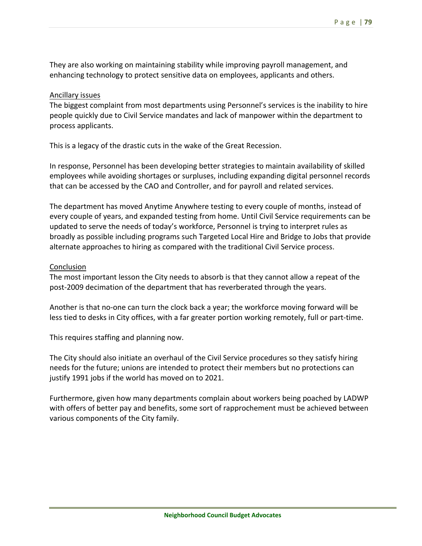They are also working on maintaining stability while improving payroll management, and enhancing technology to protect sensitive data on employees, applicants and others.

#### Ancillary issues

The biggest complaint from most departments using Personnel's services is the inability to hire people quickly due to Civil Service mandates and lack of manpower within the department to process applicants.

This is a legacy of the drastic cuts in the wake of the Great Recession.

In response, Personnel has been developing better strategies to maintain availability of skilled employees while avoiding shortages or surpluses, including expanding digital personnel records that can be accessed by the CAO and Controller, and for payroll and related services.

The department has moved Anytime Anywhere testing to every couple of months, instead of every couple of years, and expanded testing from home. Until Civil Service requirements can be updated to serve the needs of today's workforce, Personnel is trying to interpret rules as broadly as possible including programs such Targeted Local Hire and Bridge to Jobs that provide alternate approaches to hiring as compared with the traditional Civil Service process.

#### Conclusion

The most important lesson the City needs to absorb is that they cannot allow a repeat of the post‐2009 decimation of the department that has reverberated through the years.

Another is that no‐one can turn the clock back a year; the workforce moving forward will be less tied to desks in City offices, with a far greater portion working remotely, full or part‐time.

This requires staffing and planning now.

The City should also initiate an overhaul of the Civil Service procedures so they satisfy hiring needs for the future; unions are intended to protect their members but no protections can justify 1991 jobs if the world has moved on to 2021.

Furthermore, given how many departments complain about workers being poached by LADWP with offers of better pay and benefits, some sort of rapprochement must be achieved between various components of the City family.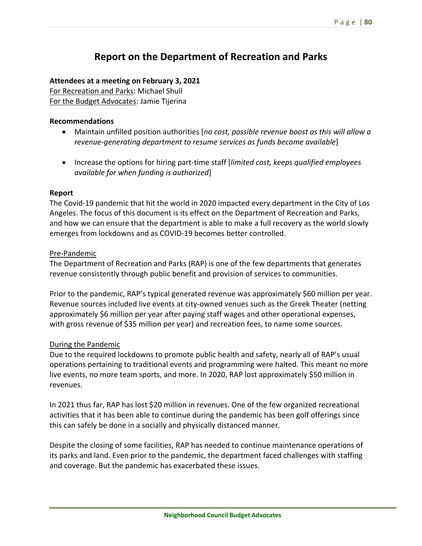# **Report on the Department of Recreation and Parks**

## **Attendees at a meeting on February 3, 2021**

For Recreation and Parks: Michael Shull For the Budget Advocates: Jamie Tijerina

## **Recommendations**

- Maintain unfilled position authorities [*no cost, possible revenue boost as this will allow a revenue‐generating department to resume services as funds become available*]
- Increase the options for hiring part-time staff [limited cost, keeps qualified employees *available for when funding is authorized*]

## **Report**

The Covid‐19 pandemic that hit the world in 2020 impacted every department in the City of Los Angeles. The focus of this document is its effect on the Department of Recreation and Parks, and how we can ensure that the department is able to make a full recovery as the world slowly emerges from lockdowns and as COVID‐19 becomes better controlled.

## Pre‐Pandemic

The Department of Recreation and Parks (RAP) is one of the few departments that generates revenue consistently through public benefit and provision of services to communities.

Prior to the pandemic, RAP's typical generated revenue was approximately \$60 million per year. Revenue sources included live events at city-owned venues such as the Greek Theater (netting approximately \$6 million per year after paying staff wages and other operational expenses, with gross revenue of \$35 million per year) and recreation fees, to name some sources.

## During the Pandemic

Due to the required lockdowns to promote public health and safety, nearly all of RAP's usual operations pertaining to traditional events and programming were halted. This meant no more live events, no more team sports, and more. In 2020, RAP lost approximately \$50 million in revenues.

In 2021 thus far, RAP has lost \$20 million in revenues. One of the few organized recreational activities that it has been able to continue during the pandemic has been golf offerings since this can safely be done in a socially and physically distanced manner.

Despite the closing of some facilities, RAP has needed to continue maintenance operations of its parks and land. Even prior to the pandemic, the department faced challenges with staffing and coverage. But the pandemic has exacerbated these issues.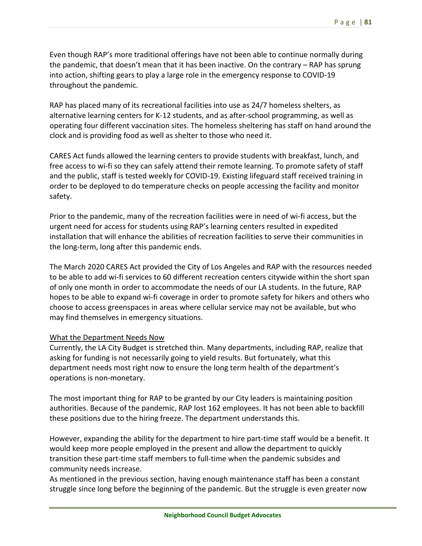Even though RAP's more traditional offerings have not been able to continue normally during the pandemic, that doesn't mean that it has been inactive. On the contrary – RAP has sprung into action, shifting gears to play a large role in the emergency response to COVID‐19 throughout the pandemic.

RAP has placed many of its recreational facilities into use as 24/7 homeless shelters, as alternative learning centers for K‐12 students, and as after‐school programming, as well as operating four different vaccination sites. The homeless sheltering has staff on hand around the clock and is providing food as well as shelter to those who need it.

CARES Act funds allowed the learning centers to provide students with breakfast, lunch, and free access to wi-fi so they can safely attend their remote learning. To promote safety of staff and the public, staff is tested weekly for COVID‐19. Existing lifeguard staff received training in order to be deployed to do temperature checks on people accessing the facility and monitor safety.

Prior to the pandemic, many of the recreation facilities were in need of wi‐fi access, but the urgent need for access for students using RAP's learning centers resulted in expedited installation that will enhance the abilities of recreation facilities to serve their communities in the long‐term, long after this pandemic ends.

The March 2020 CARES Act provided the City of Los Angeles and RAP with the resources needed to be able to add wi‐fi services to 60 different recreation centers citywide within the short span of only one month in order to accommodate the needs of our LA students. In the future, RAP hopes to be able to expand wi‐fi coverage in order to promote safety for hikers and others who choose to access greenspaces in areas where cellular service may not be available, but who may find themselves in emergency situations.

## What the Department Needs Now

Currently, the LA City Budget is stretched thin. Many departments, including RAP, realize that asking for funding is not necessarily going to yield results. But fortunately, what this department needs most right now to ensure the long term health of the department's operations is non‐monetary.

The most important thing for RAP to be granted by our City leaders is maintaining position authorities. Because of the pandemic, RAP lost 162 employees. It has not been able to backfill these positions due to the hiring freeze. The department understands this.

However, expanding the ability for the department to hire part‐time staff would be a benefit. It would keep more people employed in the present and allow the department to quickly transition these part‐time staff members to full‐time when the pandemic subsides and community needs increase.

As mentioned in the previous section, having enough maintenance staff has been a constant struggle since long before the beginning of the pandemic. But the struggle is even greater now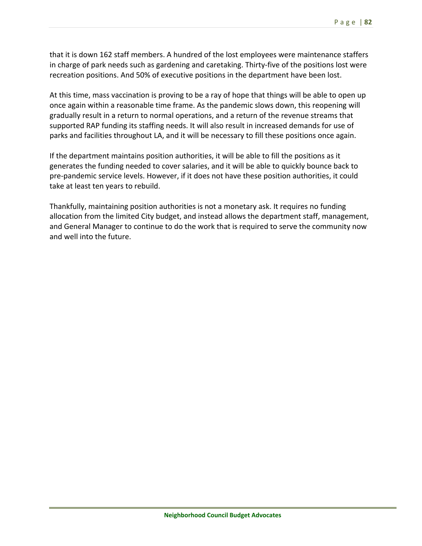that it is down 162 staff members. A hundred of the lost employees were maintenance staffers in charge of park needs such as gardening and caretaking. Thirty‐five of the positions lost were recreation positions. And 50% of executive positions in the department have been lost.

At this time, mass vaccination is proving to be a ray of hope that things will be able to open up once again within a reasonable time frame. As the pandemic slows down, this reopening will gradually result in a return to normal operations, and a return of the revenue streams that supported RAP funding its staffing needs. It will also result in increased demands for use of parks and facilities throughout LA, and it will be necessary to fill these positions once again.

If the department maintains position authorities, it will be able to fill the positions as it generates the funding needed to cover salaries, and it will be able to quickly bounce back to pre‐pandemic service levels. However, if it does not have these position authorities, it could take at least ten years to rebuild.

Thankfully, maintaining position authorities is not a monetary ask. It requires no funding allocation from the limited City budget, and instead allows the department staff, management, and General Manager to continue to do the work that is required to serve the community now and well into the future.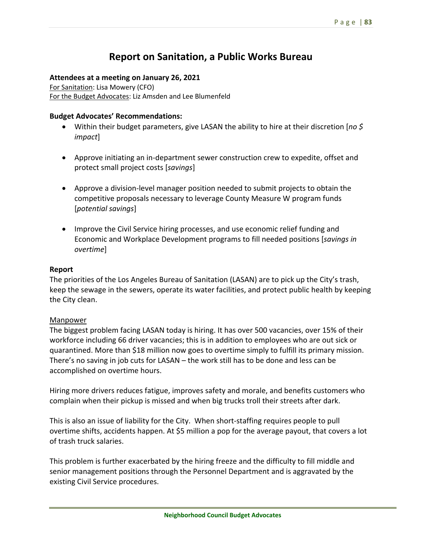## **Report on Sanitation, a Public Works Bureau**

#### **Attendees at a meeting on January 26, 2021**

For Sanitation: Lisa Mowery (CFO) For the Budget Advocates: Liz Amsden and Lee Blumenfeld

#### **Budget Advocates' Recommendations:**

- Within their budget parameters, give LASAN the ability to hire at their discretion [*no \$ impact*]
- Approve initiating an in-department sewer construction crew to expedite, offset and protect small project costs [*savings*]
- Approve a division-level manager position needed to submit projects to obtain the competitive proposals necessary to leverage County Measure W program funds [*potential savings*]
- Improve the Civil Service hiring processes, and use economic relief funding and Economic and Workplace Development programs to fill needed positions [*savings in overtime*]

#### **Report**

The priorities of the Los Angeles Bureau of Sanitation (LASAN) are to pick up the City's trash, keep the sewage in the sewers, operate its water facilities, and protect public health by keeping the City clean.

#### Manpower

The biggest problem facing LASAN today is hiring. It has over 500 vacancies, over 15% of their workforce including 66 driver vacancies; this is in addition to employees who are out sick or quarantined. More than \$18 million now goes to overtime simply to fulfill its primary mission. There's no saving in job cuts for LASAN – the work still has to be done and less can be accomplished on overtime hours.

Hiring more drivers reduces fatigue, improves safety and morale, and benefits customers who complain when their pickup is missed and when big trucks troll their streets after dark.

This is also an issue of liability for the City. When short-staffing requires people to pull overtime shifts, accidents happen. At \$5 million a pop for the average payout, that covers a lot of trash truck salaries.

This problem is further exacerbated by the hiring freeze and the difficulty to fill middle and senior management positions through the Personnel Department and is aggravated by the existing Civil Service procedures.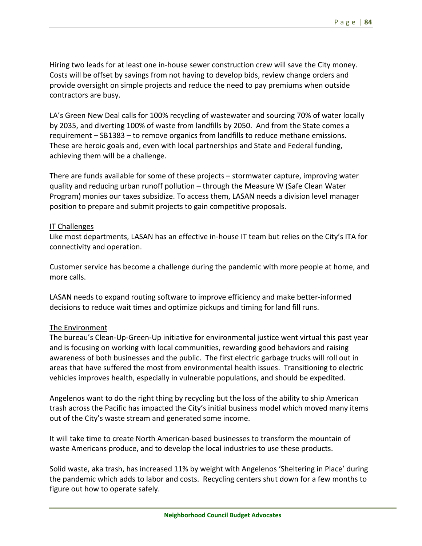Hiring two leads for at least one in‐house sewer construction crew will save the City money. Costs will be offset by savings from not having to develop bids, review change orders and provide oversight on simple projects and reduce the need to pay premiums when outside contractors are busy.

LA's Green New Deal calls for 100% recycling of wastewater and sourcing 70% of water locally by 2035, and diverting 100% of waste from landfills by 2050. And from the State comes a requirement – SB1383 – to remove organics from landfills to reduce methane emissions. These are heroic goals and, even with local partnerships and State and Federal funding, achieving them will be a challenge.

There are funds available for some of these projects – stormwater capture, improving water quality and reducing urban runoff pollution – through the Measure W (Safe Clean Water Program) monies our taxes subsidize. To access them, LASAN needs a division level manager position to prepare and submit projects to gain competitive proposals.

#### IT Challenges

Like most departments, LASAN has an effective in‐house IT team but relies on the City's ITA for connectivity and operation.

Customer service has become a challenge during the pandemic with more people at home, and more calls.

LASAN needs to expand routing software to improve efficiency and make better‐informed decisions to reduce wait times and optimize pickups and timing for land fill runs.

## The Environment

The bureau's Clean‐Up‐Green‐Up initiative for environmental justice went virtual this past year and is focusing on working with local communities, rewarding good behaviors and raising awareness of both businesses and the public. The first electric garbage trucks will roll out in areas that have suffered the most from environmental health issues. Transitioning to electric vehicles improves health, especially in vulnerable populations, and should be expedited.

Angelenos want to do the right thing by recycling but the loss of the ability to ship American trash across the Pacific has impacted the City's initial business model which moved many items out of the City's waste stream and generated some income.

It will take time to create North American‐based businesses to transform the mountain of waste Americans produce, and to develop the local industries to use these products.

Solid waste, aka trash, has increased 11% by weight with Angelenos 'Sheltering in Place' during the pandemic which adds to labor and costs. Recycling centers shut down for a few months to figure out how to operate safely.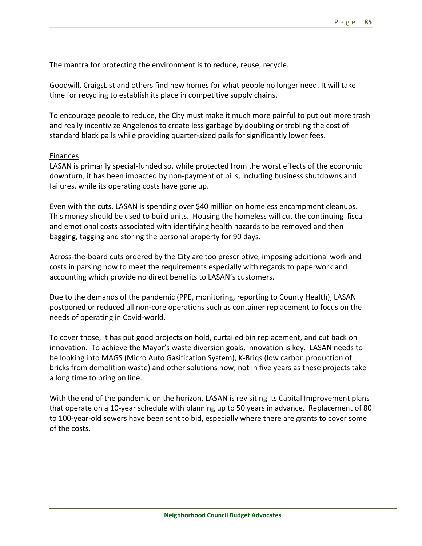The mantra for protecting the environment is to reduce, reuse, recycle.

Goodwill, CraigsList and others find new homes for what people no longer need. It will take time for recycling to establish its place in competitive supply chains.

To encourage people to reduce, the City must make it much more painful to put out more trash and really incentivize Angelenos to create less garbage by doubling or trebling the cost of standard black pails while providing quarter‐sized pails for significantly lower fees.

#### Finances

LASAN is primarily special‐funded so, while protected from the worst effects of the economic downturn, it has been impacted by non‐payment of bills, including business shutdowns and failures, while its operating costs have gone up.

Even with the cuts, LASAN is spending over \$40 million on homeless encampment cleanups. This money should be used to build units. Housing the homeless will cut the continuing fiscal and emotional costs associated with identifying health hazards to be removed and then bagging, tagging and storing the personal property for 90 days.

Across‐the‐board cuts ordered by the City are too prescriptive, imposing additional work and costs in parsing how to meet the requirements especially with regards to paperwork and accounting which provide no direct benefits to LASAN's customers.

Due to the demands of the pandemic (PPE, monitoring, reporting to County Health), LASAN postponed or reduced all non‐core operations such as container replacement to focus on the needs of operating in Covid‐world.

To cover those, it has put good projects on hold, curtailed bin replacement, and cut back on innovation. To achieve the Mayor's waste diversion goals, innovation is key. LASAN needs to be looking into MAGS (Micro Auto Gasification System), K‐Briqs (low carbon production of bricks from demolition waste) and other solutions now, not in five years as these projects take a long time to bring on line.

With the end of the pandemic on the horizon, LASAN is revisiting its Capital Improvement plans that operate on a 10‐year schedule with planning up to 50 years in advance. Replacement of 80 to 100‐year‐old sewers have been sent to bid, especially where there are grants to cover some of the costs.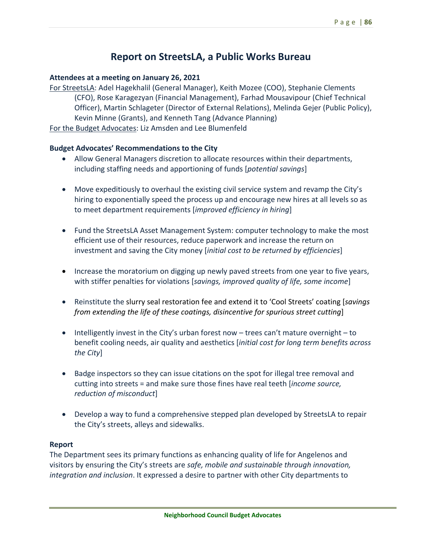## **Report on StreetsLA, a Public Works Bureau**

#### **Attendees at a meeting on January 26, 2021**

For StreetsLA: Adel Hagekhalil (General Manager), Keith Mozee (COO), Stephanie Clements (CFO), Rose Karagezyan (Financial Management), Farhad Mousavipour (Chief Technical Officer), Martin Schlageter (Director of External Relations), Melinda Gejer (Public Policy), Kevin Minne (Grants), and Kenneth Tang (Advance Planning) For the Budget Advocates: Liz Amsden and Lee Blumenfeld

#### **Budget Advocates' Recommendations to the City**

- Allow General Managers discretion to allocate resources within their departments, including staffing needs and apportioning of funds [*potential savings*]
- Move expeditiously to overhaul the existing civil service system and revamp the City's hiring to exponentially speed the process up and encourage new hires at all levels so as to meet department requirements [*improved efficiency in hiring*]
- Fund the StreetsLA Asset Management System: computer technology to make the most efficient use of their resources, reduce paperwork and increase the return on investment and saving the City money [*initial cost to be returned by efficiencies*]
- Increase the moratorium on digging up newly paved streets from one year to five years, with stiffer penalties for violations [*savings, improved quality of life, some income*]
- Reinstitute the slurry seal restoration fee and extend it to 'Cool Streets' coating [*savings from extending the life of these coatings, disincentive for spurious street cutting*]
- Intelligently invest in the City's urban forest now  $-$  trees can't mature overnight  $-$  to benefit cooling needs, air quality and aesthetics [*initial cost for long term benefits across the City*]
- Badge inspectors so they can issue citations on the spot for illegal tree removal and cutting into streets = and make sure those fines have real teeth [*income source, reduction of misconduct*]
- Develop a way to fund a comprehensive stepped plan developed by StreetsLA to repair the City's streets, alleys and sidewalks.

#### **Report**

The Department sees its primary functions as enhancing quality of life for Angelenos and visitors by ensuring the City's streets are *safe, mobile and sustainable through innovation, integration and inclusion*. It expressed a desire to partner with other City departments to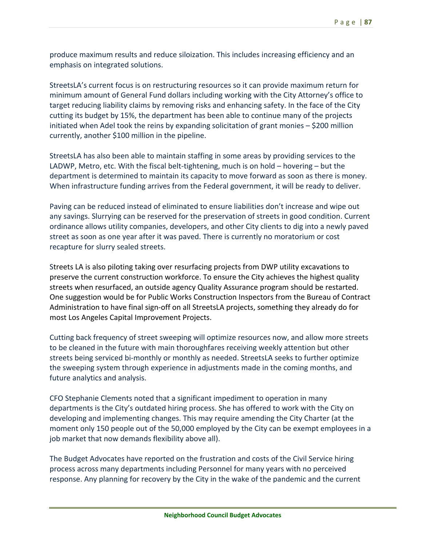produce maximum results and reduce siloization. This includes increasing efficiency and an emphasis on integrated solutions.

StreetsLA's current focus is on restructuring resources so it can provide maximum return for minimum amount of General Fund dollars including working with the City Attorney's office to target reducing liability claims by removing risks and enhancing safety. In the face of the City cutting its budget by 15%, the department has been able to continue many of the projects initiated when Adel took the reins by expanding solicitation of grant monies  $-$  \$200 million currently, another \$100 million in the pipeline.

StreetsLA has also been able to maintain staffing in some areas by providing services to the LADWP, Metro, etc. With the fiscal belt‐tightening, much is on hold – hovering – but the department is determined to maintain its capacity to move forward as soon as there is money. When infrastructure funding arrives from the Federal government, it will be ready to deliver.

Paving can be reduced instead of eliminated to ensure liabilities don't increase and wipe out any savings. Slurrying can be reserved for the preservation of streets in good condition. Current ordinance allows utility companies, developers, and other City clients to dig into a newly paved street as soon as one year after it was paved. There is currently no moratorium or cost recapture for slurry sealed streets.

Streets LA is also piloting taking over resurfacing projects from DWP utility excavations to preserve the current construction workforce. To ensure the City achieves the highest quality streets when resurfaced, an outside agency Quality Assurance program should be restarted. One suggestion would be for Public Works Construction Inspectors from the Bureau of Contract Administration to have final sign‐off on all StreetsLA projects, something they already do for most Los Angeles Capital Improvement Projects.

Cutting back frequency of street sweeping will optimize resources now, and allow more streets to be cleaned in the future with main thoroughfares receiving weekly attention but other streets being serviced bi‐monthly or monthly as needed. StreetsLA seeks to further optimize the sweeping system through experience in adjustments made in the coming months, and future analytics and analysis.

CFO Stephanie Clements noted that a significant impediment to operation in many departments is the City's outdated hiring process. She has offered to work with the City on developing and implementing changes. This may require amending the City Charter (at the moment only 150 people out of the 50,000 employed by the City can be exempt employees in a job market that now demands flexibility above all).

The Budget Advocates have reported on the frustration and costs of the Civil Service hiring process across many departments including Personnel for many years with no perceived response. Any planning for recovery by the City in the wake of the pandemic and the current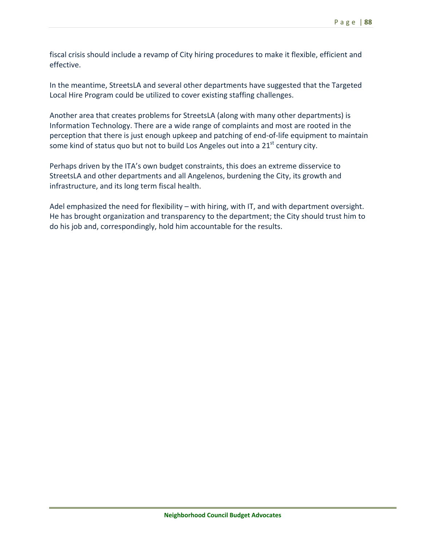fiscal crisis should include a revamp of City hiring procedures to make it flexible, efficient and effective.

In the meantime, StreetsLA and several other departments have suggested that the Targeted Local Hire Program could be utilized to cover existing staffing challenges.

Another area that creates problems for StreetsLA (along with many other departments) is Information Technology. There are a wide range of complaints and most are rooted in the perception that there is just enough upkeep and patching of end‐of‐life equipment to maintain some kind of status quo but not to build Los Angeles out into a  $21<sup>st</sup>$  century city.

Perhaps driven by the ITA's own budget constraints, this does an extreme disservice to StreetsLA and other departments and all Angelenos, burdening the City, its growth and infrastructure, and its long term fiscal health.

Adel emphasized the need for flexibility – with hiring, with IT, and with department oversight. He has brought organization and transparency to the department; the City should trust him to do his job and, correspondingly, hold him accountable for the results.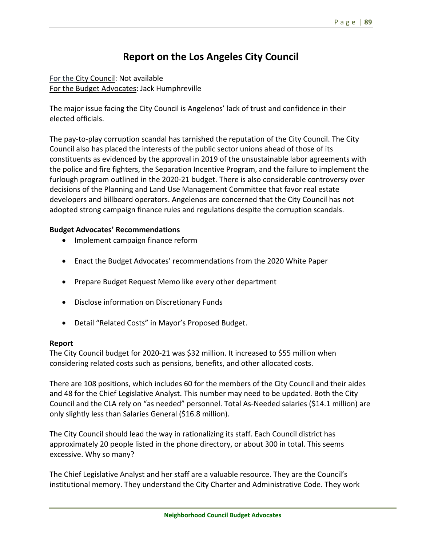# **Report on the Los Angeles City Council**

For the City Council: Not available For the Budget Advocates: Jack Humphreville

The major issue facing the City Council is Angelenos' lack of trust and confidence in their elected officials.

The pay‐to‐play corruption scandal has tarnished the reputation of the City Council. The City Council also has placed the interests of the public sector unions ahead of those of its constituents as evidenced by the approval in 2019 of the unsustainable labor agreements with the police and fire fighters, the Separation Incentive Program, and the failure to implement the furlough program outlined in the 2020‐21 budget. There is also considerable controversy over decisions of the Planning and Land Use Management Committee that favor real estate developers and billboard operators. Angelenos are concerned that the City Council has not adopted strong campaign finance rules and regulations despite the corruption scandals.

## **Budget Advocates' Recommendations**

- Implement campaign finance reform
- Enact the Budget Advocates' recommendations from the 2020 White Paper
- Prepare Budget Request Memo like every other department
- Disclose information on Discretionary Funds
- Detail "Related Costs" in Mayor's Proposed Budget.

#### **Report**

The City Council budget for 2020‐21 was \$32 million. It increased to \$55 million when considering related costs such as pensions, benefits, and other allocated costs.

There are 108 positions, which includes 60 for the members of the City Council and their aides and 48 for the Chief Legislative Analyst. This number may need to be updated. Both the City Council and the CLA rely on "as needed" personnel. Total As‐Needed salaries (\$14.1 million) are only slightly less than Salaries General (\$16.8 million).

The City Council should lead the way in rationalizing its staff. Each Council district has approximately 20 people listed in the phone directory, or about 300 in total. This seems excessive. Why so many?

The Chief Legislative Analyst and her staff are a valuable resource. They are the Council's institutional memory. They understand the City Charter and Administrative Code. They work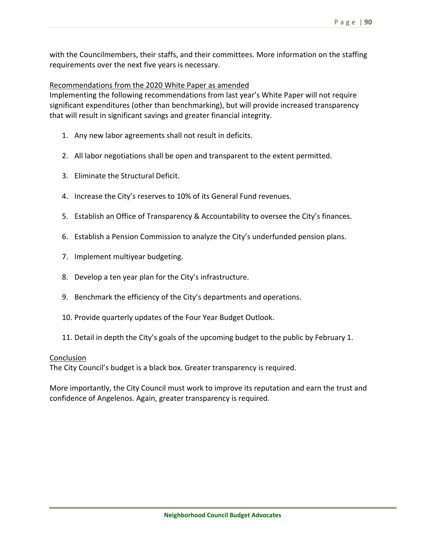with the Councilmembers, their staffs, and their committees. More information on the staffing requirements over the next five years is necessary.

#### Recommendations from the 2020 White Paper as amended

Implementing the following recommendations from last year's White Paper will not require significant expenditures (other than benchmarking), but will provide increased transparency that will result in significant savings and greater financial integrity.

- 1. Any new labor agreements shall not result in deficits.
- 2. All labor negotiations shall be open and transparent to the extent permitted.
- 3. Eliminate the Structural Deficit.
- 4. Increase the City's reserves to 10% of its General Fund revenues.
- 5. Establish an Office of Transparency & Accountability to oversee the City's finances.
- 6. Establish a Pension Commission to analyze the City's underfunded pension plans.
- 7. Implement multiyear budgeting.
- 8. Develop a ten year plan for the City's infrastructure.
- 9. Benchmark the efficiency of the City's departments and operations.
- 10. Provide quarterly updates of the Four Year Budget Outlook.
- 11. Detail in depth the City's goals of the upcoming budget to the public by February 1.

#### Conclusion

The City Council's budget is a black box. Greater transparency is required.

More importantly, the City Council must work to improve its reputation and earn the trust and confidence of Angelenos. Again, greater transparency is required.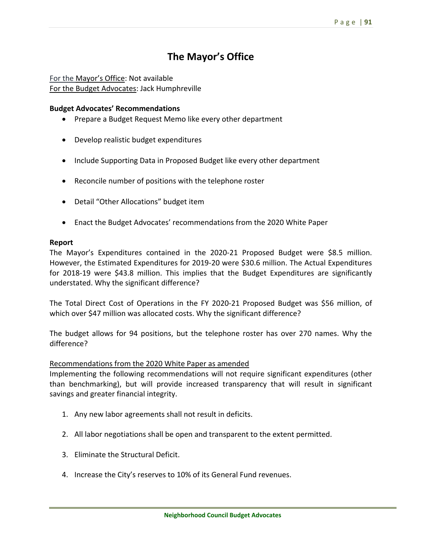## **The Mayor's Office**

For the Mayor's Office: Not available For the Budget Advocates: Jack Humphreville

#### **Budget Advocates' Recommendations**

- Prepare a Budget Request Memo like every other department
- Develop realistic budget expenditures
- Include Supporting Data in Proposed Budget like every other department
- Reconcile number of positions with the telephone roster
- Detail "Other Allocations" budget item
- Enact the Budget Advocates' recommendations from the 2020 White Paper

#### **Report**

The Mayor's Expenditures contained in the 2020‐21 Proposed Budget were \$8.5 million. However, the Estimated Expenditures for 2019‐20 were \$30.6 million. The Actual Expenditures for 2018-19 were \$43.8 million. This implies that the Budget Expenditures are significantly understated. Why the significant difference?

The Total Direct Cost of Operations in the FY 2020-21 Proposed Budget was \$56 million, of which over \$47 million was allocated costs. Why the significant difference?

The budget allows for 94 positions, but the telephone roster has over 270 names. Why the difference?

#### Recommendations from the 2020 White Paper as amended

Implementing the following recommendations will not require significant expenditures (other than benchmarking), but will provide increased transparency that will result in significant savings and greater financial integrity.

- 1. Any new labor agreements shall not result in deficits.
- 2. All labor negotiations shall be open and transparent to the extent permitted.
- 3. Eliminate the Structural Deficit.
- 4. Increase the City's reserves to 10% of its General Fund revenues.